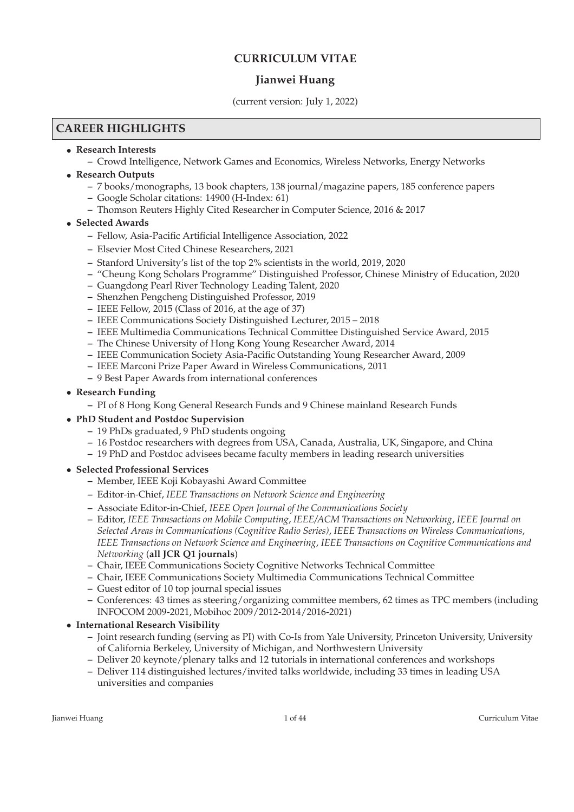## **CURRICULUM VITAE**

### **Jianwei Huang**

#### (current version: July 1, 2022)

### **CAREER HIGHLIGHTS**

- **Research Interests**
	- **–** Crowd Intelligence, Network Games and Economics, Wireless Networks, Energy Networks
- **Research Outputs**
	- **–** 7 books/monographs, 13 book chapters, 138 journal/magazine papers, 185 conference papers
	- **–** Google Scholar citations: 14900 (H-Index: 61)
	- **–** Thomson Reuters Highly Cited Researcher in Computer Science, 2016 & 2017

#### • **Selected Awards**

- **–** Fellow, Asia-Pacific Artificial Intelligence Association, 2022
- **–** Elsevier Most Cited Chinese Researchers, 2021
- **–** Stanford University's list of the top 2% scientists in the world, 2019, 2020
- **–** "Cheung Kong Scholars Programme" Distinguished Professor, Chinese Ministry of Education, 2020
- **–** Guangdong Pearl River Technology Leading Talent, 2020
- **–** Shenzhen Pengcheng Distinguished Professor, 2019
- **–** IEEE Fellow, 2015 (Class of 2016, at the age of 37)
- **–** IEEE Communications Society Distinguished Lecturer, 2015 2018
- **–** IEEE Multimedia Communications Technical Committee Distinguished Service Award, 2015
- **–** The Chinese University of Hong Kong Young Researcher Award, 2014
- **–** IEEE Communication Society Asia-Pacific Outstanding Young Researcher Award, 2009
- **–** IEEE Marconi Prize Paper Award in Wireless Communications, 2011
- **–** 9 Best Paper Awards from international conferences

#### • **Research Funding**

- **–** PI of 8 Hong Kong General Research Funds and 9 Chinese mainland Research Funds
- **PhD Student and Postdoc Supervision**
	- **–** 19 PhDs graduated, 9 PhD students ongoing
	- **–** 16 Postdoc researchers with degrees from USA, Canada, Australia, UK, Singapore, and China
	- **–** 19 PhD and Postdoc advisees became faculty members in leading research universities

### • **Selected Professional Services**

- **–** Member, IEEE Koji Kobayashi Award Committee
- **–** Editor-in-Chief, *IEEE Transactions on Network Science and Engineering*
- **–** Associate Editor-in-Chief, *IEEE Open Journal of the Communications Society*
- **–** Editor, *IEEE Transactions on Mobile Computing*, *IEEE/ACM Transactions on Networking*, *IEEE Journal on Selected Areas in Communications (Cognitive Radio Series)*, *IEEE Transactions on Wireless Communications*, *IEEE Transactions on Network Science and Engineering*, *IEEE Transactions on Cognitive Communications and Networking* (**all JCR Q1 journals**)
- **–** Chair, IEEE Communications Society Cognitive Networks Technical Committee
- **–** Chair, IEEE Communications Society Multimedia Communications Technical Committee
- **–** Guest editor of 10 top journal special issues
- **–** Conferences: 43 times as steering/organizing committee members, 62 times as TPC members (including INFOCOM 2009-2021, Mobihoc 2009/2012-2014/2016-2021)

### • **International Research Visibility**

- **–** Joint research funding (serving as PI) with Co-Is from Yale University, Princeton University, University of California Berkeley, University of Michigan, and Northwestern University
- **–** Deliver 20 keynote/plenary talks and 12 tutorials in international conferences and workshops
- **–** Deliver 114 distinguished lectures/invited talks worldwide, including 33 times in leading USA universities and companies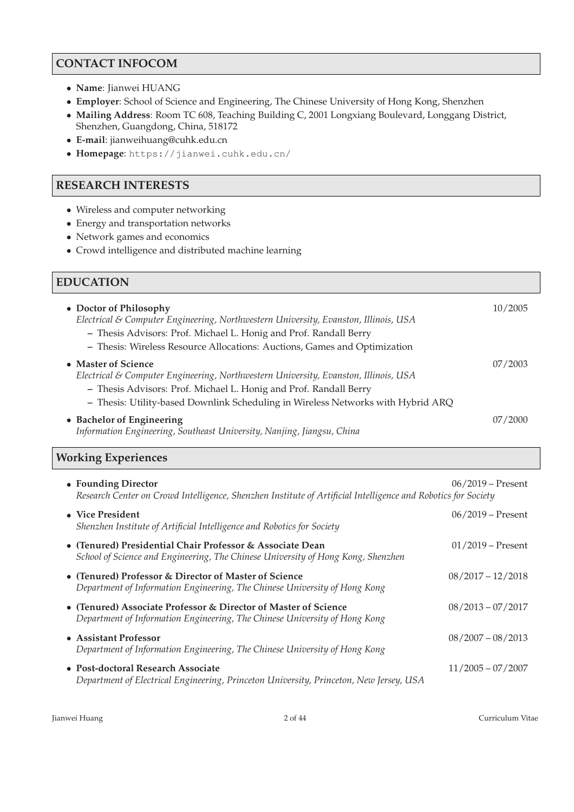## **CONTACT INFOCOM**

- **Name**: Jianwei HUANG
- **Employer**: School of Science and Engineering, The Chinese University of Hong Kong, Shenzhen
- **Mailing Address**: Room TC 608, Teaching Building C, 2001 Longxiang Boulevard, Longgang District, Shenzhen, Guangdong, China, 518172
- **E-mail**: jianweihuang@cuhk.edu.cn
- **Homepage**: https://jianwei.cuhk.edu.cn/

## **RESEARCH INTERESTS**

- Wireless and computer networking
- Energy and transportation networks
- Network games and economics
- Crowd intelligence and distributed machine learning

## **EDUCATION**

| • Doctor of Philosophy<br>Electrical & Computer Engineering, Northwestern University, Evanston, Illinois, USA<br>- Thesis Advisors: Prof. Michael L. Honig and Prof. Randall Berry<br>- Thesis: Wireless Resource Allocations: Auctions, Games and Optimization     | 10/2005 |
|---------------------------------------------------------------------------------------------------------------------------------------------------------------------------------------------------------------------------------------------------------------------|---------|
| • Master of Science<br>Electrical & Computer Engineering, Northwestern University, Evanston, Illinois, USA<br>- Thesis Advisors: Prof. Michael L. Honig and Prof. Randall Berry<br>- Thesis: Utility-based Downlink Scheduling in Wireless Networks with Hybrid ARQ | 07/2003 |
| • Bachelor of Engineering<br>Information Engineering, Southeast University, Nanjing, Jiangsu, China                                                                                                                                                                 | 07/2000 |

## **Working Experiences**

| • Founding Director<br>Research Center on Crowd Intelligence, Shenzhen Institute of Artificial Intelligence and Robotics for Society          | $06/2019 -$ Present |
|-----------------------------------------------------------------------------------------------------------------------------------------------|---------------------|
| • Vice President<br>Shenzhen Institute of Artificial Intelligence and Robotics for Society                                                    | $06/2019 -$ Present |
| • (Tenured) Presidential Chair Professor & Associate Dean<br>School of Science and Engineering, The Chinese University of Hong Kong, Shenzhen | $01/2019 -$ Present |
| • (Tenured) Professor & Director of Master of Science<br>Department of Information Engineering, The Chinese University of Hong Kong           | $08/2017 - 12/2018$ |
| • (Tenured) Associate Professor & Director of Master of Science<br>Department of Information Engineering, The Chinese University of Hong Kong | $08/2013 - 07/2017$ |
| • Assistant Professor<br>Department of Information Engineering, The Chinese University of Hong Kong                                           | $08/2007 - 08/2013$ |
| • Post-doctoral Research Associate<br>Department of Electrical Engineering, Princeton University, Princeton, New Jersey, USA                  | $11/2005 - 07/2007$ |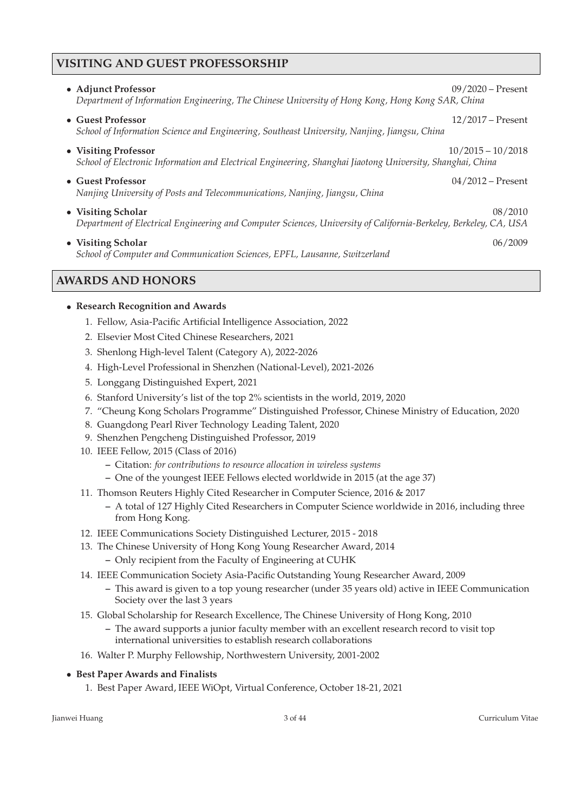## **VISITING AND GUEST PROFESSORSHIP**

| • Adjunct Professor<br>Department of Information Engineering, The Chinese University of Hong Kong, Hong Kong SAR, China                | $09/2020 -$ Present |
|----------------------------------------------------------------------------------------------------------------------------------------|---------------------|
| • Guest Professor<br>School of Information Science and Engineering, Southeast University, Nanjing, Jiangsu, China                      | $12/2017$ – Present |
| • Visiting Professor<br>School of Electronic Information and Electrical Engineering, Shanghai Jiaotong University, Shanghai, China     | $10/2015 - 10/2018$ |
| • Guest Professor<br>Nanjing University of Posts and Telecommunications, Nanjing, Jiangsu, China                                       | $04/2012 -$ Present |
| • Visiting Scholar<br>Department of Electrical Engineering and Computer Sciences, University of California-Berkeley, Berkeley, CA, USA | 08/2010             |
| • Visiting Scholar<br>School of Computer and Communication Sciences, EPFL, Lausanne, Switzerland                                       | 06/2009             |

## **AWARDS AND HONORS**

### • **Research Recognition and Awards**

- 1. Fellow, Asia-Pacific Artificial Intelligence Association, 2022
- 2. Elsevier Most Cited Chinese Researchers, 2021
- 3. Shenlong High-level Talent (Category A), 2022-2026
- 4. High-Level Professional in Shenzhen (National-Level), 2021-2026
- 5. Longgang Distinguished Expert, 2021
- 6. Stanford University's list of the top 2% scientists in the world, 2019, 2020
- 7. "Cheung Kong Scholars Programme" Distinguished Professor, Chinese Ministry of Education, 2020
- 8. Guangdong Pearl River Technology Leading Talent, 2020
- 9. Shenzhen Pengcheng Distinguished Professor, 2019
- 10. IEEE Fellow, 2015 (Class of 2016)
	- **–** Citation: *for contributions to resource allocation in wireless systems*
	- **–** One of the youngest IEEE Fellows elected worldwide in 2015 (at the age 37)
- 11. Thomson Reuters Highly Cited Researcher in Computer Science, 2016 & 2017
	- **–** A total of 127 Highly Cited Researchers in Computer Science worldwide in 2016, including three from Hong Kong.
- 12. IEEE Communications Society Distinguished Lecturer, 2015 2018
- 13. The Chinese University of Hong Kong Young Researcher Award, 2014
	- **–** Only recipient from the Faculty of Engineering at CUHK
- 14. IEEE Communication Society Asia-Pacific Outstanding Young Researcher Award, 2009
	- **–** This award is given to a top young researcher (under 35 years old) active in IEEE Communication Society over the last 3 years
- 15. Global Scholarship for Research Excellence, The Chinese University of Hong Kong, 2010
	- **–** The award supports a junior faculty member with an excellent research record to visit top international universities to establish research collaborations
- 16. Walter P. Murphy Fellowship, Northwestern University, 2001-2002

### • **Best Paper Awards and Finalists**

1. Best Paper Award, IEEE WiOpt, Virtual Conference, October 18-21, 2021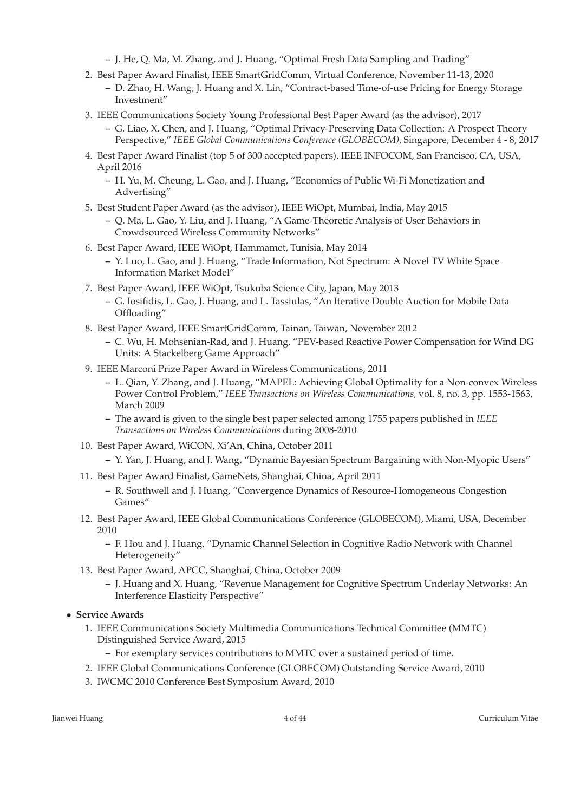- **–** J. He, Q. Ma, M. Zhang, and J. Huang, "Optimal Fresh Data Sampling and Trading"
- 2. Best Paper Award Finalist, IEEE SmartGridComm, Virtual Conference, November 11-13, 2020
	- **–** D. Zhao, H. Wang, J. Huang and X. Lin, "Contract-based Time-of-use Pricing for Energy Storage Investment"
- 3. IEEE Communications Society Young Professional Best Paper Award (as the advisor), 2017
	- **–** G. Liao, X. Chen, and J. Huang, "Optimal Privacy-Preserving Data Collection: A Prospect Theory Perspective," *IEEE Global Communications Conference (GLOBECOM)*, Singapore, December 4 - 8, 2017
- 4. Best Paper Award Finalist (top 5 of 300 accepted papers), IEEE INFOCOM, San Francisco, CA, USA, April 2016
	- **–** H. Yu, M. Cheung, L. Gao, and J. Huang, "Economics of Public Wi-Fi Monetization and Advertising"
- 5. Best Student Paper Award (as the advisor), IEEE WiOpt, Mumbai, India, May 2015
	- **–** Q. Ma, L. Gao, Y. Liu, and J. Huang, "A Game-Theoretic Analysis of User Behaviors in Crowdsourced Wireless Community Networks"
- 6. Best Paper Award, IEEE WiOpt, Hammamet, Tunisia, May 2014
	- **–** Y. Luo, L. Gao, and J. Huang, "Trade Information, Not Spectrum: A Novel TV White Space Information Market Model"
- 7. Best Paper Award, IEEE WiOpt, Tsukuba Science City, Japan, May 2013
	- **–** G. Iosifidis, L. Gao, J. Huang, and L. Tassiulas, "An Iterative Double Auction for Mobile Data Offloading"
- 8. Best Paper Award, IEEE SmartGridComm, Tainan, Taiwan, November 2012
	- **–** C. Wu, H. Mohsenian-Rad, and J. Huang, "PEV-based Reactive Power Compensation for Wind DG Units: A Stackelberg Game Approach"
- 9. IEEE Marconi Prize Paper Award in Wireless Communications, 2011
	- **–** L. Qian, Y. Zhang, and J. Huang, "MAPEL: Achieving Global Optimality for a Non-convex Wireless Power Control Problem," *IEEE Transactions on Wireless Communications,* vol. 8, no. 3, pp. 1553-1563, March 2009
	- **–** The award is given to the single best paper selected among 1755 papers published in *IEEE Transactions on Wireless Communications* during 2008-2010
- 10. Best Paper Award, WiCON, Xi'An, China, October 2011
	- **–** Y. Yan, J. Huang, and J. Wang, "Dynamic Bayesian Spectrum Bargaining with Non-Myopic Users"
- 11. Best Paper Award Finalist, GameNets, Shanghai, China, April 2011
	- **–** R. Southwell and J. Huang, "Convergence Dynamics of Resource-Homogeneous Congestion Games"
- 12. Best Paper Award, IEEE Global Communications Conference (GLOBECOM), Miami, USA, December 2010
	- **–** F. Hou and J. Huang, "Dynamic Channel Selection in Cognitive Radio Network with Channel Heterogeneity"
- 13. Best Paper Award, APCC, Shanghai, China, October 2009
	- **–** J. Huang and X. Huang, "Revenue Management for Cognitive Spectrum Underlay Networks: An Interference Elasticity Perspective"
- **Service Awards**
	- 1. IEEE Communications Society Multimedia Communications Technical Committee (MMTC) Distinguished Service Award, 2015
		- **–** For exemplary services contributions to MMTC over a sustained period of time.
	- 2. IEEE Global Communications Conference (GLOBECOM) Outstanding Service Award, 2010
	- 3. IWCMC 2010 Conference Best Symposium Award, 2010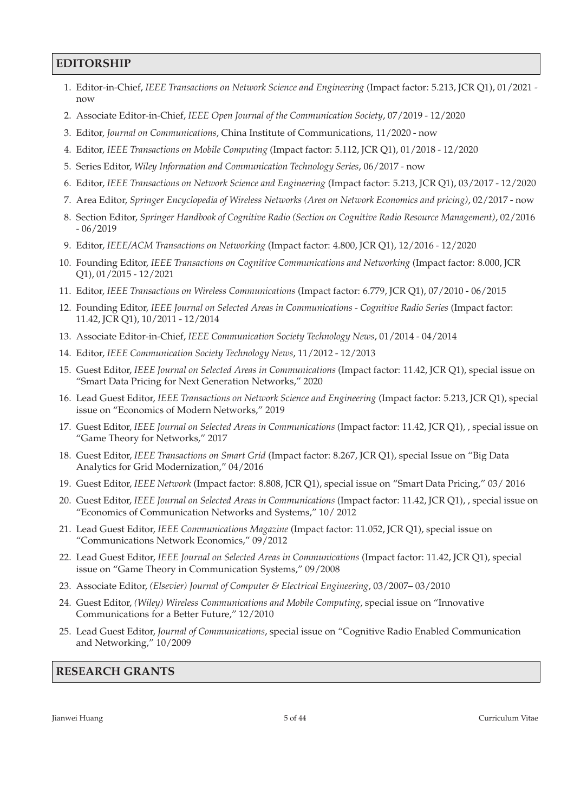### **EDITORSHIP**

- 1. Editor-in-Chief, *IEEE Transactions on Network Science and Engineering* (Impact factor: 5.213, JCR Q1), 01/2021 now
- 2. Associate Editor-in-Chief, *IEEE Open Journal of the Communication Society*, 07/2019 12/2020
- 3. Editor, *Journal on Communications*, China Institute of Communications, 11/2020 now
- 4. Editor, *IEEE Transactions on Mobile Computing* (Impact factor: 5.112, JCR Q1), 01/2018 12/2020
- 5. Series Editor, *Wiley Information and Communication Technology Series*, 06/2017 now
- 6. Editor, *IEEE Transactions on Network Science and Engineering* (Impact factor: 5.213, JCR Q1), 03/2017 12/2020
- 7. Area Editor, *Springer Encyclopedia of Wireless Networks (Area on Network Economics and pricing)*, 02/2017 now
- 8. Section Editor, *Springer Handbook of Cognitive Radio (Section on Cognitive Radio Resource Management)*, 02/2016 - 06/2019
- 9. Editor, *IEEE/ACM Transactions on Networking* (Impact factor: 4.800, JCR Q1), 12/2016 12/2020
- 10. Founding Editor, *IEEE Transactions on Cognitive Communications and Networking* (Impact factor: 8.000, JCR Q1), 01/2015 - 12/2021
- 11. Editor, *IEEE Transactions on Wireless Communications* (Impact factor: 6.779, JCR Q1), 07/2010 06/2015
- 12. Founding Editor, *IEEE Journal on Selected Areas in Communications Cognitive Radio Series* (Impact factor: 11.42, JCR Q1), 10/2011 - 12/2014
- 13. Associate Editor-in-Chief, *IEEE Communication Society Technology News*, 01/2014 04/2014
- 14. Editor, *IEEE Communication Society Technology News*, 11/2012 12/2013
- 15. Guest Editor, *IEEE Journal on Selected Areas in Communications* (Impact factor: 11.42, JCR Q1), special issue on "Smart Data Pricing for Next Generation Networks," 2020
- 16. Lead Guest Editor, *IEEE Transactions on Network Science and Engineering* (Impact factor: 5.213, JCR Q1), special issue on "Economics of Modern Networks," 2019
- 17. Guest Editor, *IEEE Journal on Selected Areas in Communications* (Impact factor: 11.42, JCR Q1), , special issue on "Game Theory for Networks," 2017
- 18. Guest Editor, *IEEE Transactions on Smart Grid* (Impact factor: 8.267, JCR Q1), special Issue on "Big Data Analytics for Grid Modernization," 04/2016
- 19. Guest Editor, *IEEE Network* (Impact factor: 8.808, JCR Q1), special issue on "Smart Data Pricing," 03/ 2016
- 20. Guest Editor, *IEEE Journal on Selected Areas in Communications* (Impact factor: 11.42, JCR Q1), , special issue on "Economics of Communication Networks and Systems," 10/ 2012
- 21. Lead Guest Editor, *IEEE Communications Magazine* (Impact factor: 11.052, JCR Q1), special issue on "Communications Network Economics," 09/2012
- 22. Lead Guest Editor, *IEEE Journal on Selected Areas in Communications* (Impact factor: 11.42, JCR Q1), special issue on "Game Theory in Communication Systems," 09/2008
- 23. Associate Editor, *(Elsevier) Journal of Computer & Electrical Engineering*, 03/2007– 03/2010
- 24. Guest Editor, *(Wiley) Wireless Communications and Mobile Computing*, special issue on "Innovative Communications for a Better Future," 12/2010
- 25. Lead Guest Editor, *Journal of Communications*, special issue on "Cognitive Radio Enabled Communication and Networking," 10/2009

# **RESEARCH GRANTS**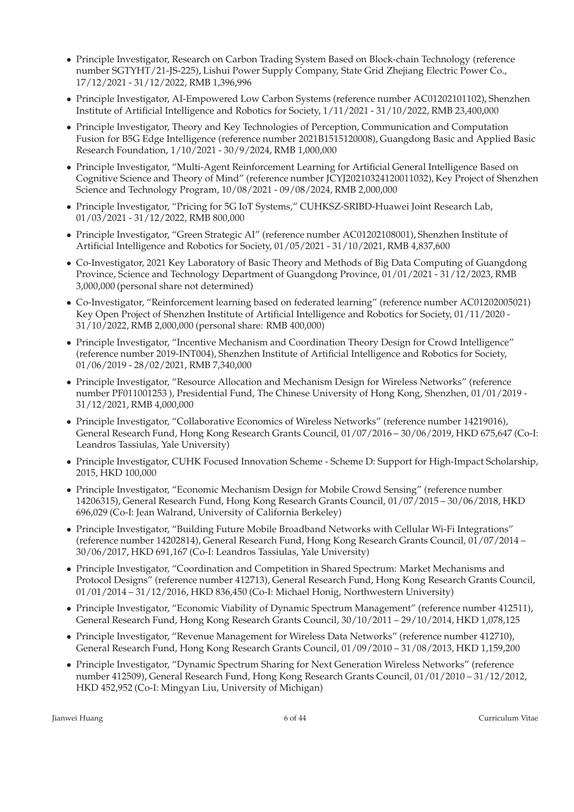- Principle Investigator, Research on Carbon Trading System Based on Block-chain Technology (reference number SGTYHT/21-JS-225), Lishui Power Supply Company, State Grid Zhejiang Electric Power Co., 17/12/2021 - 31/12/2022, RMB 1,396,996
- Principle Investigator, AI-Empowered Low Carbon Systems (reference number AC01202101102), Shenzhen Institute of Artificial Intelligence and Robotics for Society, 1/11/2021 - 31/10/2022, RMB 23,400,000
- Principle Investigator, Theory and Key Technologies of Perception, Communication and Computation Fusion for B5G Edge Intelligence (reference number 2021B1515120008), Guangdong Basic and Applied Basic Research Foundation, 1/10/2021 - 30/9/2024, RMB 1,000,000
- Principle Investigator, "Multi-Agent Reinforcement Learning for Artificial General Intelligence Based on Cognitive Science and Theory of Mind" (reference number JCYJ20210324120011032), Key Project of Shenzhen Science and Technology Program, 10/08/2021 - 09/08/2024, RMB 2,000,000
- Principle Investigator, "Pricing for 5G IoT Systems," CUHKSZ-SRIBD-Huawei Joint Research Lab, 01/03/2021 - 31/12/2022, RMB 800,000
- Principle Investigator, "Green Strategic AI" (reference number AC01202108001), Shenzhen Institute of Artificial Intelligence and Robotics for Society, 01/05/2021 - 31/10/2021, RMB 4,837,600
- Co-Investigator, 2021 Key Laboratory of Basic Theory and Methods of Big Data Computing of Guangdong Province, Science and Technology Department of Guangdong Province, 01/01/2021 - 31/12/2023, RMB 3,000,000 (personal share not determined)
- Co-Investigator, "Reinforcement learning based on federated learning" (reference number AC01202005021) Key Open Project of Shenzhen Institute of Artificial Intelligence and Robotics for Society, 01/11/2020 - 31/10/2022, RMB 2,000,000 (personal share: RMB 400,000)
- Principle Investigator, "Incentive Mechanism and Coordination Theory Design for Crowd Intelligence" (reference number 2019-INT004), Shenzhen Institute of Artificial Intelligence and Robotics for Society, 01/06/2019 - 28/02/2021, RMB 7,340,000
- Principle Investigator, "Resource Allocation and Mechanism Design for Wireless Networks" (reference number PF011001253 ), Presidential Fund, The Chinese University of Hong Kong, Shenzhen, 01/01/2019 - 31/12/2021, RMB 4,000,000
- Principle Investigator, "Collaborative Economics of Wireless Networks" (reference number 14219016), General Research Fund, Hong Kong Research Grants Council, 01/07/2016 – 30/06/2019, HKD 675,647 (Co-I: Leandros Tassiulas, Yale University)
- Principle Investigator, CUHK Focused Innovation Scheme Scheme D: Support for High-Impact Scholarship, 2015, HKD 100,000
- Principle Investigator, "Economic Mechanism Design for Mobile Crowd Sensing" (reference number 14206315), General Research Fund, Hong Kong Research Grants Council, 01/07/2015 – 30/06/2018, HKD 696,029 (Co-I: Jean Walrand, University of California Berkeley)
- Principle Investigator, "Building Future Mobile Broadband Networks with Cellular Wi-Fi Integrations" (reference number 14202814), General Research Fund, Hong Kong Research Grants Council, 01/07/2014 – 30/06/2017, HKD 691,167 (Co-I: Leandros Tassiulas, Yale University)
- Principle Investigator, "Coordination and Competition in Shared Spectrum: Market Mechanisms and Protocol Designs" (reference number 412713), General Research Fund, Hong Kong Research Grants Council, 01/01/2014 – 31/12/2016, HKD 836,450 (Co-I: Michael Honig, Northwestern University)
- Principle Investigator, "Economic Viability of Dynamic Spectrum Management" (reference number 412511), General Research Fund, Hong Kong Research Grants Council, 30/10/2011 – 29/10/2014, HKD 1,078,125
- Principle Investigator, "Revenue Management for Wireless Data Networks" (reference number 412710), General Research Fund, Hong Kong Research Grants Council, 01/09/2010 – 31/08/2013, HKD 1,159,200
- Principle Investigator, "Dynamic Spectrum Sharing for Next Generation Wireless Networks" (reference number 412509), General Research Fund, Hong Kong Research Grants Council, 01/01/2010 – 31/12/2012, HKD 452,952 (Co-I: Mingyan Liu, University of Michigan)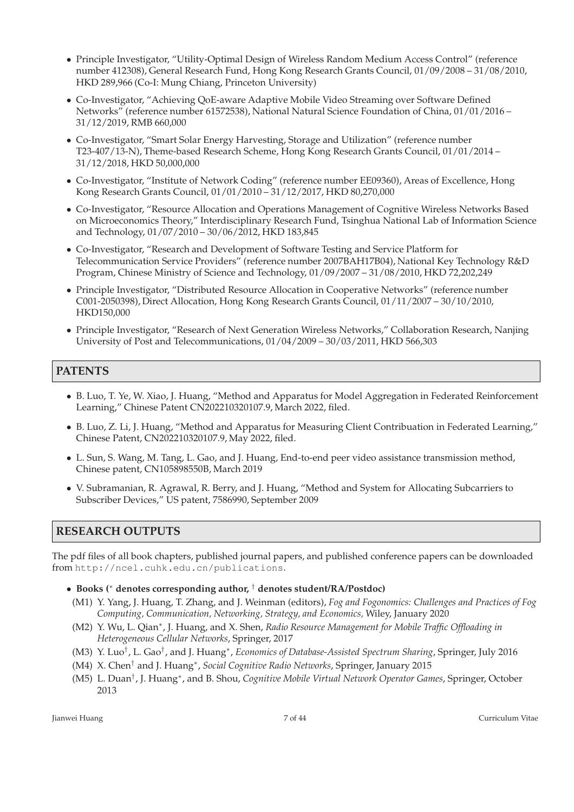- Principle Investigator, "Utility-Optimal Design of Wireless Random Medium Access Control" (reference number 412308), General Research Fund, Hong Kong Research Grants Council, 01/09/2008 – 31/08/2010, HKD 289,966 (Co-I: Mung Chiang, Princeton University)
- Co-Investigator, "Achieving QoE-aware Adaptive Mobile Video Streaming over Software Defined Networks" (reference number 61572538), National Natural Science Foundation of China, 01/01/2016 – 31/12/2019, RMB 660,000
- Co-Investigator, "Smart Solar Energy Harvesting, Storage and Utilization" (reference number T23-407/13-N), Theme-based Research Scheme, Hong Kong Research Grants Council, 01/01/2014 – 31/12/2018, HKD 50,000,000
- Co-Investigator, "Institute of Network Coding" (reference number EE09360), Areas of Excellence, Hong Kong Research Grants Council, 01/01/2010 – 31/12/2017, HKD 80,270,000
- Co-Investigator, "Resource Allocation and Operations Management of Cognitive Wireless Networks Based on Microeconomics Theory," Interdisciplinary Research Fund, Tsinghua National Lab of Information Science and Technology, 01/07/2010 – 30/06/2012, HKD 183,845
- Co-Investigator, "Research and Development of Software Testing and Service Platform for Telecommunication Service Providers" (reference number 2007BAH17B04), National Key Technology R&D Program, Chinese Ministry of Science and Technology, 01/09/2007 – 31/08/2010, HKD 72,202,249
- Principle Investigator, "Distributed Resource Allocation in Cooperative Networks" (reference number C001-2050398), Direct Allocation, Hong Kong Research Grants Council, 01/11/2007 – 30/10/2010, HKD150,000
- Principle Investigator, "Research of Next Generation Wireless Networks," Collaboration Research, Nanjing University of Post and Telecommunications, 01/04/2009 – 30/03/2011, HKD 566,303

# **PATENTS**

- B. Luo, T. Ye, W. Xiao, J. Huang, "Method and Apparatus for Model Aggregation in Federated Reinforcement Learning," Chinese Patent CN202210320107.9, March 2022, filed.
- B. Luo, Z. Li, J. Huang, "Method and Apparatus for Measuring Client Contribuation in Federated Learning," Chinese Patent, CN202210320107.9, May 2022, filed.
- L. Sun, S. Wang, M. Tang, L. Gao, and J. Huang, End-to-end peer video assistance transmission method, Chinese patent, CN105898550B, March 2019
- V. Subramanian, R. Agrawal, R. Berry, and J. Huang, "Method and System for Allocating Subcarriers to Subscriber Devices," US patent, 7586990, September 2009

## **RESEARCH OUTPUTS**

The pdf files of all book chapters, published journal papers, and published conference papers can be downloaded from http://ncel.cuhk.edu.cn/publications.

- **Books (**<sup>∗</sup> **denotes corresponding author,** † **denotes student/RA/Postdoc)**
- (M1) Y. Yang, J. Huang, T. Zhang, and J. Weinman (editors), *Fog and Fogonomics: Challenges and Practices of Fog Computing, Communication, Networking, Strategy, and Economics,* Wiley, January 2020
- (M2) Y. Wu, L. Qian<sup>∗</sup> , J. Huang, and X. Shen, *Radio Resource Management for Mobile Traffic Offloading in Heterogeneous Cellular Networks*, Springer, 2017
- (M3) Y. Luo† , L. Gao† , and J. Huang<sup>∗</sup> , *Economics of Database-Assisted Spectrum Sharing*, Springer, July 2016
- (M4) X. Chen† and J. Huang<sup>∗</sup> , *Social Cognitive Radio Networks*, Springer, January 2015
- (M5) L. Duan† , J. Huang<sup>∗</sup> , and B. Shou, *Cognitive Mobile Virtual Network Operator Games*, Springer, October 2013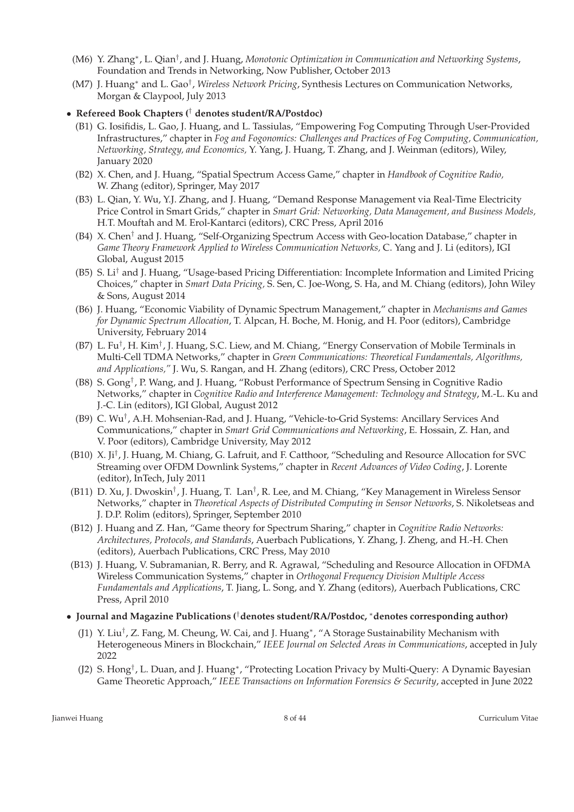- (M6) Y. Zhang<sup>∗</sup> , L. Qian† , and J. Huang, *Monotonic Optimization in Communication and Networking Systems*, Foundation and Trends in Networking, Now Publisher, October 2013
- (M7) J. Huang<sup>∗</sup> and L. Gao† , *Wireless Network Pricing*, Synthesis Lectures on Communication Networks, Morgan & Claypool, July 2013

#### • **Refereed Book Chapters (**† **denotes student/RA/Postdoc)**

- (B1) G. Iosifidis, L. Gao, J. Huang, and L. Tassiulas, "Empowering Fog Computing Through User-Provided Infrastructures," chapter in *Fog and Fogonomics: Challenges and Practices of Fog Computing, Communication, Networking, Strategy, and Economics,* Y. Yang, J. Huang, T. Zhang, and J. Weinman (editors), Wiley, January 2020
- (B2) X. Chen, and J. Huang, "Spatial Spectrum Access Game," chapter in *Handbook of Cognitive Radio,* W. Zhang (editor), Springer, May 2017
- (B3) L. Qian, Y. Wu, Y.J. Zhang, and J. Huang, "Demand Response Management via Real-Time Electricity Price Control in Smart Grids," chapter in *Smart Grid: Networking, Data Management, and Business Models,* H.T. Mouftah and M. Erol-Kantarci (editors), CRC Press, April 2016
- (B4) X. Chen† and J. Huang, "Self-Organizing Spectrum Access with Geo-location Database," chapter in *Game Theory Framework Applied to Wireless Communication Networks,* C. Yang and J. Li (editors), IGI Global, August 2015
- (B5) S. Li† and J. Huang, "Usage-based Pricing Differentiation: Incomplete Information and Limited Pricing Choices," chapter in *Smart Data Pricing,* S. Sen, C. Joe-Wong, S. Ha, and M. Chiang (editors), John Wiley & Sons, August 2014
- (B6) J. Huang, "Economic Viability of Dynamic Spectrum Management," chapter in *Mechanisms and Games for Dynamic Spectrum Allocation*, T. Alpcan, H. Boche, M. Honig, and H. Poor (editors), Cambridge University, February 2014
- (B7) L. Fu<sup>†</sup>, H. Kim<sup>†</sup>, J. Huang, S.C. Liew, and M. Chiang, "Energy Conservation of Mobile Terminals in Multi-Cell TDMA Networks," chapter in *Green Communications: Theoretical Fundamentals, Algorithms, and Applications,"* J. Wu, S. Rangan, and H. Zhang (editors), CRC Press, October 2012
- (B8) S. Gong† , P. Wang, and J. Huang, "Robust Performance of Spectrum Sensing in Cognitive Radio Networks," chapter in *Cognitive Radio and Interference Management: Technology and Strategy*, M.-L. Ku and J.-C. Lin (editors), IGI Global, August 2012
- (B9) C. Wu<sup>†</sup>, A.H. Mohsenian-Rad, and J. Huang, "Vehicle-to-Grid Systems: Ancillary Services And Communications," chapter in *Smart Grid Communications and Networking*, E. Hossain, Z. Han, and V. Poor (editors), Cambridge University, May 2012
- (B10) X. Ji† , J. Huang, M. Chiang, G. Lafruit, and F. Catthoor, "Scheduling and Resource Allocation for SVC Streaming over OFDM Downlink Systems," chapter in *Recent Advances of Video Coding*, J. Lorente (editor), InTech, July 2011
- (B11) D. Xu, J. Dwoskin<sup>†</sup>, J. Huang, T. Lan<sup>†</sup>, R. Lee, and M. Chiang, "Key Management in Wireless Sensor Networks," chapter in *Theoretical Aspects of Distributed Computing in Sensor Networks*, S. Nikoletseas and J. D.P. Rolim (editors), Springer, September 2010
- (B12) J. Huang and Z. Han, "Game theory for Spectrum Sharing," chapter in *Cognitive Radio Networks: Architectures, Protocols, and Standards*, Auerbach Publications, Y. Zhang, J. Zheng, and H.-H. Chen (editors), Auerbach Publications, CRC Press, May 2010
- (B13) J. Huang, V. Subramanian, R. Berry, and R. Agrawal, "Scheduling and Resource Allocation in OFDMA Wireless Communication Systems," chapter in *Orthogonal Frequency Division Multiple Access Fundamentals and Applications*, T. Jiang, L. Song, and Y. Zhang (editors), Auerbach Publications, CRC Press, April 2010
- **Journal and Magazine Publications (**†**denotes student/RA/Postdoc,** <sup>∗</sup>**denotes corresponding author)**
	- (J1) Y. Liu<sup>†</sup>, Z. Fang, M. Cheung, W. Cai, and J. Huang<sup>\*</sup>, "A Storage Sustainability Mechanism with Heterogeneous Miners in Blockchain," *IEEE Journal on Selected Areas in Communications*, accepted in July 2022
	- (J2) S. Hong<sup>†</sup>, L. Duan, and J. Huang<sup>∗</sup>, "Protecting Location Privacy by Multi-Query: A Dynamic Bayesian Game Theoretic Approach," *IEEE Transactions on Information Forensics & Security*, accepted in June 2022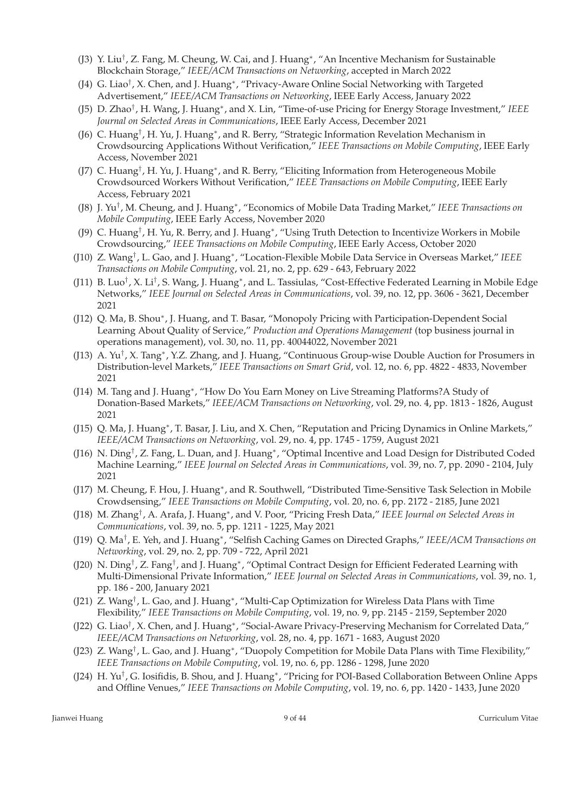- (J3) Y. Liu† , Z. Fang, M. Cheung, W. Cai, and J. Huang<sup>∗</sup> , "An Incentive Mechanism for Sustainable Blockchain Storage," *IEEE/ACM Transactions on Networking*, accepted in March 2022
- (J4) G. Liao† , X. Chen, and J. Huang<sup>∗</sup> , "Privacy-Aware Online Social Networking with Targeted Advertisement," *IEEE/ACM Transactions on Networking*, IEEE Early Access, January 2022
- (J5) D. Zhao† , H. Wang, J. Huang<sup>∗</sup> , and X. Lin, "Time-of-use Pricing for Energy Storage Investment," *IEEE Journal on Selected Areas in Communications*, IEEE Early Access, December 2021
- (J6) C. Huang<sup>†</sup>, H. Yu, J. Huang<sup>\*</sup>, and R. Berry, "Strategic Information Revelation Mechanism in Crowdsourcing Applications Without Verification," *IEEE Transactions on Mobile Computing*, IEEE Early Access, November 2021
- (J7) C. Huang<sup>†</sup>, H. Yu, J. Huang<sup>∗</sup>, and R. Berry, "Eliciting Information from Heterogeneous Mobile Crowdsourced Workers Without Verification," *IEEE Transactions on Mobile Computing*, IEEE Early Access, February 2021
- (J8) J. Yu† , M. Cheung, and J. Huang<sup>∗</sup> , "Economics of Mobile Data Trading Market," *IEEE Transactions on Mobile Computing*, IEEE Early Access, November 2020
- (J9) C. Huang<sup>†</sup>, H. Yu, R. Berry, and J. Huang<sup>∗</sup>, "Using Truth Detection to Incentivize Workers in Mobile Crowdsourcing," *IEEE Transactions on Mobile Computing*, IEEE Early Access, October 2020
- (J10) Z. Wang† , L. Gao, and J. Huang<sup>∗</sup> , "Location-Flexible Mobile Data Service in Overseas Market," *IEEE Transactions on Mobile Computing*, vol. 21, no. 2, pp. 629 - 643, February 2022
- (J11) B. Luo<sup>†</sup>, X. Li<sup>†</sup>, S. Wang, J. Huang\*, and L. Tassiulas, "Cost-Effective Federated Learning in Mobile Edge Networks," *IEEE Journal on Selected Areas in Communications*, vol. 39, no. 12, pp. 3606 - 3621, December 2021
- (J12) Q. Ma, B. Shou\*, J. Huang, and T. Basar, "Monopoly Pricing with Participation-Dependent Social Learning About Quality of Service," *Production and Operations Management* (top business journal in operations management), vol. 30, no. 11, pp. 40044022, November 2021
- (J13) A. Yu<sup>†</sup>, X. Tang\*, Y.Z. Zhang, and J. Huang, "Continuous Group-wise Double Auction for Prosumers in Distribution-level Markets," *IEEE Transactions on Smart Grid*, vol. 12, no. 6, pp. 4822 - 4833, November 2021
- (J14) M. Tang and J. Huang<sup>\*</sup>, "How Do You Earn Money on Live Streaming Platforms?A Study of Donation-Based Markets," *IEEE/ACM Transactions on Networking*, vol. 29, no. 4, pp. 1813 - 1826, August 2021
- (J15) Q. Ma, J. Huang<sup>∗</sup>, T. Basar, J. Liu, and X. Chen, "Reputation and Pricing Dynamics in Online Markets," *IEEE/ACM Transactions on Networking*, vol. 29, no. 4, pp. 1745 - 1759, August 2021
- (J16) N. Ding<sup>†</sup>, Z. Fang, L. Duan, and J. Huang<sup>∗</sup>, "Optimal Incentive and Load Design for Distributed Coded Machine Learning," *IEEE Journal on Selected Areas in Communications*, vol. 39, no. 7, pp. 2090 - 2104, July 2021
- (J17) M. Cheung, F. Hou, J. Huang<sup>\*</sup>, and R. Southwell, "Distributed Time-Sensitive Task Selection in Mobile Crowdsensing," *IEEE Transactions on Mobile Computing*, vol. 20, no. 6, pp. 2172 - 2185, June 2021
- (J18) M. Zhang† , A. Arafa, J. Huang<sup>∗</sup> , and V. Poor, "Pricing Fresh Data," *IEEE Journal on Selected Areas in Communications*, vol. 39, no. 5, pp. 1211 - 1225, May 2021
- (J19) Q. Ma† , E. Yeh, and J. Huang<sup>∗</sup> , "Selfish Caching Games on Directed Graphs," *IEEE/ACM Transactions on Networking*, vol. 29, no. 2, pp. 709 - 722, April 2021
- (J20) N. Ding<sup>†</sup>, Z. Fang<sup>†</sup>, and J. Huang\*, "Optimal Contract Design for Efficient Federated Learning with Multi-Dimensional Private Information," *IEEE Journal on Selected Areas in Communications*, vol. 39, no. 1, pp. 186 - 200, January 2021
- (J21) Z. Wang<sup>†</sup>, L. Gao, and J. Huang<sup>∗</sup>, "Multi-Cap Optimization for Wireless Data Plans with Time Flexibility," *IEEE Transactions on Mobile Computing*, vol. 19, no. 9, pp. 2145 - 2159, September 2020
- (J22) G. Liao<sup>†</sup>, X. Chen, and J. Huang<sup>∗</sup>, "Social-Aware Privacy-Preserving Mechanism for Correlated Data," *IEEE/ACM Transactions on Networking*, vol. 28, no. 4, pp. 1671 - 1683, August 2020
- (J23) Z. Wang† , L. Gao, and J. Huang<sup>∗</sup> , "Duopoly Competition for Mobile Data Plans with Time Flexibility," *IEEE Transactions on Mobile Computing*, vol. 19, no. 6, pp. 1286 - 1298, June 2020
- (J24) H. Yu† , G. Iosifidis, B. Shou, and J. Huang<sup>∗</sup> , "Pricing for POI-Based Collaboration Between Online Apps and Offline Venues," *IEEE Transactions on Mobile Computing*, vol. 19, no. 6, pp. 1420 - 1433, June 2020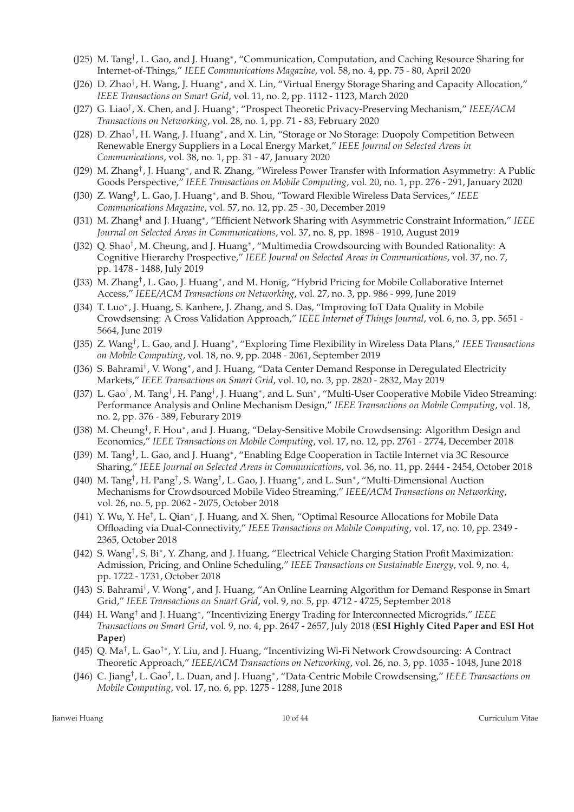- (J25) M. Tang<sup>†</sup>, L. Gao, and J. Huang<sup>∗</sup>, "Communication, Computation, and Caching Resource Sharing for Internet-of-Things," *IEEE Communications Magazine*, vol. 58, no. 4, pp. 75 - 80, April 2020
- (J26) D. Zhao<sup>†</sup>, H. Wang, J. Huang\*, and X. Lin, "Virtual Energy Storage Sharing and Capacity Allocation," *IEEE Transactions on Smart Grid*, vol. 11, no. 2, pp. 1112 - 1123, March 2020
- (J27) G. Liao† , X. Chen, and J. Huang<sup>∗</sup> , "Prospect Theoretic Privacy-Preserving Mechanism," *IEEE/ACM Transactions on Networking*, vol. 28, no. 1, pp. 71 - 83, February 2020
- (J28) D. Zhao<sup>†</sup>, H. Wang, J. Huang\*, and X. Lin, "Storage or No Storage: Duopoly Competition Between Renewable Energy Suppliers in a Local Energy Market," *IEEE Journal on Selected Areas in Communications*, vol. 38, no. 1, pp. 31 - 47, January 2020
- (J29) M. Zhang<sup>†</sup>, J. Huang\*, and R. Zhang, "Wireless Power Transfer with Information Asymmetry: A Public Goods Perspective," *IEEE Transactions on Mobile Computing*, vol. 20, no. 1, pp. 276 - 291, January 2020
- (J30) Z. Wang† , L. Gao, J. Huang<sup>∗</sup> , and B. Shou, "Toward Flexible Wireless Data Services," *IEEE Communications Magazine*, vol. 57, no. 12, pp. 25 - 30, December 2019
- (J31) M. Zhang† and J. Huang<sup>∗</sup> , "Efficient Network Sharing with Asymmetric Constraint Information," *IEEE Journal on Selected Areas in Communications*, vol. 37, no. 8, pp. 1898 - 1910, August 2019
- (J32) Q. Shao<sup>†</sup>, M. Cheung, and J. Huang<sup>∗</sup>, "Multimedia Crowdsourcing with Bounded Rationality: A Cognitive Hierarchy Prospective," *IEEE Journal on Selected Areas in Communications*, vol. 37, no. 7, pp. 1478 - 1488, July 2019
- (J33) M. Zhang<sup>†</sup>, L. Gao, J. Huang<sup>\*</sup>, and M. Honig, "Hybrid Pricing for Mobile Collaborative Internet Access," *IEEE/ACM Transactions on Networking*, vol. 27, no. 3, pp. 986 - 999, June 2019
- (J34) T. Luo<sup>∗</sup> , J. Huang, S. Kanhere, J. Zhang, and S. Das, "Improving IoT Data Quality in Mobile Crowdsensing: A Cross Validation Approach," *IEEE Internet of Things Journal*, vol. 6, no. 3, pp. 5651 - 5664, June 2019
- (J35) Z. Wang† , L. Gao, and J. Huang<sup>∗</sup> , "Exploring Time Flexibility in Wireless Data Plans," *IEEE Transactions on Mobile Computing*, vol. 18, no. 9, pp. 2048 - 2061, September 2019
- (J36) S. Bahrami<sup>†</sup>, V. Wong<sup>∗</sup>, and J. Huang, "Data Center Demand Response in Deregulated Electricity Markets," *IEEE Transactions on Smart Grid*, vol. 10, no. 3, pp. 2820 - 2832, May 2019
- (J37) L. Gao†, M. Tang†, H. Pang†, J. Huang\*, and L. Sun\*, "Multi-User Cooperative Mobile Video Streaming: Performance Analysis and Online Mechanism Design," *IEEE Transactions on Mobile Computing*, vol. 18, no. 2, pp. 376 - 389, Feburary 2019
- (J38) M. Cheung<sup>†</sup>, F. Hou\*, and J. Huang, "Delay-Sensitive Mobile Crowdsensing: Algorithm Design and Economics," *IEEE Transactions on Mobile Computing*, vol. 17, no. 12, pp. 2761 - 2774, December 2018
- (J39) M. Tang<sup>†</sup>, L. Gao, and J. Huang\*, "Enabling Edge Cooperation in Tactile Internet via 3C Resource Sharing," *IEEE Journal on Selected Areas in Communications*, vol. 36, no. 11, pp. 2444 - 2454, October 2018
- (J40) M. Tang†, H. Pang†, S. Wang†, L. Gao, J. Huang\*, and L. Sun\*, "Multi-Dimensional Auction Mechanisms for Crowdsourced Mobile Video Streaming," *IEEE/ACM Transactions on Networking*, vol. 26, no. 5, pp. 2062 - 2075, October 2018
- (J41) Y. Wu, Y. He<sup>†</sup>, L. Qian<sup>\*</sup>, J. Huang, and X. Shen, "Optimal Resource Allocations for Mobile Data Offloading via Dual-Connectivity," *IEEE Transactions on Mobile Computing*, vol. 17, no. 10, pp. 2349 - 2365, October 2018
- (J42) S. Wang<sup>†</sup>, S. Bi\*, Y. Zhang, and J. Huang, "Electrical Vehicle Charging Station Profit Maximization: Admission, Pricing, and Online Scheduling," *IEEE Transactions on Sustainable Energy*, vol. 9, no. 4, pp. 1722 - 1731, October 2018
- (J43) S. Bahrami<sup>†</sup>, V. Wong<sup>∗</sup>, and J. Huang, "An Online Learning Algorithm for Demand Response in Smart Grid," *IEEE Transactions on Smart Grid*, vol. 9, no. 5, pp. 4712 - 4725, September 2018
- (J44) H. Wang† and J. Huang<sup>∗</sup> , "Incentivizing Energy Trading for Interconnected Microgrids," *IEEE Transactions on Smart Grid*, vol. 9, no. 4, pp. 2647 - 2657, July 2018 (**ESI Highly Cited Paper and ESI Hot Paper**)
- (J45) Q. Ma<sup>†</sup>, L. Gao<sup>†∗</sup>, Y. Liu, and J. Huang, "Incentivizing Wi-Fi Network Crowdsourcing: A Contract Theoretic Approach," *IEEE/ACM Transactions on Networking*, vol. 26, no. 3, pp. 1035 - 1048, June 2018
- (J46) C. Jiang† , L. Gao† , L. Duan, and J. Huang<sup>∗</sup> , "Data-Centric Mobile Crowdsensing," *IEEE Transactions on Mobile Computing*, vol. 17, no. 6, pp. 1275 - 1288, June 2018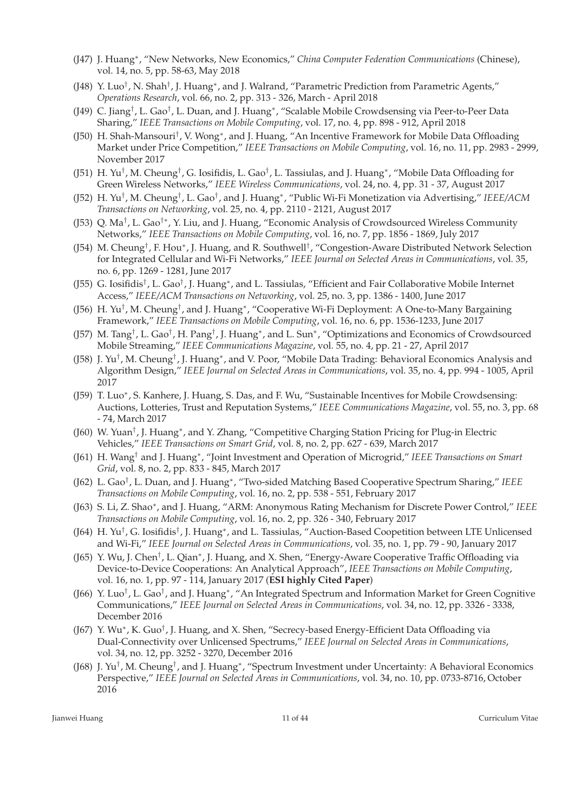- (J47) J. Huang<sup>∗</sup> , "New Networks, New Economics," *China Computer Federation Communications* (Chinese), vol. 14, no. 5, pp. 58-63, May 2018
- (J48) Y. Luo<sup>†</sup>, N. Shah<sup>†</sup>, J. Huang\*, and J. Walrand, "Parametric Prediction from Parametric Agents," *Operations Research*, vol. 66, no. 2, pp. 313 - 326, March - April 2018
- (J49) C. Jiang†, L. Gao†, L. Duan, and J. Huang\*, "Scalable Mobile Crowdsensing via Peer-to-Peer Data Sharing," *IEEE Transactions on Mobile Computing*, vol. 17, no. 4, pp. 898 - 912, April 2018
- (J50) H. Shah-Mansouri<sup>†</sup>, V. Wong<sup>\*</sup>, and J. Huang, "An Incentive Framework for Mobile Data Offloading Market under Price Competition," *IEEE Transactions on Mobile Computing*, vol. 16, no. 11, pp. 2983 - 2999, November 2017
- (J51) H. Yu<sup>†</sup>, M. Cheung<sup>†</sup>, G. Iosifidis, L. Gao<sup>†</sup>, L. Tassiulas, and J. Huang\*, "Mobile Data Offloading for Green Wireless Networks," *IEEE Wireless Communications*, vol. 24, no. 4, pp. 31 - 37, August 2017
- (J52) H. Yu† , M. Cheung† , L. Gao† , and J. Huang<sup>∗</sup> , "Public Wi-Fi Monetization via Advertising," *IEEE/ACM Transactions on Networking*, vol. 25, no. 4, pp. 2110 - 2121, August 2017
- (J53) Q. Ma<sup>†</sup>, L. Gao<sup>†∗</sup>, Y. Liu, and J. Huang, "Economic Analysis of Crowdsourced Wireless Community Networks," *IEEE Transactions on Mobile Computing*, vol. 16, no. 7, pp. 1856 - 1869, July 2017
- (J54) M. Cheung<sup>†</sup>, F. Hou\*, J. Huang, and R. Southwell<sup>†</sup>, "Congestion-Aware Distributed Network Selection for Integrated Cellular and Wi-Fi Networks," *IEEE Journal on Selected Areas in Communications*, vol. 35, no. 6, pp. 1269 - 1281, June 2017
- (J55) G. Iosifidis<sup>†</sup>, L. Gao<sup>†</sup>, J. Huang\*, and L. Tassiulas, "Efficient and Fair Collaborative Mobile Internet Access," *IEEE/ACM Transactions on Networking*, vol. 25, no. 3, pp. 1386 - 1400, June 2017
- (J56) H. Yu<sup>†</sup>, M. Cheung<sup>†</sup>, and J. Huang<sup>∗</sup>, "Cooperative Wi-Fi Deployment: A One-to-Many Bargaining Framework," *IEEE Transactions on Mobile Computing*, vol. 16, no. 6, pp. 1536-1233, June 2017
- (J57) M. Tang†, L. Gao†, H. Pang†, J. Huang\*, and L. Sun\*, "Optimizations and Economics of Crowdsourced Mobile Streaming," *IEEE Communications Magazine*, vol. 55, no. 4, pp. 21 - 27, April 2017
- (J58) J. Yu<sup>†</sup>, M. Cheung<sup>†</sup>, J. Huang\*, and V. Poor, "Mobile Data Trading: Behavioral Economics Analysis and Algorithm Design," *IEEE Journal on Selected Areas in Communications*, vol. 35, no. 4, pp. 994 - 1005, April 2017
- (J59) T. Luo<sup>∗</sup> , S. Kanhere, J. Huang, S. Das, and F. Wu, "Sustainable Incentives for Mobile Crowdsensing: Auctions, Lotteries, Trust and Reputation Systems," *IEEE Communications Magazine*, vol. 55, no. 3, pp. 68 - 74, March 2017
- (J60) W. Yuan<sup>†</sup>, J. Huang\*, and Y. Zhang, "Competitive Charging Station Pricing for Plug-in Electric Vehicles," *IEEE Transactions on Smart Grid*, vol. 8, no. 2, pp. 627 - 639, March 2017
- (J61) H. Wang† and J. Huang<sup>∗</sup> , "Joint Investment and Operation of Microgrid," *IEEE Transactions on Smart Grid*, vol. 8, no. 2, pp. 833 - 845, March 2017
- (J62) L. Gao† , L. Duan, and J. Huang<sup>∗</sup> , "Two-sided Matching Based Cooperative Spectrum Sharing," *IEEE Transactions on Mobile Computing*, vol. 16, no. 2, pp. 538 - 551, February 2017
- (J63) S. Li, Z. Shao<sup>∗</sup> , and J. Huang, "ARM: Anonymous Rating Mechanism for Discrete Power Control," *IEEE Transactions on Mobile Computing*, vol. 16, no. 2, pp. 326 - 340, February 2017
- (J64) H. Yu<sup>†</sup>, G. Iosifidis<sup>†</sup>, J. Huang\*, and L. Tassiulas, "Auction-Based Coopetition between LTE Unlicensed and Wi-Fi," *IEEE Journal on Selected Areas in Communications*, vol. 35, no. 1, pp. 79 - 90, January 2017
- (J65) Y. Wu, J. Chen<sup>†</sup>, L. Qian<sup>\*</sup>, J. Huang, and X. Shen, "Energy-Aware Cooperative Traffic Offloading via Device-to-Device Cooperations: An Analytical Approach", *IEEE Transactions on Mobile Computing*, vol. 16, no. 1, pp. 97 - 114, January 2017 (**ESI highly Cited Paper**)
- (J66) Y. Luo<sup>†</sup>, L. Gao<sup>†</sup>, and J. Huang\*, "An Integrated Spectrum and Information Market for Green Cognitive Communications," *IEEE Journal on Selected Areas in Communications*, vol. 34, no. 12, pp. 3326 - 3338, December 2016
- (J67) Y. Wu\*, K. Guo<sup>†</sup>, J. Huang, and X. Shen, "Secrecy-based Energy-Efficient Data Offloading via Dual-Connectivity over Unlicensed Spectrums," *IEEE Journal on Selected Areas in Communications*, vol. 34, no. 12, pp. 3252 - 3270, December 2016
- (J68) J. Yu<sup>†</sup>, M. Cheung<sup>†</sup>, and J. Huang\*, "Spectrum Investment under Uncertainty: A Behavioral Economics Perspective," *IEEE Journal on Selected Areas in Communications*, vol. 34, no. 10, pp. 0733-8716, October 2016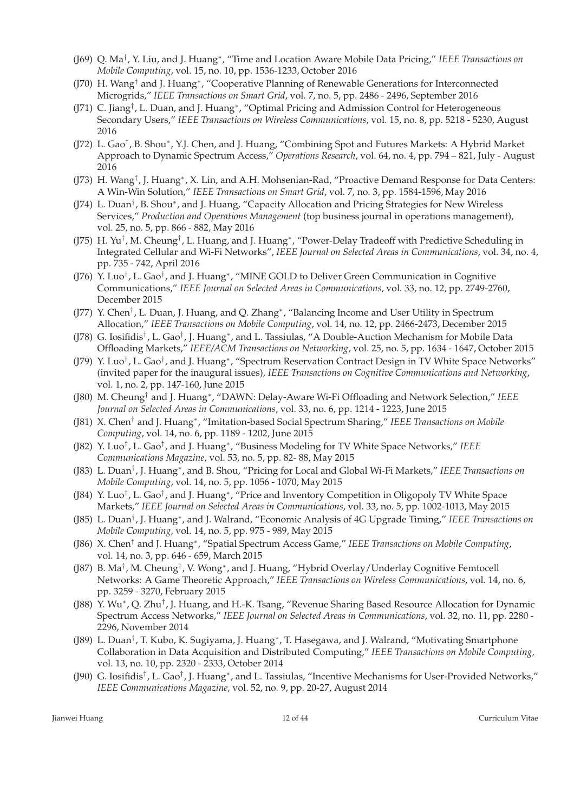- (J69) Q. Ma† , Y. Liu, and J. Huang<sup>∗</sup> , "Time and Location Aware Mobile Data Pricing," *IEEE Transactions on Mobile Computing*, vol. 15, no. 10, pp. 1536-1233, October 2016
- (J70) H. Wang† and J. Huang<sup>∗</sup> , "Cooperative Planning of Renewable Generations for Interconnected Microgrids," *IEEE Transactions on Smart Grid*, vol. 7, no. 5, pp. 2486 - 2496, September 2016
- (J71) C. Jiang<sup>†</sup>, L. Duan, and J. Huang\*, "Optimal Pricing and Admission Control for Heterogeneous Secondary Users," *IEEE Transactions on Wireless Communications*, vol. 15, no. 8, pp. 5218 - 5230, August 2016
- (J72) L. Gao<sup>†</sup>, B. Shou\*, Y.J. Chen, and J. Huang, "Combining Spot and Futures Markets: A Hybrid Market Approach to Dynamic Spectrum Access," *Operations Research*, vol. 64, no. 4, pp. 794 – 821, July - August 2016
- (J73) H. Wang<sup>†</sup>, J. Huang<sup>∗</sup>, X. Lin, and A.H. Mohsenian-Rad, "Proactive Demand Response for Data Centers: A Win-Win Solution," *IEEE Transactions on Smart Grid*, vol. 7, no. 3, pp. 1584-1596, May 2016
- (J74) L. Duan<sup>†</sup>, B. Shou\*, and J. Huang, "Capacity Allocation and Pricing Strategies for New Wireless Services," *Production and Operations Management* (top business journal in operations management), vol. 25, no. 5, pp. 866 - 882, May 2016
- (J75) H. Yu<sup>†</sup>, M. Cheung<sup>†</sup>, L. Huang, and J. Huang\*, "Power-Delay Tradeoff with Predictive Scheduling in Integrated Cellular and Wi-Fi Networks", *IEEE Journal on Selected Areas in Communications*, vol. 34, no. 4, pp. 735 - 742, April 2016
- (J76) Y. Luo<sup>†</sup>, L. Gao<sup>†</sup>, and J. Huang<sup>∗</sup>, "MINE GOLD to Deliver Green Communication in Cognitive Communications," *IEEE Journal on Selected Areas in Communications*, vol. 33, no. 12, pp. 2749-2760, December 2015
- (J77) Y. Chen<sup>†</sup>, L. Duan, J. Huang, and Q. Zhang<sup>\*</sup>, "Balancing Income and User Utility in Spectrum Allocation," *IEEE Transactions on Mobile Computing*, vol. 14, no. 12, pp. 2466-2473, December 2015
- (J78) G. Iosifidis<sup>†</sup>, L. Gao<sup>†</sup>, J. Huang<sup>\*</sup>, and L. Tassiulas, "A Double-Auction Mechanism for Mobile Data Offloading Markets," *IEEE/ACM Transactions on Networking*, vol. 25, no. 5, pp. 1634 - 1647, October 2015
- (J79) Y. Luo<sup>†</sup>, L. Gao<sup>†</sup>, and J. Huang\*, "Spectrum Reservation Contract Design in TV White Space Networks" (invited paper for the inaugural issues), *IEEE Transactions on Cognitive Communications and Networking*, vol. 1, no. 2, pp. 147-160, June 2015
- (J80) M. Cheung† and J. Huang<sup>∗</sup> , "DAWN: Delay-Aware Wi-Fi Offloading and Network Selection," *IEEE Journal on Selected Areas in Communications*, vol. 33, no. 6, pp. 1214 - 1223, June 2015
- (J81) X. Chen† and J. Huang<sup>∗</sup> , "Imitation-based Social Spectrum Sharing," *IEEE Transactions on Mobile Computing*, vol. 14, no. 6, pp. 1189 - 1202, June 2015
- (J82) Y. Luo† , L. Gao† , and J. Huang<sup>∗</sup> , "Business Modeling for TV White Space Networks," *IEEE Communications Magazine*, vol. 53, no. 5, pp. 82- 88, May 2015
- (J83) L. Duan† , J. Huang<sup>∗</sup> , and B. Shou, "Pricing for Local and Global Wi-Fi Markets," *IEEE Transactions on Mobile Computing*, vol. 14, no. 5, pp. 1056 - 1070, May 2015
- (J84) Y. Luo<sup>†</sup>, L. Gao<sup>†</sup>, and J. Huang<sup>∗</sup>, "Price and Inventory Competition in Oligopoly TV White Space Markets," *IEEE Journal on Selected Areas in Communications*, vol. 33, no. 5, pp. 1002-1013, May 2015
- (J85) L. Duan† , J. Huang<sup>∗</sup> , and J. Walrand, "Economic Analysis of 4G Upgrade Timing," *IEEE Transactions on Mobile Computing*, vol. 14, no. 5, pp. 975 - 989, May 2015
- (J86) X. Chen† and J. Huang<sup>∗</sup> , "Spatial Spectrum Access Game," *IEEE Transactions on Mobile Computing*, vol. 14, no. 3, pp. 646 - 659, March 2015
- (J87) B. Ma<sup>†</sup>, M. Cheung<sup>†</sup>, V. Wong\*, and J. Huang, "Hybrid Overlay/Underlay Cognitive Femtocell Networks: A Game Theoretic Approach," *IEEE Transactions on Wireless Communications*, vol. 14, no. 6, pp. 3259 - 3270, February 2015
- (J88) Y. Wu\*, Q. Zhu<sup>†</sup>, J. Huang, and H.-K. Tsang, "Revenue Sharing Based Resource Allocation for Dynamic Spectrum Access Networks," *IEEE Journal on Selected Areas in Communications*, vol. 32, no. 11, pp. 2280 - 2296, November 2014
- (J89) L. Duan<sup>†</sup>, T. Kubo, K. Sugiyama, J. Huang\*, T. Hasegawa, and J. Walrand, "Motivating Smartphone Collaboration in Data Acquisition and Distributed Computing," *IEEE Transactions on Mobile Computing,* vol. 13, no. 10, pp. 2320 - 2333, October 2014
- (J90) G. Iosifidis<sup>†</sup>, L. Gao<sup>†</sup>, J. Huang<sup>∗</sup>, and L. Tassiulas, "Incentive Mechanisms for User-Provided Networks," *IEEE Communications Magazine*, vol. 52, no. 9, pp. 20-27, August 2014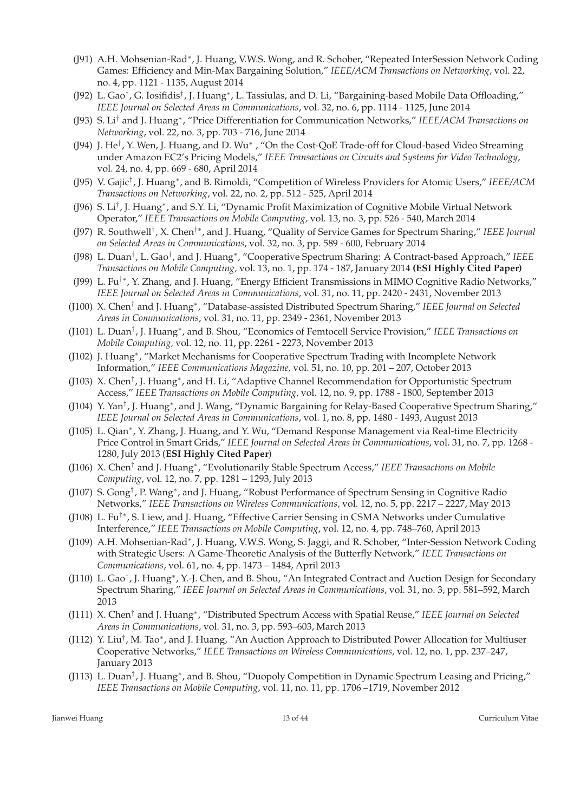- (J91) A.H. Mohsenian-Rad<sup>∗</sup>, J. Huang, V.W.S. Wong, and R. Schober, "Repeated InterSession Network Coding Games: Efficiency and Min-Max Bargaining Solution," *IEEE/ACM Transactions on Networking*, vol. 22, no. 4, pp. 1121 - 1135, August 2014
- (J92) L. Gao<sup>†</sup>, G. Iosifidis<sup>†</sup>, J. Huang\*, L. Tassiulas, and D. Li, "Bargaining-based Mobile Data Offloading," *IEEE Journal on Selected Areas in Communications*, vol. 32, no. 6, pp. 1114 - 1125, June 2014
- (J93) S. Li† and J. Huang<sup>∗</sup> , "Price Differentiation for Communication Networks," *IEEE/ACM Transactions on Networking*, vol. 22, no. 3, pp. 703 - 716, June 2014
- (J94) J. He<sup>†</sup>, Y. Wen, J. Huang, and D. Wu<sup>\*</sup>, "On the Cost-QoE Trade-off for Cloud-based Video Streaming under Amazon EC2's Pricing Models," *IEEE Transactions on Circuits and Systems for Video Technology*, vol. 24, no. 4, pp. 669 - 680, April 2014
- (J95) V. Gajic† , J. Huang<sup>∗</sup> , and B. Rimoldi, "Competition of Wireless Providers for Atomic Users," *IEEE/ACM Transactions on Networking*, vol. 22, no. 2, pp. 512 - 525, April 2014
- (J96) S. Li<sup>†</sup>, J. Huang<sup>\*</sup>, and S.Y. Li, "Dynamic Profit Maximization of Cognitive Mobile Virtual Network Operator," *IEEE Transactions on Mobile Computing,* vol. 13, no. 3, pp. 526 - 540, March 2014
- (J97) R. Southwell† , X. Chen†∗, and J. Huang, "Quality of Service Games for Spectrum Sharing," *IEEE Journal on Selected Areas in Communications*, vol. 32, no. 3, pp. 589 - 600, February 2014
- (J98) L. Duan† , L. Gao† , and J. Huang<sup>∗</sup> , "Cooperative Spectrum Sharing: A Contract-based Approach," *IEEE Transactions on Mobile Computing,* vol. 13, no. 1, pp. 174 - 187, January 2014 **(ESI Highly Cited Paper)**
- (J99) L. Fu†∗, Y. Zhang, and J. Huang, "Energy Efficient Transmissions in MIMO Cognitive Radio Networks," *IEEE Journal on Selected Areas in Communications*, vol. 31, no. 11, pp. 2420 - 2431, November 2013
- (J100) X. Chen† and J. Huang<sup>∗</sup> , "Database-assisted Distributed Spectrum Sharing," *IEEE Journal on Selected Areas in Communications*, vol. 31, no. 11, pp. 2349 - 2361, November 2013
- (J101) L. Duan† , J. Huang<sup>∗</sup> , and B. Shou, "Economics of Femtocell Service Provision," *IEEE Transactions on Mobile Computing,* vol. 12, no. 11, pp. 2261 - 2273, November 2013
- (J102) J. Huang<sup>∗</sup> , "Market Mechanisms for Cooperative Spectrum Trading with Incomplete Network Information," *IEEE Communications Magazine,* vol. 51, no. 10, pp. 201 – 207, October 2013
- (J103) X. Chen<sup>†</sup>, J. Huang<sup>\*</sup>, and H. Li, "Adaptive Channel Recommendation for Opportunistic Spectrum Access," *IEEE Transactions on Mobile Computing*, vol. 12, no. 9, pp. 1788 - 1800, September 2013
- (J104) Y. Yan<sup>†</sup>, J. Huang\*, and J. Wang, "Dynamic Bargaining for Relay-Based Cooperative Spectrum Sharing," *IEEE Journal on Selected Areas in Communications*, vol. 1, no. 8, pp. 1480 - 1493, August 2013
- (J105) L. Qian<sup>\*</sup>, Y. Zhang, J. Huang, and Y. Wu, "Demand Response Management via Real-time Electricity Price Control in Smart Grids," *IEEE Journal on Selected Areas in Communications*, vol. 31, no. 7, pp. 1268 - 1280, July 2013 (**ESI Highly Cited Paper**)
- (J106) X. Chen<sup>†</sup> and J. Huang<sup>\*</sup>, "Evolutionarily Stable Spectrum Access," IEEE Transactions on Mobile *Computing*, vol. 12, no. 7, pp. 1281 – 1293, July 2013
- (J107) S. Gong<sup>†</sup>, P. Wang<sup>\*</sup>, and J. Huang, "Robust Performance of Spectrum Sensing in Cognitive Radio Networks," *IEEE Transactions on Wireless Communications*, vol. 12, no. 5, pp. 2217 – 2227, May 2013
- (J108) L. Fu†∗, S. Liew, and J. Huang, "Effective Carrier Sensing in CSMA Networks under Cumulative Interference," *IEEE Transactions on Mobile Computing*, vol. 12, no. 4, pp. 748–760, April 2013
- (J109) A.H. Mohsenian-Rad<sup>∗</sup>, J. Huang, V.W.S. Wong, S. Jaggi, and R. Schober, "Inter-Session Network Coding with Strategic Users: A Game-Theoretic Analysis of the Butterfly Network," *IEEE Transactions on Communications*, vol. 61, no. 4, pp. 1473 – 1484, April 2013
- (J110) L. Gao<sup>†</sup>, J. Huang\*, Y.-J. Chen, and B. Shou, "An Integrated Contract and Auction Design for Secondary Spectrum Sharing," *IEEE Journal on Selected Areas in Communications*, vol. 31, no. 3, pp. 581–592, March 2013
- (J111) X. Chen† and J. Huang<sup>∗</sup> , "Distributed Spectrum Access with Spatial Reuse," *IEEE Journal on Selected Areas in Communications*, vol. 31, no. 3, pp. 593–603, March 2013
- (J112) Y. Liu<sup>†</sup>, M. Tao\*, and J. Huang, "An Auction Approach to Distributed Power Allocation for Multiuser Cooperative Networks," *IEEE Transactions on Wireless Communications,* vol. 12, no. 1, pp. 237–247, January 2013
- (J113) L. Duan<sup>†</sup>, J. Huang<sup>\*</sup>, and B. Shou, "Duopoly Competition in Dynamic Spectrum Leasing and Pricing," *IEEE Transactions on Mobile Computing*, vol. 11, no. 11, pp. 1706 –1719, November 2012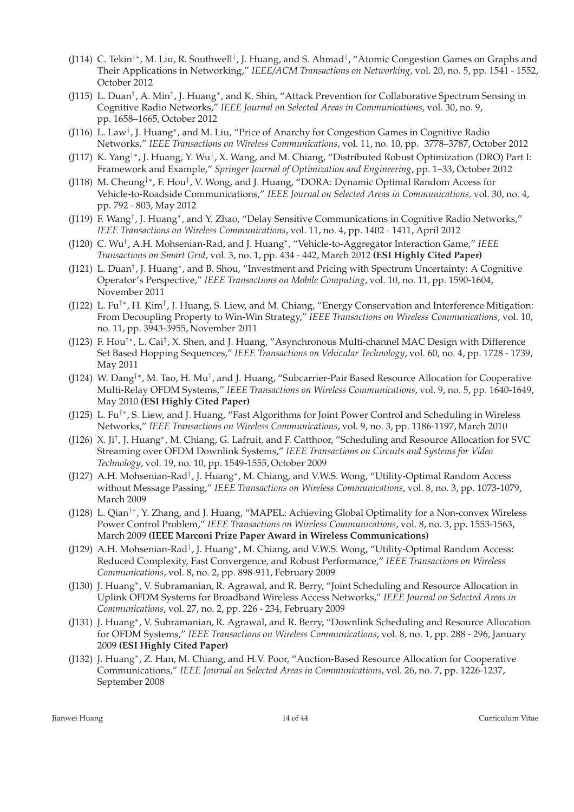- (J114) C. Tekin<sup>†</sup>\*, M. Liu, R. Southwell<sup>†</sup>, J. Huang, and S. Ahmad<sup>†</sup>, "Atomic Congestion Games on Graphs and Their Applications in Networking," *IEEE/ACM Transactions on Networking*, vol. 20, no. 5, pp. 1541 - 1552, October 2012
- (J115) L. Duan<sup>†</sup>, A. Min<sup>†</sup>, J. Huang\*, and K. Shin, "Attack Prevention for Collaborative Spectrum Sensing in Cognitive Radio Networks," *IEEE Journal on Selected Areas in Communications*, vol. 30, no. 9, pp. 1658–1665, October 2012
- (J116) L. Law<sup>†</sup>, J. Huang\*, and M. Liu, "Price of Anarchy for Congestion Games in Cognitive Radio Networks," *IEEE Transactions on Wireless Communications*, vol. 11, no. 10, pp. 3778–3787, October 2012
- (J117) K. Yang<sup>†∗</sup>, J. Huang, Y. Wu<sup>†</sup>, X. Wang, and M. Chiang, "Distributed Robust Optimization (DRO) Part I: Framework and Example," *Springer Journal of Optimization and Engineering*, pp. 1–33, October 2012
- (J118) M. Cheung<sup>†</sup>\*, F. Hou<sup>†</sup>, V. Wong, and J. Huang, "DORA: Dynamic Optimal Random Access for Vehicle-to-Roadside Communications," *IEEE Journal on Selected Areas in Communications,* vol. 30, no. 4, pp. 792 - 803, May 2012
- (J119) F. Wang<sup>†</sup>, J. Huang<sup>\*</sup>, and Y. Zhao, "Delay Sensitive Communications in Cognitive Radio Networks," *IEEE Transactions on Wireless Communications*, vol. 11, no. 4, pp. 1402 - 1411, April 2012
- (J120) C. Wu† , A.H. Mohsenian-Rad, and J. Huang<sup>∗</sup> , "Vehicle-to-Aggregator Interaction Game," *IEEE Transactions on Smart Grid*, vol. 3, no. 1, pp. 434 - 442, March 2012 **(ESI Highly Cited Paper)**
- (J121) L. Duan<sup>†</sup>, J. Huang\*, and B. Shou, "Investment and Pricing with Spectrum Uncertainty: A Cognitive Operator's Perspective," *IEEE Transactions on Mobile Computing*, vol. 10, no. 11, pp. 1590-1604, November 2011
- (J122) L. Fu<sup>†∗</sup>, H. Kim<sup>†</sup>, J. Huang, S. Liew, and M. Chiang, "Energy Conservation and Interference Mitigation: From Decoupling Property to Win-Win Strategy," *IEEE Transactions on Wireless Communications*, vol. 10, no. 11, pp. 3943-3955, November 2011
- (J123) F. Hou<sup>†\*</sup>, L. Cai<sup>†</sup>, X. Shen, and J. Huang, "Asynchronous Multi-channel MAC Design with Difference Set Based Hopping Sequences," *IEEE Transactions on Vehicular Technology*, vol. 60, no. 4, pp. 1728 - 1739, May 2011
- (J124) W. Dang<sup>†∗</sup>, M. Tao, H. Mu<sup>†</sup>, and J. Huang, "Subcarrier-Pair Based Resource Allocation for Cooperative Multi-Relay OFDM Systems," *IEEE Transactions on Wireless Communications*, vol. 9, no. 5, pp. 1640-1649, May 2010 **(ESI Highly Cited Paper)**
- (J125) L. Fu†∗, S. Liew, and J. Huang, "Fast Algorithms for Joint Power Control and Scheduling in Wireless Networks," *IEEE Transactions on Wireless Communications*, vol. 9, no. 3, pp. 1186-1197, March 2010
- (J126) X. Ji<sup>†</sup>, J. Huang<sup>\*</sup>, M. Chiang, G. Lafruit, and F. Catthoor, "Scheduling and Resource Allocation for SVC Streaming over OFDM Downlink Systems," *IEEE Transactions on Circuits and Systems for Video Technology*, vol. 19, no. 10, pp. 1549-1555, October 2009
- (J127) A.H. Mohsenian-Rad<sup>†</sup>, J. Huang\*, M. Chiang, and V.W.S. Wong, "Utility-Optimal Random Access without Message Passing," *IEEE Transactions on Wireless Communications*, vol. 8, no. 3, pp. 1073-1079, March 2009
- (J128) L. Qian†∗, Y. Zhang, and J. Huang, "MAPEL: Achieving Global Optimality for a Non-convex Wireless Power Control Problem," *IEEE Transactions on Wireless Communications*, vol. 8, no. 3, pp. 1553-1563, March 2009 **(IEEE Marconi Prize Paper Award in Wireless Communications)**
- (J129) A.H. Mohsenian-Rad<sup>†</sup>, J. Huang<sup>\*</sup>, M. Chiang, and V.W.S. Wong, "Utility-Optimal Random Access: Reduced Complexity, Fast Convergence, and Robust Performance," *IEEE Transactions on Wireless Communications*, vol. 8, no. 2, pp. 898-911, February 2009
- (J130) J. Huang<sup>∗</sup> , V. Subramanian, R. Agrawal, and R. Berry, "Joint Scheduling and Resource Allocation in Uplink OFDM Systems for Broadband Wireless Access Networks," *IEEE Journal on Selected Areas in Communications*, vol. 27, no. 2, pp. 226 - 234, February 2009
- (J131) J. Huang<sup>∗</sup> , V. Subramanian, R. Agrawal, and R. Berry, "Downlink Scheduling and Resource Allocation for OFDM Systems," *IEEE Transactions on Wireless Communications*, vol. 8, no. 1, pp. 288 - 296, January 2009 **(ESI Highly Cited Paper)**
- (J132) J. Huang<sup>∗</sup> , Z. Han, M. Chiang, and H.V. Poor, "Auction-Based Resource Allocation for Cooperative Communications," *IEEE Journal on Selected Areas in Communications*, vol. 26, no. 7, pp. 1226-1237, September 2008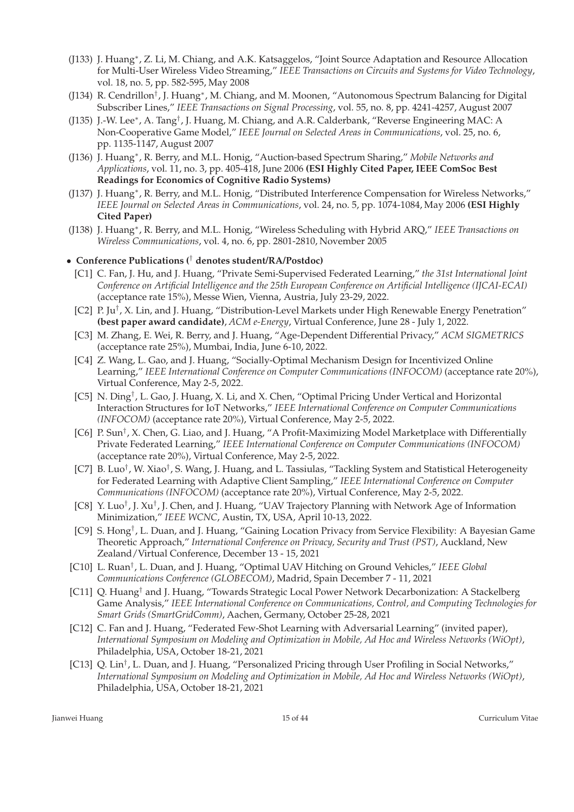- (J133) J. Huang<sup>∗</sup> , Z. Li, M. Chiang, and A.K. Katsaggelos, "Joint Source Adaptation and Resource Allocation for Multi-User Wireless Video Streaming," *IEEE Transactions on Circuits and Systems for Video Technology*, vol. 18, no. 5, pp. 582-595, May 2008
- (J134) R. Cendrillon<sup>†</sup>, J. Huang\*, M. Chiang, and M. Moonen, "Autonomous Spectrum Balancing for Digital Subscriber Lines," *IEEE Transactions on Signal Processing*, vol. 55, no. 8, pp. 4241-4257, August 2007
- (J135) J.-W. Lee<sup>\*</sup>, A. Tang<sup>†</sup>, J. Huang, M. Chiang, and A.R. Calderbank, "Reverse Engineering MAC: A Non-Cooperative Game Model," *IEEE Journal on Selected Areas in Communications*, vol. 25, no. 6, pp. 1135-1147, August 2007
- (J136) J. Huang<sup>∗</sup> , R. Berry, and M.L. Honig, "Auction-based Spectrum Sharing," *Mobile Networks and Applications*, vol. 11, no. 3, pp. 405-418, June 2006 **(ESI Highly Cited Paper, IEEE ComSoc Best Readings for Economics of Cognitive Radio Systems)**
- (J137) J. Huang<sup>∗</sup> , R. Berry, and M.L. Honig, "Distributed Interference Compensation for Wireless Networks," *IEEE Journal on Selected Areas in Communications*, vol. 24, no. 5, pp. 1074-1084, May 2006 **(ESI Highly Cited Paper)**
- (J138) J. Huang<sup>∗</sup> , R. Berry, and M.L. Honig, "Wireless Scheduling with Hybrid ARQ," *IEEE Transactions on Wireless Communications*, vol. 4, no. 6, pp. 2801-2810, November 2005

#### • **Conference Publications (**† **denotes student/RA/Postdoc)**

- [C1] C. Fan, J. Hu, and J. Huang, "Private Semi-Supervised Federated Learning," *the 31st International Joint Conference on Artificial Intelligence and the 25th European Conference on Artificial Intelligence (IJCAI-ECAI)* (acceptance rate 15%), Messe Wien, Vienna, Austria, July 23-29, 2022.
- [C2] P. Ju<sup>†</sup>, X. Lin, and J. Huang, "Distribution-Level Markets under High Renewable Energy Penetration" **(best paper award candidate)**, *ACM e-Energy*, Virtual Conference, June 28 - July 1, 2022.
- [C3] M. Zhang, E. Wei, R. Berry, and J. Huang, "Age-Dependent Differential Privacy," *ACM SIGMETRICS* (acceptance rate 25%), Mumbai, India, June 6-10, 2022.
- [C4] Z. Wang, L. Gao, and J. Huang, "Socially-Optimal Mechanism Design for Incentivized Online Learning," *IEEE International Conference on Computer Communications (INFOCOM)* (acceptance rate 20%), Virtual Conference, May 2-5, 2022.
- [C5] N. Ding<sup>†</sup>, L. Gao, J. Huang, X. Li, and X. Chen, "Optimal Pricing Under Vertical and Horizontal Interaction Structures for IoT Networks," *IEEE International Conference on Computer Communications (INFOCOM)* (acceptance rate 20%), Virtual Conference, May 2-5, 2022.
- [C6] P. Sun<sup>†</sup>, X. Chen, G. Liao, and J. Huang, "A Profit-Maximizing Model Marketplace with Differentially Private Federated Learning," *IEEE International Conference on Computer Communications (INFOCOM)* (acceptance rate 20%), Virtual Conference, May 2-5, 2022.
- [C7] B. Luo<sup>†</sup>, W. Xiao<sup>†</sup>, S. Wang, J. Huang, and L. Tassiulas, "Tackling System and Statistical Heterogeneity for Federated Learning with Adaptive Client Sampling," *IEEE International Conference on Computer Communications (INFOCOM)* (acceptance rate 20%), Virtual Conference, May 2-5, 2022.
- [C8] Y. Luo<sup>†</sup>, J. Xu<sup>†</sup>, J. Chen, and J. Huang, "UAV Trajectory Planning with Network Age of Information Minimization," *IEEE WCNC*, Austin, TX, USA, April 10-13, 2022.
- [C9] S. Hong† , L. Duan, and J. Huang, "Gaining Location Privacy from Service Flexibility: A Bayesian Game Theoretic Approach," *International Conference on Privacy, Security and Trust (PST)*, Auckland, New Zealand/Virtual Conference, December 13 - 15, 2021
- [C10] L. Ruan† , L. Duan, and J. Huang, "Optimal UAV Hitching on Ground Vehicles," *IEEE Global Communications Conference (GLOBECOM)*, Madrid, Spain December 7 - 11, 2021
- [C11] Q. Huang† and J. Huang, "Towards Strategic Local Power Network Decarbonization: A Stackelberg Game Analysis," *IEEE International Conference on Communications, Control, and Computing Technologies for Smart Grids (SmartGridComm)*, Aachen, Germany, October 25-28, 2021
- [C12] C. Fan and J. Huang, "Federated Few-Shot Learning with Adversarial Learning" (invited paper), *International Symposium on Modeling and Optimization in Mobile, Ad Hoc and Wireless Networks (WiOpt)*, Philadelphia, USA, October 18-21, 2021
- [C13] Q. Lin<sup>†</sup>, L. Duan, and J. Huang, "Personalized Pricing through User Profiling in Social Networks," *International Symposium on Modeling and Optimization in Mobile, Ad Hoc and Wireless Networks (WiOpt)*, Philadelphia, USA, October 18-21, 2021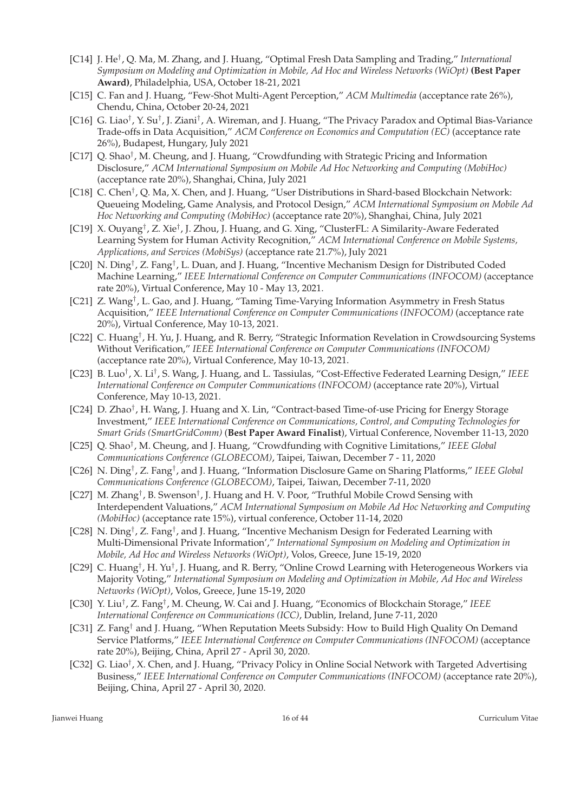- [C14] J. He† , Q. Ma, M. Zhang, and J. Huang, "Optimal Fresh Data Sampling and Trading," *International Symposium on Modeling and Optimization in Mobile, Ad Hoc and Wireless Networks (WiOpt)* **(Best Paper Award)**, Philadelphia, USA, October 18-21, 2021
- [C15] C. Fan and J. Huang, "Few-Shot Multi-Agent Perception," *ACM Multimedia* (acceptance rate 26%), Chendu, China, October 20-24, 2021
- [C16] G. Liao<sup>†</sup>, Y. Su<sup>†</sup>, J. Ziani<sup>†</sup>, A. Wireman, and J. Huang, "The Privacy Paradox and Optimal Bias-Variance Trade-offs in Data Acquisition," *ACM Conference on Economics and Computation (EC)* (acceptance rate 26%), Budapest, Hungary, July 2021
- [C17] Q. Shao<sup>†</sup>, M. Cheung, and J. Huang, "Crowdfunding with Strategic Pricing and Information Disclosure," *ACM International Symposium on Mobile Ad Hoc Networking and Computing (MobiHoc)* (acceptance rate 20%), Shanghai, China, July 2021
- [C18] C. Chen<sup>†</sup>, Q. Ma, X. Chen, and J. Huang, "User Distributions in Shard-based Blockchain Network: Queueing Modeling, Game Analysis, and Protocol Design," *ACM International Symposium on Mobile Ad Hoc Networking and Computing (MobiHoc)* (acceptance rate 20%), Shanghai, China, July 2021
- [C19] X. Ouyang<sup>†</sup>, Z. Xie<sup>†</sup>, J. Zhou, J. Huang, and G. Xing, "ClusterFL: A Similarity-Aware Federated Learning System for Human Activity Recognition," *ACM International Conference on Mobile Systems, Applications, and Services (MobiSys)* (acceptance rate 21.7%), July 2021
- [C20] N. Ding<sup>†</sup>, Z. Fang<sup>†</sup>, L. Duan, and J. Huang, "Incentive Mechanism Design for Distributed Coded Machine Learning," *IEEE International Conference on Computer Communications (INFOCOM)* (acceptance rate 20%), Virtual Conference, May 10 - May 13, 2021.
- [C21] Z. Wang<sup>†</sup>, L. Gao, and J. Huang, "Taming Time-Varying Information Asymmetry in Fresh Status Acquisition," *IEEE International Conference on Computer Communications (INFOCOM)* (acceptance rate 20%), Virtual Conference, May 10-13, 2021.
- [C22] C. Huang<sup>†</sup>, H. Yu, J. Huang, and R. Berry, "Strategic Information Revelation in Crowdsourcing Systems Without Verification," *IEEE International Conference on Computer Communications (INFOCOM)* (acceptance rate 20%), Virtual Conference, May 10-13, 2021.
- [C23] B. Luo† , X. Li† , S. Wang, J. Huang, and L. Tassiulas, "Cost-Effective Federated Learning Design," *IEEE International Conference on Computer Communications (INFOCOM)* (acceptance rate 20%), Virtual Conference, May 10-13, 2021.
- [C24] D. Zhao<sup>†</sup>, H. Wang, J. Huang and X. Lin, "Contract-based Time-of-use Pricing for Energy Storage Investment," *IEEE International Conference on Communications, Control, and Computing Technologies for Smart Grids (SmartGridComm)* (**Best Paper Award Finalist**), Virtual Conference, November 11-13, 2020
- [C25] Q. Shao† , M. Cheung, and J. Huang, "Crowdfunding with Cognitive Limitations," *IEEE Global Communications Conference (GLOBECOM)*, Taipei, Taiwan, December 7 - 11, 2020
- [C26] N. Ding† , Z. Fang† , and J. Huang, "Information Disclosure Game on Sharing Platforms," *IEEE Global Communications Conference (GLOBECOM)*, Taipei, Taiwan, December 7-11, 2020
- [C27] M. Zhang<sup>†</sup>, B. Swenson<sup>†</sup>, J. Huang and H. V. Poor, "Truthful Mobile Crowd Sensing with Interdependent Valuations," *ACM International Symposium on Mobile Ad Hoc Networking and Computing (MobiHoc)* (acceptance rate 15%), virtual conference, October 11-14, 2020
- [C28] N. Ding<sup>†</sup>, Z. Fang<sup>†</sup>, and J. Huang, "Incentive Mechanism Design for Federated Learning with Multi-Dimensional Private Information'," *International Symposium on Modeling and Optimization in Mobile, Ad Hoc and Wireless Networks (WiOpt)*, Volos, Greece, June 15-19, 2020
- [C29] C. Huang<sup>†</sup>, H. Yu<sup>†</sup>, J. Huang, and R. Berry, "Online Crowd Learning with Heterogeneous Workers via Majority Voting," *International Symposium on Modeling and Optimization in Mobile, Ad Hoc and Wireless Networks (WiOpt)*, Volos, Greece, June 15-19, 2020
- [C30] Y. Liu† , Z. Fang† , M. Cheung, W. Cai and J. Huang, "Economics of Blockchain Storage," *IEEE International Conference on Communications (ICC)*, Dublin, Ireland, June 7-11, 2020
- [C31] Z. Fang† and J. Huang, "When Reputation Meets Subsidy: How to Build High Quality On Demand Service Platforms," *IEEE International Conference on Computer Communications (INFOCOM)* (acceptance rate 20%), Beijing, China, April 27 - April 30, 2020.
- [C32] G. Liao† , X. Chen, and J. Huang, "Privacy Policy in Online Social Network with Targeted Advertising Business," *IEEE International Conference on Computer Communications (INFOCOM)* (acceptance rate 20%), Beijing, China, April 27 - April 30, 2020.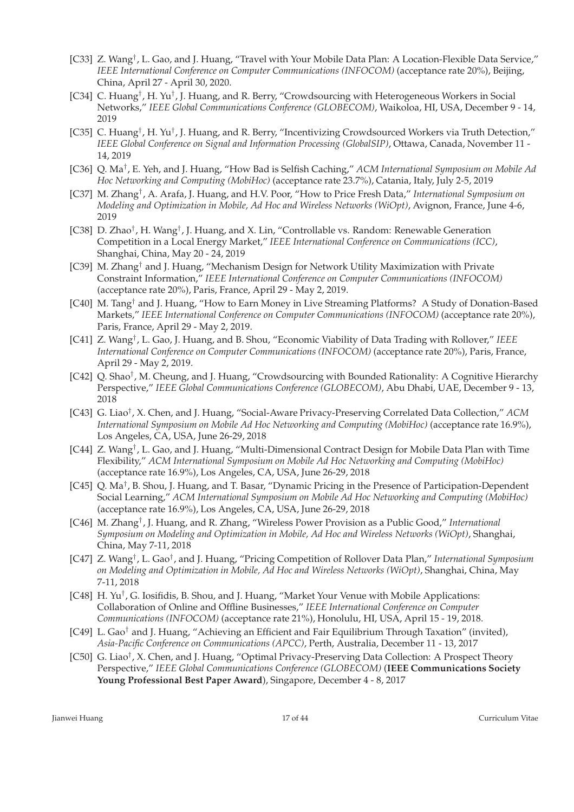- [C33] Z. Wang<sup>†</sup>, L. Gao, and J. Huang, "Travel with Your Mobile Data Plan: A Location-Flexible Data Service," *IEEE International Conference on Computer Communications (INFOCOM)* (acceptance rate 20%), Beijing, China, April 27 - April 30, 2020.
- [C34] C. Huang<sup>†</sup>, H. Yu<sup>†</sup>, J. Huang, and R. Berry, "Crowdsourcing with Heterogeneous Workers in Social Networks," *IEEE Global Communications Conference (GLOBECOM)*, Waikoloa, HI, USA, December 9 - 14, 2019
- [C35] C. Huang<sup>†</sup>, H. Yu<sup>†</sup>, J. Huang, and R. Berry, "Incentivizing Crowdsourced Workers via Truth Detection," *IEEE Global Conference on Signal and Information Processing (GlobalSIP)*, Ottawa, Canada, November 11 - 14, 2019
- [C36] Q. Ma† , E. Yeh, and J. Huang, "How Bad is Selfish Caching," *ACM International Symposium on Mobile Ad Hoc Networking and Computing (MobiHoc)* (acceptance rate 23.7%), Catania, Italy, July 2-5, 2019
- [C37] M. Zhang† , A. Arafa, J. Huang, and H.V. Poor, "How to Price Fresh Data," *International Symposium on Modeling and Optimization in Mobile, Ad Hoc and Wireless Networks (WiOpt)*, Avignon, France, June 4-6, 2019
- [C38] D. Zhao<sup>†</sup>, H. Wang<sup>†</sup>, J. Huang, and X. Lin, "Controllable vs. Random: Renewable Generation Competition in a Local Energy Market," *IEEE International Conference on Communications (ICC)*, Shanghai, China, May 20 - 24, 2019
- [C39] M. Zhang† and J. Huang, "Mechanism Design for Network Utility Maximization with Private Constraint Information," *IEEE International Conference on Computer Communications (INFOCOM)* (acceptance rate 20%), Paris, France, April 29 - May 2, 2019.
- [C40] M. Tang† and J. Huang, "How to Earn Money in Live Streaming Platforms? A Study of Donation-Based Markets," *IEEE International Conference on Computer Communications (INFOCOM)* (acceptance rate 20%), Paris, France, April 29 - May 2, 2019.
- [C41] Z. Wang† , L. Gao, J. Huang, and B. Shou, "Economic Viability of Data Trading with Rollover," *IEEE International Conference on Computer Communications (INFOCOM)* (acceptance rate 20%), Paris, France, April 29 - May 2, 2019.
- [C42] Q. Shao<sup>†</sup>, M. Cheung, and J. Huang, "Crowdsourcing with Bounded Rationality: A Cognitive Hierarchy Perspective," *IEEE Global Communications Conference (GLOBECOM)*, Abu Dhabi, UAE, December 9 - 13, 2018
- [C43] G. Liao† , X. Chen, and J. Huang, "Social-Aware Privacy-Preserving Correlated Data Collection," *ACM International Symposium on Mobile Ad Hoc Networking and Computing (MobiHoc)* (acceptance rate 16.9%), Los Angeles, CA, USA, June 26-29, 2018
- [C44] Z. Wang<sup>†</sup>, L. Gao, and J. Huang, "Multi-Dimensional Contract Design for Mobile Data Plan with Time Flexibility," *ACM International Symposium on Mobile Ad Hoc Networking and Computing (MobiHoc)* (acceptance rate 16.9%), Los Angeles, CA, USA, June 26-29, 2018
- [C45] Q. Ma<sup>†</sup>, B. Shou, J. Huang, and T. Basar, "Dynamic Pricing in the Presence of Participation-Dependent Social Learning," *ACM International Symposium on Mobile Ad Hoc Networking and Computing (MobiHoc)* (acceptance rate 16.9%), Los Angeles, CA, USA, June 26-29, 2018
- [C46] M. Zhang<sup>†</sup>, J. Huang, and R. Zhang, "Wireless Power Provision as a Public Good," International *Symposium on Modeling and Optimization in Mobile, Ad Hoc and Wireless Networks (WiOpt)*, Shanghai, China, May 7-11, 2018
- [C47] Z. Wang† , L. Gao† , and J. Huang, "Pricing Competition of Rollover Data Plan," *International Symposium on Modeling and Optimization in Mobile, Ad Hoc and Wireless Networks (WiOpt)*, Shanghai, China, May 7-11, 2018
- [C48] H. Yu† , G. Iosifidis, B. Shou, and J. Huang, "Market Your Venue with Mobile Applications: Collaboration of Online and Offline Businesses," *IEEE International Conference on Computer Communications (INFOCOM)* (acceptance rate 21%), Honolulu, HI, USA, April 15 - 19, 2018.
- [C49] L. Gao† and J. Huang, "Achieving an Efficient and Fair Equilibrium Through Taxation" (invited), *Asia-Pacific Conference on Communications (APCC)*, Perth, Australia, December 11 - 13, 2017
- [C50] G. Liao<sup>†</sup>, X. Chen, and J. Huang, "Optimal Privacy-Preserving Data Collection: A Prospect Theory Perspective," *IEEE Global Communications Conference (GLOBECOM)* (**IEEE Communications Society Young Professional Best Paper Award**), Singapore, December 4 - 8, 2017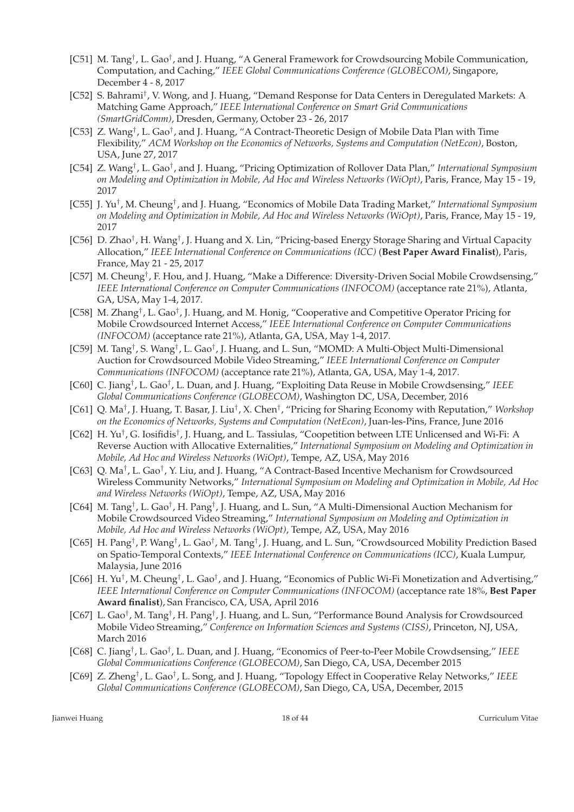- [C51] M. Tang<sup>†</sup>, L. Gao<sup>†</sup>, and J. Huang, "A General Framework for Crowdsourcing Mobile Communication, Computation, and Caching," *IEEE Global Communications Conference (GLOBECOM)*, Singapore, December 4 - 8, 2017
- [C52] S. Bahrami† , V. Wong, and J. Huang, "Demand Response for Data Centers in Deregulated Markets: A Matching Game Approach," *IEEE International Conference on Smart Grid Communications (SmartGridComm)*, Dresden, Germany, October 23 - 26, 2017
- [C53] Z. Wang<sup>†</sup>, L. Gao<sup>†</sup>, and J. Huang, "A Contract-Theoretic Design of Mobile Data Plan with Time Flexibility," *ACM Workshop on the Economics of Networks, Systems and Computation (NetEcon)*, Boston, USA, June 27, 2017
- [C54] Z. Wang† , L. Gao† , and J. Huang, "Pricing Optimization of Rollover Data Plan," *International Symposium on Modeling and Optimization in Mobile, Ad Hoc and Wireless Networks (WiOpt)*, Paris, France, May 15 - 19, 2017
- [C55] J. Yu† , M. Cheung† , and J. Huang, "Economics of Mobile Data Trading Market," *International Symposium on Modeling and Optimization in Mobile, Ad Hoc and Wireless Networks (WiOpt)*, Paris, France, May 15 - 19, 2017
- [C56] D. Zhao<sup>†</sup>, H. Wang<sup>†</sup>, J. Huang and X. Lin, "Pricing-based Energy Storage Sharing and Virtual Capacity Allocation," *IEEE International Conference on Communications (ICC)* (**Best Paper Award Finalist**), Paris, France, May 21 - 25, 2017
- [C57] M. Cheung<sup>†</sup>, F. Hou, and J. Huang, "Make a Difference: Diversity-Driven Social Mobile Crowdsensing," *IEEE International Conference on Computer Communications (INFOCOM)* (acceptance rate 21%), Atlanta, GA, USA, May 1-4, 2017.
- [C58] M. Zhang<sup>†</sup>, L. Gao<sup>†</sup>, J. Huang, and M. Honig, "Cooperative and Competitive Operator Pricing for Mobile Crowdsourced Internet Access," *IEEE International Conference on Computer Communications (INFOCOM)* (acceptance rate 21%), Atlanta, GA, USA, May 1-4, 2017.
- [C59] M. Tang<sup>†</sup>, S. Wang<sup>†</sup>, L. Gao<sup>†</sup>, J. Huang, and L. Sun, "MOMD: A Multi-Object Multi-Dimensional Auction for Crowdsourced Mobile Video Streaming," *IEEE International Conference on Computer Communications (INFOCOM)* (acceptance rate 21%), Atlanta, GA, USA, May 1-4, 2017.
- [C60] C. Jiang† , L. Gao† , L. Duan, and J. Huang, "Exploiting Data Reuse in Mobile Crowdsensing," *IEEE Global Communications Conference (GLOBECOM)*, Washington DC, USA, December, 2016
- [C61] Q. Ma† , J. Huang, T. Basar, J. Liu† , X. Chen† , "Pricing for Sharing Economy with Reputation," *Workshop on the Economics of Networks, Systems and Computation (NetEcon)*, Juan-les-Pins, France, June 2016
- [C62] H. Yu<sup>†</sup>, G. Iosifidis<sup>†</sup>, J. Huang, and L. Tassiulas, "Coopetition between LTE Unlicensed and Wi-Fi: A Reverse Auction with Allocative Externalities," *International Symposium on Modeling and Optimization in Mobile, Ad Hoc and Wireless Networks (WiOpt)*, Tempe, AZ, USA, May 2016
- [C63] Q. Ma<sup>†</sup>, L. Gao<sup>†</sup>, Y. Liu, and J. Huang, "A Contract-Based Incentive Mechanism for Crowdsourced Wireless Community Networks," *International Symposium on Modeling and Optimization in Mobile, Ad Hoc and Wireless Networks (WiOpt)*, Tempe, AZ, USA, May 2016
- [C64] M. Tang<sup>†</sup>, L. Gao<sup>†</sup>, H. Pang<sup>†</sup>, J. Huang, and L. Sun, "A Multi-Dimensional Auction Mechanism for Mobile Crowdsourced Video Streaming," *International Symposium on Modeling and Optimization in Mobile, Ad Hoc and Wireless Networks (WiOpt)*, Tempe, AZ, USA, May 2016
- [C65] H. Pang<sup>†</sup>, P. Wang<sup>†</sup>, L. Gao<sup>†</sup>, M. Tang<sup>†</sup>, J. Huang, and L. Sun, "Crowdsourced Mobility Prediction Based on Spatio-Temporal Contexts," *IEEE International Conference on Communications (ICC)*, Kuala Lumpur, Malaysia, June 2016
- [C66] H. Yu<sup>†</sup>, M. Cheung<sup>†</sup>, L. Gao<sup>†</sup>, and J. Huang, "Economics of Public Wi-Fi Monetization and Advertising," *IEEE International Conference on Computer Communications (INFOCOM)* (acceptance rate 18%, **Best Paper Award finalist**), San Francisco, CA, USA, April 2016
- [C67] L. Gao<sup>†</sup>, M. Tang<sup>†</sup>, H. Pang<sup>†</sup>, J. Huang, and L. Sun, "Performance Bound Analysis for Crowdsourced Mobile Video Streaming," *Conference on Information Sciences and Systems (CISS)*, Princeton, NJ, USA, March 2016
- [C68] C. Jiang† , L. Gao† , L. Duan, and J. Huang, "Economics of Peer-to-Peer Mobile Crowdsensing," *IEEE Global Communications Conference (GLOBECOM)*, San Diego, CA, USA, December 2015
- [C69] Z. Zheng† , L. Gao† , L. Song, and J. Huang, "Topology Effect in Cooperative Relay Networks," *IEEE Global Communications Conference (GLOBECOM)*, San Diego, CA, USA, December, 2015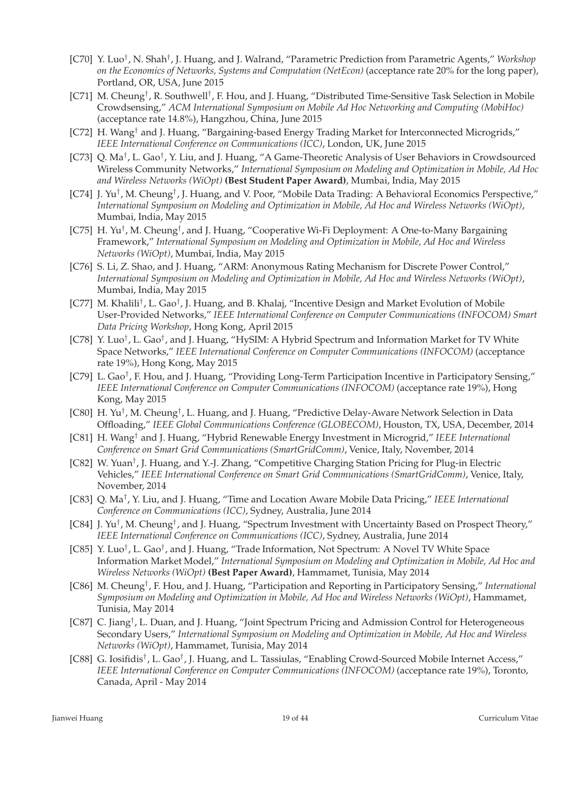- [C70] Y. Luo<sup>†</sup>, N. Shah<sup>†</sup>, J. Huang, and J. Walrand, "Parametric Prediction from Parametric Agents," Workshop *on the Economics of Networks, Systems and Computation (NetEcon)* (acceptance rate 20% for the long paper), Portland, OR, USA, June 2015
- [C71] M. Cheung<sup>†</sup>, R. Southwell<sup>†</sup>, F. Hou, and J. Huang, "Distributed Time-Sensitive Task Selection in Mobile Crowdsensing," *ACM International Symposium on Mobile Ad Hoc Networking and Computing (MobiHoc)* (acceptance rate 14.8%), Hangzhou, China, June 2015
- [C72] H. Wang† and J. Huang, "Bargaining-based Energy Trading Market for Interconnected Microgrids," *IEEE International Conference on Communications (ICC)*, London, UK, June 2015
- [C73] Q. Ma<sup>†</sup>, L. Gao<sup>†</sup>, Y. Liu, and J. Huang, "A Game-Theoretic Analysis of User Behaviors in Crowdsourced Wireless Community Networks," *International Symposium on Modeling and Optimization in Mobile, Ad Hoc and Wireless Networks (WiOpt)* **(Best Student Paper Award)**, Mumbai, India, May 2015
- [C74] J. Yu<sup>†</sup>, M. Cheung<sup>†</sup>, J. Huang, and V. Poor, "Mobile Data Trading: A Behavioral Economics Perspective," *International Symposium on Modeling and Optimization in Mobile, Ad Hoc and Wireless Networks (WiOpt)*, Mumbai, India, May 2015
- [C75] H. Yu<sup>†</sup>, M. Cheung<sup>†</sup>, and J. Huang, "Cooperative Wi-Fi Deployment: A One-to-Many Bargaining Framework," *International Symposium on Modeling and Optimization in Mobile, Ad Hoc and Wireless Networks (WiOpt)*, Mumbai, India, May 2015
- [C76] S. Li, Z. Shao, and J. Huang, "ARM: Anonymous Rating Mechanism for Discrete Power Control," *International Symposium on Modeling and Optimization in Mobile, Ad Hoc and Wireless Networks (WiOpt)*, Mumbai, India, May 2015
- [C77] M. Khalili<sup>†</sup>, L. Gao<sup>†</sup>, J. Huang, and B. Khalaj, "Incentive Design and Market Evolution of Mobile User-Provided Networks," *IEEE International Conference on Computer Communications (INFOCOM) Smart Data Pricing Workshop*, Hong Kong, April 2015
- [C78] Y. Luo<sup>†</sup>, L. Gao<sup>†</sup>, and J. Huang, "HySIM: A Hybrid Spectrum and Information Market for TV White Space Networks," *IEEE International Conference on Computer Communications (INFOCOM)* (acceptance rate 19%), Hong Kong, May 2015
- [C79] L. Gao† , F. Hou, and J. Huang, "Providing Long-Term Participation Incentive in Participatory Sensing," *IEEE International Conference on Computer Communications (INFOCOM)* (acceptance rate 19%), Hong Kong, May 2015
- [C80] H. Yu<sup>†</sup>, M. Cheung<sup>†</sup>, L. Huang, and J. Huang, "Predictive Delay-Aware Network Selection in Data Offloading," *IEEE Global Communications Conference (GLOBECOM)*, Houston, TX, USA, December, 2014
- [C81] H. Wang† and J. Huang, "Hybrid Renewable Energy Investment in Microgrid," *IEEE International Conference on Smart Grid Communications (SmartGridComm)*, Venice, Italy, November, 2014
- [C82] W. Yuan<sup>†</sup>, J. Huang, and Y.-J. Zhang, "Competitive Charging Station Pricing for Plug-in Electric Vehicles," *IEEE International Conference on Smart Grid Communications (SmartGridComm)*, Venice, Italy, November, 2014
- [C83] Q. Ma† , Y. Liu, and J. Huang, "Time and Location Aware Mobile Data Pricing," *IEEE International Conference on Communications (ICC)*, Sydney, Australia, June 2014
- [C84] J. Yu<sup>†</sup>, M. Cheung<sup>†</sup>, and J. Huang, "Spectrum Investment with Uncertainty Based on Prospect Theory," *IEEE International Conference on Communications (ICC)*, Sydney, Australia, June 2014
- [C85] Y. Luo<sup>†</sup>, L. Gao<sup>†</sup>, and J. Huang, "Trade Information, Not Spectrum: A Novel TV White Space Information Market Model," *International Symposium on Modeling and Optimization in Mobile, Ad Hoc and Wireless Networks (WiOpt)* **(Best Paper Award)**, Hammamet, Tunisia, May 2014
- [C86] M. Cheung† , F. Hou, and J. Huang, "Participation and Reporting in Participatory Sensing," *International Symposium on Modeling and Optimization in Mobile, Ad Hoc and Wireless Networks (WiOpt)*, Hammamet, Tunisia, May 2014
- [C87] C. Jiang† , L. Duan, and J. Huang, "Joint Spectrum Pricing and Admission Control for Heterogeneous Secondary Users," *International Symposium on Modeling and Optimization in Mobile, Ad Hoc and Wireless Networks (WiOpt)*, Hammamet, Tunisia, May 2014
- [C88] G. Iosifidis<sup>†</sup>, L. Gao<sup>†</sup>, J. Huang, and L. Tassiulas, "Enabling Crowd-Sourced Mobile Internet Access," *IEEE International Conference on Computer Communications (INFOCOM)* (acceptance rate 19%), Toronto, Canada, April - May 2014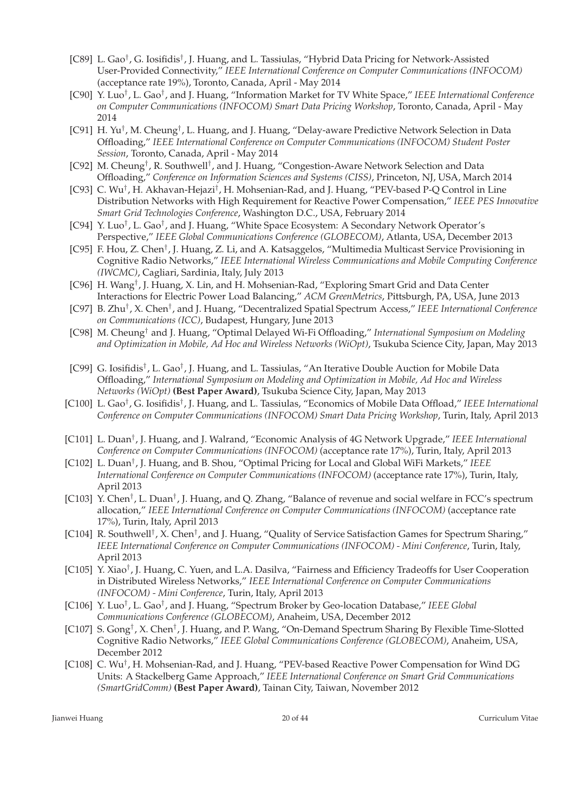- [C89] L. Gao<sup>†</sup>, G. Iosifidis<sup>†</sup>, J. Huang, and L. Tassiulas, "Hybrid Data Pricing for Network-Assisted User-Provided Connectivity," *IEEE International Conference on Computer Communications (INFOCOM)* (acceptance rate 19%), Toronto, Canada, April - May 2014
- [C90] Y. Luo† , L. Gao† , and J. Huang, "Information Market for TV White Space," *IEEE International Conference on Computer Communications (INFOCOM) Smart Data Pricing Workshop*, Toronto, Canada, April - May 2014
- [C91] H. Yu<sup>†</sup>, M. Cheung<sup>†</sup>, L. Huang, and J. Huang, "Delay-aware Predictive Network Selection in Data Offloading," *IEEE International Conference on Computer Communications (INFOCOM) Student Poster Session*, Toronto, Canada, April - May 2014
- [C92] M. Cheung<sup>†</sup>, R. Southwell<sup>†</sup>, and J. Huang, "Congestion-Aware Network Selection and Data Offloading," *Conference on Information Sciences and Systems (CISS)*, Princeton, NJ, USA, March 2014
- [C93] C. Wu<sup>†</sup>, H. Akhavan-Hejazi<sup>†</sup>, H. Mohsenian-Rad, and J. Huang, "PEV-based P-Q Control in Line Distribution Networks with High Requirement for Reactive Power Compensation," *IEEE PES Innovative Smart Grid Technologies Conference*, Washington D.C., USA, February 2014
- [C94] Y. Luo<sup>†</sup>, L. Gao<sup>†</sup>, and J. Huang, "White Space Ecosystem: A Secondary Network Operator's Perspective," *IEEE Global Communications Conference (GLOBECOM)*, Atlanta, USA, December 2013
- [C95] F. Hou, Z. Chen<sup>†</sup>, J. Huang, Z. Li, and A. Katsaggelos, "Multimedia Multicast Service Provisioning in Cognitive Radio Networks," *IEEE International Wireless Communications and Mobile Computing Conference (IWCMC)*, Cagliari, Sardinia, Italy, July 2013
- [C96] H. Wang<sup>†</sup>, J. Huang, X. Lin, and H. Mohsenian-Rad, "Exploring Smart Grid and Data Center Interactions for Electric Power Load Balancing," *ACM GreenMetrics*, Pittsburgh, PA, USA, June 2013
- [C97] B. Zhu† , X. Chen† , and J. Huang, "Decentralized Spatial Spectrum Access," *IEEE International Conference on Communications (ICC)*, Budapest, Hungary, June 2013
- [C98] M. Cheung† and J. Huang, "Optimal Delayed Wi-Fi Offloading," *International Symposium on Modeling and Optimization in Mobile, Ad Hoc and Wireless Networks (WiOpt)*, Tsukuba Science City, Japan, May 2013
- [C99] G. Iosifidis<sup>†</sup>, L. Gao<sup>†</sup>, J. Huang, and L. Tassiulas, "An Iterative Double Auction for Mobile Data Offloading," *International Symposium on Modeling and Optimization in Mobile, Ad Hoc and Wireless Networks (WiOpt)* **(Best Paper Award)**, Tsukuba Science City, Japan, May 2013
- [C100] L. Gao† , G. Iosifidis† , J. Huang, and L. Tassiulas, "Economics of Mobile Data Offload," *IEEE International Conference on Computer Communications (INFOCOM) Smart Data Pricing Workshop*, Turin, Italy, April 2013
- [C101] L. Duan† , J. Huang, and J. Walrand, "Economic Analysis of 4G Network Upgrade," *IEEE International Conference on Computer Communications (INFOCOM)* (acceptance rate 17%), Turin, Italy, April 2013
- [C102] L. Duan<sup>†</sup>, J. Huang, and B. Shou, "Optimal Pricing for Local and Global WiFi Markets," IEEE *International Conference on Computer Communications (INFOCOM)* (acceptance rate 17%), Turin, Italy, April 2013
- [C103] Y. Chen<sup>†</sup>, L. Duan<sup>†</sup>, J. Huang, and Q. Zhang, "Balance of revenue and social welfare in FCC's spectrum allocation," *IEEE International Conference on Computer Communications (INFOCOM)* (acceptance rate 17%), Turin, Italy, April 2013
- [C104] R. Southwell<sup>†</sup>, X. Chen<sup>†</sup>, and J. Huang, "Quality of Service Satisfaction Games for Spectrum Sharing," *IEEE International Conference on Computer Communications (INFOCOM) - Mini Conference*, Turin, Italy, April 2013
- [C105] Y. Xiao<sup>†</sup>, J. Huang, C. Yuen, and L.A. Dasilva, "Fairness and Efficiency Tradeoffs for User Cooperation in Distributed Wireless Networks," *IEEE International Conference on Computer Communications (INFOCOM) - Mini Conference*, Turin, Italy, April 2013
- [C106] Y. Luo† , L. Gao† , and J. Huang, "Spectrum Broker by Geo-location Database," *IEEE Global Communications Conference (GLOBECOM)*, Anaheim, USA, December 2012
- [C107] S. Gong<sup>†</sup>, X. Chen<sup>†</sup>, J. Huang, and P. Wang, "On-Demand Spectrum Sharing By Flexible Time-Slotted Cognitive Radio Networks," *IEEE Global Communications Conference (GLOBECOM)*, Anaheim, USA, December 2012
- [C108] C. Wu<sup>†</sup>, H. Mohsenian-Rad, and J. Huang, "PEV-based Reactive Power Compensation for Wind DG Units: A Stackelberg Game Approach," *IEEE International Conference on Smart Grid Communications (SmartGridComm)* **(Best Paper Award)**, Tainan City, Taiwan, November 2012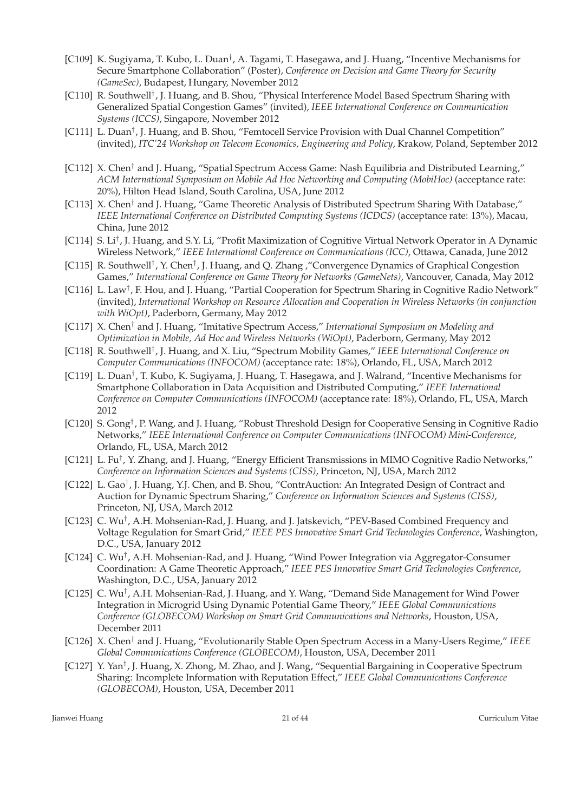- [C109] K. Sugiyama, T. Kubo, L. Duan<sup>†</sup>, A. Tagami, T. Hasegawa, and J. Huang, "Incentive Mechanisms for Secure Smartphone Collaboration" (Poster), *Conference on Decision and Game Theory for Security (GameSec)*, Budapest, Hungary, November 2012
- [C110] R. Southwell<sup>†</sup>, J. Huang, and B. Shou, "Physical Interference Model Based Spectrum Sharing with Generalized Spatial Congestion Games" (invited), *IEEE International Conference on Communication Systems (ICCS)*, Singapore, November 2012
- [C111] L. Duan<sup>†</sup>, J. Huang, and B. Shou, "Femtocell Service Provision with Dual Channel Competition" (invited), *ITC'24 Workshop on Telecom Economics, Engineering and Policy*, Krakow, Poland, September 2012
- [C112] X. Chen<sup>†</sup> and J. Huang, "Spatial Spectrum Access Game: Nash Equilibria and Distributed Learning," *ACM International Symposium on Mobile Ad Hoc Networking and Computing (MobiHoc)* (acceptance rate: 20%), Hilton Head Island, South Carolina, USA, June 2012
- [C113] X. Chen<sup>†</sup> and J. Huang, "Game Theoretic Analysis of Distributed Spectrum Sharing With Database," *IEEE International Conference on Distributed Computing Systems (ICDCS)* (acceptance rate: 13%), Macau, China, June 2012
- [C114] S. Li<sup>†</sup>, J. Huang, and S.Y. Li, "Profit Maximization of Cognitive Virtual Network Operator in A Dynamic Wireless Network," *IEEE International Conference on Communications (ICC)*, Ottawa, Canada, June 2012
- [C115] R. Southwell<sup>†</sup>, Y. Chen<sup>†</sup>, J. Huang, and Q. Zhang , "Convergence Dynamics of Graphical Congestion Games," *International Conference on Game Theory for Networks (GameNets)*, Vancouver, Canada, May 2012
- [C116] L. Law<sup>†</sup>, F. Hou, and J. Huang, "Partial Cooperation for Spectrum Sharing in Cognitive Radio Network" (invited), *International Workshop on Resource Allocation and Cooperation in Wireless Networks (in conjunction with WiOpt)*, Paderborn, Germany, May 2012
- [C117] X. Chen† and J. Huang, "Imitative Spectrum Access," *International Symposium on Modeling and Optimization in Mobile, Ad Hoc and Wireless Networks (WiOpt)*, Paderborn, Germany, May 2012
- [C118] R. Southwell† , J. Huang, and X. Liu, "Spectrum Mobility Games," *IEEE International Conference on Computer Communications (INFOCOM)* (acceptance rate: 18%), Orlando, FL, USA, March 2012
- [C119] L. Duan<sup>†</sup>, T. Kubo, K. Sugiyama, J. Huang, T. Hasegawa, and J. Walrand, "Incentive Mechanisms for Smartphone Collaboration in Data Acquisition and Distributed Computing," *IEEE International Conference on Computer Communications (INFOCOM)* (acceptance rate: 18%), Orlando, FL, USA, March 2012
- [C120] S. Gong<sup>†</sup>, P. Wang, and J. Huang, "Robust Threshold Design for Cooperative Sensing in Cognitive Radio Networks," *IEEE International Conference on Computer Communications (INFOCOM) Mini-Conference*, Orlando, FL, USA, March 2012
- [C121] L. Fu† , Y. Zhang, and J. Huang, "Energy Efficient Transmissions in MIMO Cognitive Radio Networks," *Conference on Information Sciences and Systems (CISS)*, Princeton, NJ, USA, March 2012
- [C122] L. Gao<sup>†</sup>, J. Huang, Y.J. Chen, and B. Shou, "ContrAuction: An Integrated Design of Contract and Auction for Dynamic Spectrum Sharing," *Conference on Information Sciences and Systems (CISS)*, Princeton, NJ, USA, March 2012
- [C123] C. Wu<sup>†</sup>, A.H. Mohsenian-Rad, J. Huang, and J. Jatskevich, "PEV-Based Combined Frequency and Voltage Regulation for Smart Grid," *IEEE PES Innovative Smart Grid Technologies Conference*, Washington, D.C., USA, January 2012
- [C124] C. Wu<sup>†</sup>, A.H. Mohsenian-Rad, and J. Huang, "Wind Power Integration via Aggregator-Consumer Coordination: A Game Theoretic Approach," *IEEE PES Innovative Smart Grid Technologies Conference*, Washington, D.C., USA, January 2012
- [C125] C. Wu<sup>†</sup>, A.H. Mohsenian-Rad, J. Huang, and Y. Wang, "Demand Side Management for Wind Power Integration in Microgrid Using Dynamic Potential Game Theory," *IEEE Global Communications Conference (GLOBECOM) Workshop on Smart Grid Communications and Networks*, Houston, USA, December 2011
- [C126] X. Chen† and J. Huang, "Evolutionarily Stable Open Spectrum Access in a Many-Users Regime," *IEEE Global Communications Conference (GLOBECOM)*, Houston, USA, December 2011
- [C127] Y. Yan<sup>†</sup>, J. Huang, X. Zhong, M. Zhao, and J. Wang, "Sequential Bargaining in Cooperative Spectrum Sharing: Incomplete Information with Reputation Effect," *IEEE Global Communications Conference (GLOBECOM)*, Houston, USA, December 2011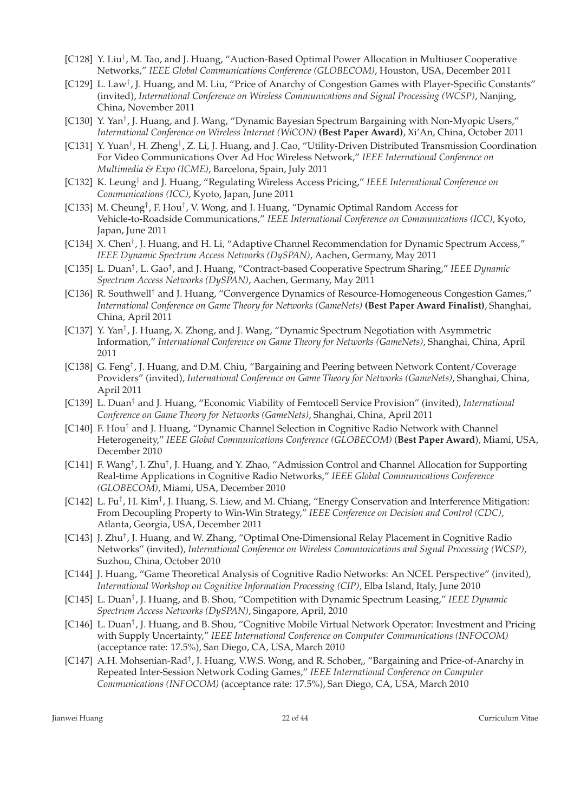- [C128] Y. Liu<sup>†</sup>, M. Tao, and J. Huang, "Auction-Based Optimal Power Allocation in Multiuser Cooperative Networks," *IEEE Global Communications Conference (GLOBECOM)*, Houston, USA, December 2011
- [C129] L. Law<sup>†</sup>, J. Huang, and M. Liu, "Price of Anarchy of Congestion Games with Player-Specific Constants" (invited), *International Conference on Wireless Communications and Signal Processing (WCSP)*, Nanjing, China, November 2011
- [C130] Y. Yan<sup>†</sup>, J. Huang, and J. Wang, "Dynamic Bayesian Spectrum Bargaining with Non-Myopic Users," *International Conference on Wireless Internet (WiCON)* **(Best Paper Award)**, Xi'An, China, October 2011
- [C131] Y. Yuan<sup>†</sup>, H. Zheng<sup>†</sup>, Z. Li, J. Huang, and J. Cao, "Utility-Driven Distributed Transmission Coordination For Video Communications Over Ad Hoc Wireless Network," *IEEE International Conference on Multimedia & Expo (ICME)*, Barcelona, Spain, July 2011
- [C132] K. Leung† and J. Huang, "Regulating Wireless Access Pricing," *IEEE International Conference on Communications (ICC)*, Kyoto, Japan, June 2011
- [C133] M. Cheung<sup>†</sup>, F. Hou<sup>†</sup>, V. Wong, and J. Huang, "Dynamic Optimal Random Access for Vehicle-to-Roadside Communications," *IEEE International Conference on Communications (ICC)*, Kyoto, Japan, June 2011
- [C134] X. Chen<sup>†</sup>, J. Huang, and H. Li, "Adaptive Channel Recommendation for Dynamic Spectrum Access," *IEEE Dynamic Spectrum Access Networks (DySPAN)*, Aachen, Germany, May 2011
- [C135] L. Duan<sup>†</sup>, L. Gao<sup>†</sup>, and J. Huang, "Contract-based Cooperative Spectrum Sharing," *IEEE Dynamic Spectrum Access Networks (DySPAN)*, Aachen, Germany, May 2011
- [C136] R. Southwell<sup>†</sup> and J. Huang, "Convergence Dynamics of Resource-Homogeneous Congestion Games," *International Conference on Game Theory for Networks (GameNets)* **(Best Paper Award Finalist)**, Shanghai, China, April 2011
- [C137] Y. Yan<sup>†</sup>, J. Huang, X. Zhong, and J. Wang, "Dynamic Spectrum Negotiation with Asymmetric Information," *International Conference on Game Theory for Networks (GameNets)*, Shanghai, China, April 2011
- [C138] G. Feng<sup>†</sup>, J. Huang, and D.M. Chiu, "Bargaining and Peering between Network Content/Coverage Providers" (invited), *International Conference on Game Theory for Networks (GameNets)*, Shanghai, China, April 2011
- [C139] L. Duan† and J. Huang, "Economic Viability of Femtocell Service Provision" (invited), *International Conference on Game Theory for Networks (GameNets)*, Shanghai, China, April 2011
- [C140] F. Hou<sup>†</sup> and J. Huang, "Dynamic Channel Selection in Cognitive Radio Network with Channel Heterogeneity," *IEEE Global Communications Conference (GLOBECOM)* (**Best Paper Award**), Miami, USA, December 2010
- [C141] F. Wang<sup>†</sup>, J. Zhu<sup>†</sup>, J. Huang, and Y. Zhao, "Admission Control and Channel Allocation for Supporting Real-time Applications in Cognitive Radio Networks," *IEEE Global Communications Conference (GLOBECOM)*, Miami, USA, December 2010
- [C142] L. Fu<sup>†</sup>, H. Kim<sup>†</sup>, J. Huang, S. Liew, and M. Chiang, "Energy Conservation and Interference Mitigation: From Decoupling Property to Win-Win Strategy," *IEEE Conference on Decision and Control (CDC)*, Atlanta, Georgia, USA, December 2011
- [C143] J. Zhu<sup>†</sup>, J. Huang, and W. Zhang, "Optimal One-Dimensional Relay Placement in Cognitive Radio Networks" (invited), *International Conference on Wireless Communications and Signal Processing (WCSP)*, Suzhou, China, October 2010
- [C144] J. Huang, "Game Theoretical Analysis of Cognitive Radio Networks: An NCEL Perspective" (invited), *International Workshop on Cognitive Information Processing (CIP)*, Elba Island, Italy, June 2010
- [C145] L. Duan<sup>†</sup>, J. Huang, and B. Shou, "Competition with Dynamic Spectrum Leasing," IEEE Dynamic *Spectrum Access Networks (DySPAN)*, Singapore, April, 2010
- [C146] L. Duan<sup>†</sup>, J. Huang, and B. Shou, "Cognitive Mobile Virtual Network Operator: Investment and Pricing with Supply Uncertainty," *IEEE International Conference on Computer Communications (INFOCOM)* (acceptance rate: 17.5%), San Diego, CA, USA, March 2010
- [C147] A.H. Mohsenian-Rad<sup>†</sup>, J. Huang, V.W.S. Wong, and R. Schober,, "Bargaining and Price-of-Anarchy in Repeated Inter-Session Network Coding Games," *IEEE International Conference on Computer Communications (INFOCOM)* (acceptance rate: 17.5%), San Diego, CA, USA, March 2010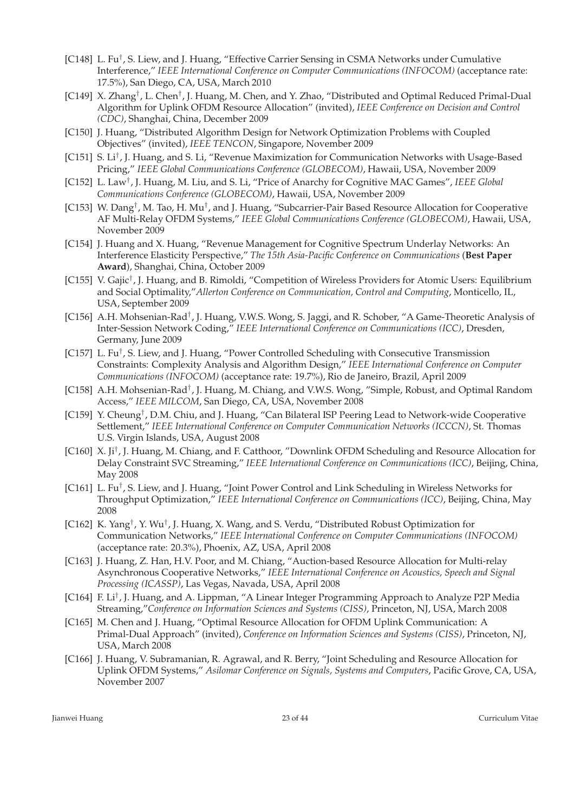- [C148] L. Fu<sup>†</sup>, S. Liew, and J. Huang, "Effective Carrier Sensing in CSMA Networks under Cumulative Interference," *IEEE International Conference on Computer Communications (INFOCOM)* (acceptance rate: 17.5%), San Diego, CA, USA, March 2010
- [C149] X. Zhang<sup>†</sup>, L. Chen<sup>†</sup>, J. Huang, M. Chen, and Y. Zhao, "Distributed and Optimal Reduced Primal-Dual Algorithm for Uplink OFDM Resource Allocation" (invited), *IEEE Conference on Decision and Control (CDC)*, Shanghai, China, December 2009
- [C150] J. Huang, "Distributed Algorithm Design for Network Optimization Problems with Coupled Objectives" (invited), *IEEE TENCON*, Singapore, November 2009
- [C151] S. Li<sup>†</sup>, J. Huang, and S. Li, "Revenue Maximization for Communication Networks with Usage-Based Pricing," *IEEE Global Communications Conference (GLOBECOM)*, Hawaii, USA, November 2009
- [C152] L. Law† , J. Huang, M. Liu, and S. Li, "Price of Anarchy for Cognitive MAC Games", *IEEE Global Communications Conference (GLOBECOM)*, Hawaii, USA, November 2009
- [C153] W. Dang<sup>†</sup>, M. Tao, H. Mu<sup>†</sup>, and J. Huang, "Subcarrier-Pair Based Resource Allocation for Cooperative AF Multi-Relay OFDM Systems," *IEEE Global Communications Conference (GLOBECOM)*, Hawaii, USA, November 2009
- [C154] J. Huang and X. Huang, "Revenue Management for Cognitive Spectrum Underlay Networks: An Interference Elasticity Perspective," *The 15th Asia-Pacific Conference on Communications* (**Best Paper Award**), Shanghai, China, October 2009
- [C155] V. Gajic<sup>†</sup>, J. Huang, and B. Rimoldi, "Competition of Wireless Providers for Atomic Users: Equilibrium and Social Optimality,"*Allerton Conference on Communication, Control and Computing*, Monticello, IL, USA, September 2009
- [C156] A.H. Mohsenian-Rad<sup>†</sup>, J. Huang, V.W.S. Wong, S. Jaggi, and R. Schober, "A Game-Theoretic Analysis of Inter-Session Network Coding," *IEEE International Conference on Communications (ICC)*, Dresden, Germany, June 2009
- [C157] L. Fu<sup>†</sup>, S. Liew, and J. Huang, "Power Controlled Scheduling with Consecutive Transmission Constraints: Complexity Analysis and Algorithm Design," *IEEE International Conference on Computer Communications (INFOCOM)* (acceptance rate: 19.7%), Rio de Janeiro, Brazil, April 2009
- [C158] A.H. Mohsenian-Rad<sup>†</sup>, J. Huang, M. Chiang, and V.W.S. Wong, "Simple, Robust, and Optimal Random Access," *IEEE MILCOM*, San Diego, CA, USA, November 2008
- [C159] Y. Cheung<sup>†</sup>, D.M. Chiu, and J. Huang, "Can Bilateral ISP Peering Lead to Network-wide Cooperative Settlement," *IEEE International Conference on Computer Communication Networks (ICCCN)*, St. Thomas U.S. Virgin Islands, USA, August 2008
- [C160] X. Ji<sup>†</sup>, J. Huang, M. Chiang, and F. Catthoor, "Downlink OFDM Scheduling and Resource Allocation for Delay Constraint SVC Streaming," *IEEE International Conference on Communications (ICC)*, Beijing, China, May 2008
- [C161] L. Fu<sup>†</sup>, S. Liew, and J. Huang, "Joint Power Control and Link Scheduling in Wireless Networks for Throughput Optimization," *IEEE International Conference on Communications (ICC)*, Beijing, China, May 2008
- [C162] K. Yang<sup>†</sup>, Y. Wu<sup>†</sup>, J. Huang, X. Wang, and S. Verdu, "Distributed Robust Optimization for Communication Networks," *IEEE International Conference on Computer Communications (INFOCOM)* (acceptance rate: 20.3%), Phoenix, AZ, USA, April 2008
- [C163] J. Huang, Z. Han, H.V. Poor, and M. Chiang, "Auction-based Resource Allocation for Multi-relay Asynchronous Cooperative Networks," *IEEE International Conference on Acoustics, Speech and Signal Processing (ICASSP)*, Las Vegas, Navada, USA, April 2008
- [C164] F. Li† , J. Huang, and A. Lippman, "A Linear Integer Programming Approach to Analyze P2P Media Streaming,"*Conference on Information Sciences and Systems (CISS)*, Princeton, NJ, USA, March 2008
- [C165] M. Chen and J. Huang, "Optimal Resource Allocation for OFDM Uplink Communication: A Primal-Dual Approach" (invited), *Conference on Information Sciences and Systems (CISS)*, Princeton, NJ, USA, March 2008
- [C166] J. Huang, V. Subramanian, R. Agrawal, and R. Berry, "Joint Scheduling and Resource Allocation for Uplink OFDM Systems," *Asilomar Conference on Signals, Systems and Computers*, Pacific Grove, CA, USA, November 2007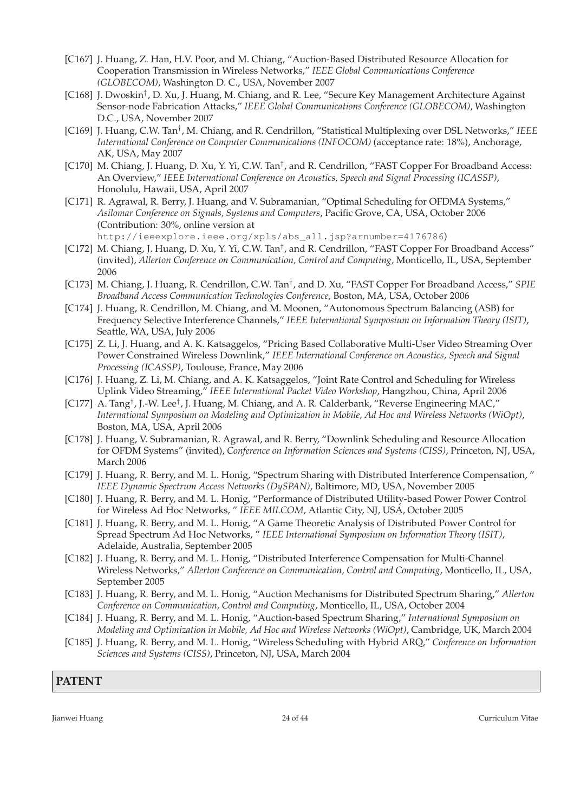- [C167] J. Huang, Z. Han, H.V. Poor, and M. Chiang, "Auction-Based Distributed Resource Allocation for Cooperation Transmission in Wireless Networks," *IEEE Global Communications Conference (GLOBECOM)*, Washington D. C., USA, November 2007
- [C168] J. Dwoskin<sup>†</sup>, D. Xu, J. Huang, M. Chiang, and R. Lee, "Secure Key Management Architecture Against Sensor-node Fabrication Attacks," *IEEE Global Communications Conference (GLOBECOM)*, Washington D.C., USA, November 2007
- [C169] J. Huang, C.W. Tan<sup>†</sup>, M. Chiang, and R. Cendrillon, "Statistical Multiplexing over DSL Networks," *IEEE International Conference on Computer Communications (INFOCOM)* (acceptance rate: 18%), Anchorage, AK, USA, May 2007
- [C170] M. Chiang, J. Huang, D. Xu, Y. Yi, C.W. Tan<sup>†</sup>, and R. Cendrillon, "FAST Copper For Broadband Access: An Overview," *IEEE International Conference on Acoustics, Speech and Signal Processing (ICASSP)*, Honolulu, Hawaii, USA, April 2007
- [C171] R. Agrawal, R. Berry, J. Huang, and V. Subramanian, "Optimal Scheduling for OFDMA Systems," *Asilomar Conference on Signals, Systems and Computers*, Pacific Grove, CA, USA, October 2006 (Contribution: 30%, online version at http://ieeexplore.ieee.org/xpls/abs\_all.jsp?arnumber=4176786)
- [C172] M. Chiang, J. Huang, D. Xu, Y. Yi, C.W. Tan<sup>†</sup>, and R. Cendrillon, "FAST Copper For Broadband Access" (invited), *Allerton Conference on Communication, Control and Computing*, Monticello, IL, USA, September 2006
- [C173] M. Chiang, J. Huang, R. Cendrillon, C.W. Tan† , and D. Xu, "FAST Copper For Broadband Access," *SPIE Broadband Access Communication Technologies Conference*, Boston, MA, USA, October 2006
- [C174] J. Huang, R. Cendrillon, M. Chiang, and M. Moonen, "Autonomous Spectrum Balancing (ASB) for Frequency Selective Interference Channels," *IEEE International Symposium on Information Theory (ISIT)*, Seattle, WA, USA, July 2006
- [C175] Z. Li, J. Huang, and A. K. Katsaggelos, "Pricing Based Collaborative Multi-User Video Streaming Over Power Constrained Wireless Downlink," *IEEE International Conference on Acoustics, Speech and Signal Processing (ICASSP)*, Toulouse, France, May 2006
- [C176] J. Huang, Z. Li, M. Chiang, and A. K. Katsaggelos, "Joint Rate Control and Scheduling for Wireless Uplink Video Streaming," *IEEE International Packet Video Workshop*, Hangzhou, China, April 2006
- [C177] A. Tang<sup>†</sup>, J.-W. Lee<sup>†</sup>, J. Huang, M. Chiang, and A. R. Calderbank, "Reverse Engineering MAC," *International Symposium on Modeling and Optimization in Mobile, Ad Hoc and Wireless Networks (WiOpt)*, Boston, MA, USA, April 2006
- [C178] J. Huang, V. Subramanian, R. Agrawal, and R. Berry, "Downlink Scheduling and Resource Allocation for OFDM Systems" (invited), *Conference on Information Sciences and Systems (CISS)*, Princeton, NJ, USA, March 2006
- [C179] J. Huang, R. Berry, and M. L. Honig, "Spectrum Sharing with Distributed Interference Compensation, " *IEEE Dynamic Spectrum Access Networks (DySPAN)*, Baltimore, MD, USA, November 2005
- [C180] J. Huang, R. Berry, and M. L. Honig, "Performance of Distributed Utility-based Power Power Control for Wireless Ad Hoc Networks, " *IEEE MILCOM*, Atlantic City, NJ, USA, October 2005
- [C181] J. Huang, R. Berry, and M. L. Honig, "A Game Theoretic Analysis of Distributed Power Control for Spread Spectrum Ad Hoc Networks, " *IEEE International Symposium on Information Theory (ISIT)*, Adelaide, Australia, September 2005
- [C182] J. Huang, R. Berry, and M. L. Honig, "Distributed Interference Compensation for Multi-Channel Wireless Networks," *Allerton Conference on Communication, Control and Computing*, Monticello, IL, USA, September 2005
- [C183] J. Huang, R. Berry, and M. L. Honig, "Auction Mechanisms for Distributed Spectrum Sharing," *Allerton Conference on Communication, Control and Computing*, Monticello, IL, USA, October 2004
- [C184] J. Huang, R. Berry, and M. L. Honig, "Auction-based Spectrum Sharing," *International Symposium on Modeling and Optimization in Mobile, Ad Hoc and Wireless Networks (WiOpt)*, Cambridge, UK, March 2004
- [C185] J. Huang, R. Berry, and M. L. Honig, "Wireless Scheduling with Hybrid ARQ," *Conference on Information Sciences and Systems (CISS)*, Princeton, NJ, USA, March 2004

### **PATENT**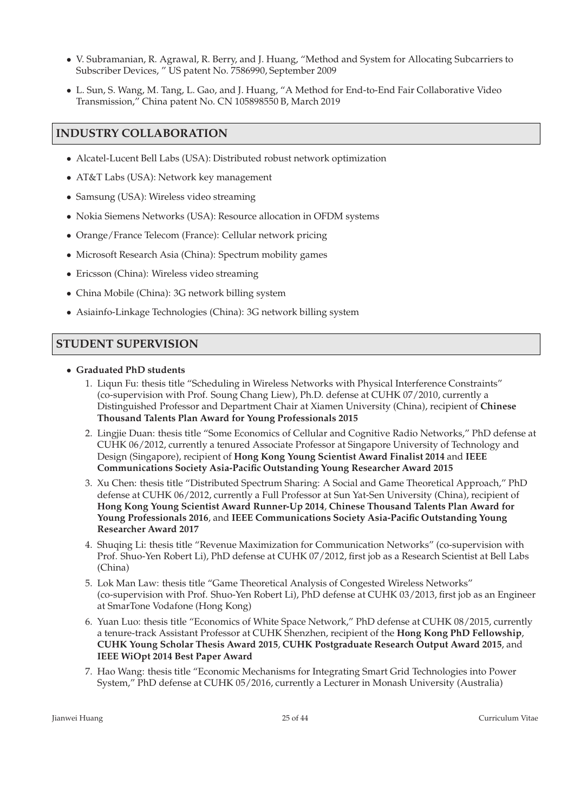- V. Subramanian, R. Agrawal, R. Berry, and J. Huang, "Method and System for Allocating Subcarriers to Subscriber Devices, " US patent No. 7586990, September 2009
- L. Sun, S. Wang, M. Tang, L. Gao, and J. Huang, "A Method for End-to-End Fair Collaborative Video Transmission," China patent No. CN 105898550 B, March 2019

## **INDUSTRY COLLABORATION**

- Alcatel-Lucent Bell Labs (USA): Distributed robust network optimization
- AT&T Labs (USA): Network key management
- Samsung (USA): Wireless video streaming
- Nokia Siemens Networks (USA): Resource allocation in OFDM systems
- Orange/France Telecom (France): Cellular network pricing
- Microsoft Research Asia (China): Spectrum mobility games
- Ericsson (China): Wireless video streaming
- China Mobile (China): 3G network billing system
- Asiainfo-Linkage Technologies (China): 3G network billing system

### **STUDENT SUPERVISION**

- **Graduated PhD students**
	- 1. Liqun Fu: thesis title "Scheduling in Wireless Networks with Physical Interference Constraints" (co-supervision with Prof. Soung Chang Liew), Ph.D. defense at CUHK 07/2010, currently a Distinguished Professor and Department Chair at Xiamen University (China), recipient of **Chinese Thousand Talents Plan Award for Young Professionals 2015**
	- 2. Lingjie Duan: thesis title "Some Economics of Cellular and Cognitive Radio Networks," PhD defense at CUHK 06/2012, currently a tenured Associate Professor at Singapore University of Technology and Design (Singapore), recipient of **Hong Kong Young Scientist Award Finalist 2014** and **IEEE Communications Society Asia-Pacific Outstanding Young Researcher Award 2015**
	- 3. Xu Chen: thesis title "Distributed Spectrum Sharing: A Social and Game Theoretical Approach," PhD defense at CUHK 06/2012, currently a Full Professor at Sun Yat-Sen University (China), recipient of **Hong Kong Young Scientist Award Runner-Up 2014**, **Chinese Thousand Talents Plan Award for Young Professionals 2016**, and **IEEE Communications Society Asia-Pacific Outstanding Young Researcher Award 2017**
	- 4. Shuqing Li: thesis title "Revenue Maximization for Communication Networks" (co-supervision with Prof. Shuo-Yen Robert Li), PhD defense at CUHK 07/2012, first job as a Research Scientist at Bell Labs (China)
	- 5. Lok Man Law: thesis title "Game Theoretical Analysis of Congested Wireless Networks" (co-supervision with Prof. Shuo-Yen Robert Li), PhD defense at CUHK 03/2013, first job as an Engineer at SmarTone Vodafone (Hong Kong)
	- 6. Yuan Luo: thesis title "Economics of White Space Network," PhD defense at CUHK 08/2015, currently a tenure-track Assistant Professor at CUHK Shenzhen, recipient of the **Hong Kong PhD Fellowship**, **CUHK Young Scholar Thesis Award 2015**, **CUHK Postgraduate Research Output Award 2015**, and **IEEE WiOpt 2014 Best Paper Award**
	- 7. Hao Wang: thesis title "Economic Mechanisms for Integrating Smart Grid Technologies into Power System," PhD defense at CUHK 05/2016, currently a Lecturer in Monash University (Australia)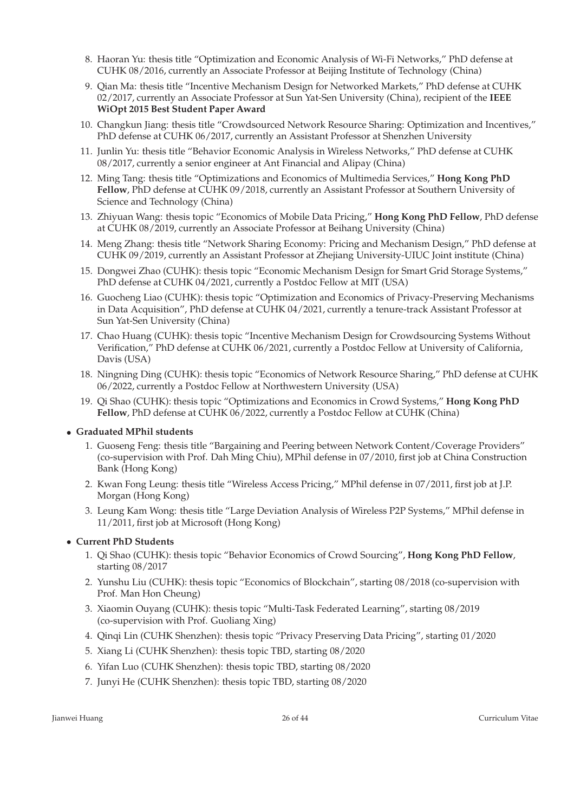- 8. Haoran Yu: thesis title "Optimization and Economic Analysis of Wi-Fi Networks," PhD defense at CUHK 08/2016, currently an Associate Professor at Beijing Institute of Technology (China)
- 9. Qian Ma: thesis title "Incentive Mechanism Design for Networked Markets," PhD defense at CUHK 02/2017, currently an Associate Professor at Sun Yat-Sen University (China), recipient of the **IEEE WiOpt 2015 Best Student Paper Award**
- 10. Changkun Jiang: thesis title "Crowdsourced Network Resource Sharing: Optimization and Incentives," PhD defense at CUHK 06/2017, currently an Assistant Professor at Shenzhen University
- 11. Junlin Yu: thesis title "Behavior Economic Analysis in Wireless Networks," PhD defense at CUHK 08/2017, currently a senior engineer at Ant Financial and Alipay (China)
- 12. Ming Tang: thesis title "Optimizations and Economics of Multimedia Services," **Hong Kong PhD Fellow**, PhD defense at CUHK 09/2018, currently an Assistant Professor at Southern University of Science and Technology (China)
- 13. Zhiyuan Wang: thesis topic "Economics of Mobile Data Pricing," **Hong Kong PhD Fellow**, PhD defense at CUHK 08/2019, currently an Associate Professor at Beihang University (China)
- 14. Meng Zhang: thesis title "Network Sharing Economy: Pricing and Mechanism Design," PhD defense at CUHK 09/2019, currently an Assistant Professor at Zhejiang University-UIUC Joint institute (China)
- 15. Dongwei Zhao (CUHK): thesis topic "Economic Mechanism Design for Smart Grid Storage Systems," PhD defense at CUHK 04/2021, currently a Postdoc Fellow at MIT (USA)
- 16. Guocheng Liao (CUHK): thesis topic "Optimization and Economics of Privacy-Preserving Mechanisms in Data Acquisition", PhD defense at CUHK 04/2021, currently a tenure-track Assistant Professor at Sun Yat-Sen University (China)
- 17. Chao Huang (CUHK): thesis topic "Incentive Mechanism Design for Crowdsourcing Systems Without Verification," PhD defense at CUHK 06/2021, currently a Postdoc Fellow at University of California, Davis (USA)
- 18. Ningning Ding (CUHK): thesis topic "Economics of Network Resource Sharing," PhD defense at CUHK 06/2022, currently a Postdoc Fellow at Northwestern University (USA)
- 19. Qi Shao (CUHK): thesis topic "Optimizations and Economics in Crowd Systems," **Hong Kong PhD Fellow**, PhD defense at CUHK 06/2022, currently a Postdoc Fellow at CUHK (China)

### • **Graduated MPhil students**

- 1. Guoseng Feng: thesis title "Bargaining and Peering between Network Content/Coverage Providers" (co-supervision with Prof. Dah Ming Chiu), MPhil defense in 07/2010, first job at China Construction Bank (Hong Kong)
- 2. Kwan Fong Leung: thesis title "Wireless Access Pricing," MPhil defense in 07/2011, first job at J.P. Morgan (Hong Kong)
- 3. Leung Kam Wong: thesis title "Large Deviation Analysis of Wireless P2P Systems," MPhil defense in 11/2011, first job at Microsoft (Hong Kong)

### • **Current PhD Students**

- 1. Qi Shao (CUHK): thesis topic "Behavior Economics of Crowd Sourcing", **Hong Kong PhD Fellow**, starting 08/2017
- 2. Yunshu Liu (CUHK): thesis topic "Economics of Blockchain", starting 08/2018 (co-supervision with Prof. Man Hon Cheung)
- 3. Xiaomin Ouyang (CUHK): thesis topic "Multi-Task Federated Learning", starting 08/2019 (co-supervision with Prof. Guoliang Xing)
- 4. Qinqi Lin (CUHK Shenzhen): thesis topic "Privacy Preserving Data Pricing", starting 01/2020
- 5. Xiang Li (CUHK Shenzhen): thesis topic TBD, starting 08/2020
- 6. Yifan Luo (CUHK Shenzhen): thesis topic TBD, starting 08/2020
- 7. Junyi He (CUHK Shenzhen): thesis topic TBD, starting 08/2020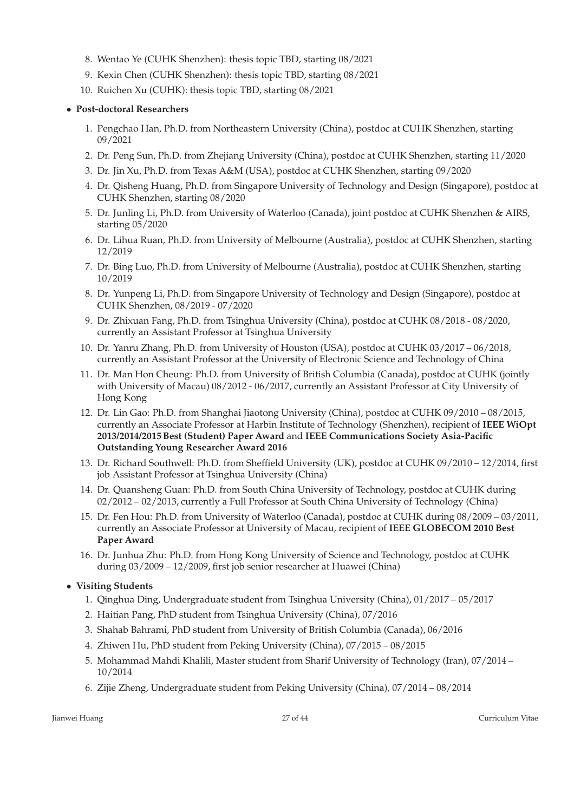- 8. Wentao Ye (CUHK Shenzhen): thesis topic TBD, starting 08/2021
- 9. Kexin Chen (CUHK Shenzhen): thesis topic TBD, starting 08/2021
- 10. Ruichen Xu (CUHK): thesis topic TBD, starting 08/2021

### • **Post-doctoral Researchers**

- 1. Pengchao Han, Ph.D. from Northeastern University (China), postdoc at CUHK Shenzhen, starting 09/2021
- 2. Dr. Peng Sun, Ph.D. from Zhejiang University (China), postdoc at CUHK Shenzhen, starting 11/2020
- 3. Dr. Jin Xu, Ph.D. from Texas A&M (USA), postdoc at CUHK Shenzhen, starting 09/2020
- 4. Dr. Qisheng Huang, Ph.D. from Singapore University of Technology and Design (Singapore), postdoc at CUHK Shenzhen, starting 08/2020
- 5. Dr. Junling Li, Ph.D. from University of Waterloo (Canada), joint postdoc at CUHK Shenzhen & AIRS, starting 05/2020
- 6. Dr. Lihua Ruan, Ph.D. from University of Melbourne (Australia), postdoc at CUHK Shenzhen, starting 12/2019
- 7. Dr. Bing Luo, Ph.D. from University of Melbourne (Australia), postdoc at CUHK Shenzhen, starting 10/2019
- 8. Dr. Yunpeng Li, Ph.D. from Singapore University of Technology and Design (Singapore), postdoc at CUHK Shenzhen, 08/2019 - 07/2020
- 9. Dr. Zhixuan Fang, Ph.D. from Tsinghua University (China), postdoc at CUHK 08/2018 08/2020, currently an Assistant Professor at Tsinghua University
- 10. Dr. Yanru Zhang, Ph.D. from University of Houston (USA), postdoc at CUHK 03/2017 06/2018, currently an Assistant Professor at the University of Electronic Science and Technology of China
- 11. Dr. Man Hon Cheung: Ph.D. from University of British Columbia (Canada), postdoc at CUHK (jointly with University of Macau) 08/2012 - 06/2017, currently an Assistant Professor at City University of Hong Kong
- 12. Dr. Lin Gao: Ph.D. from Shanghai Jiaotong University (China), postdoc at CUHK 09/2010 08/2015, currently an Associate Professor at Harbin Institute of Technology (Shenzhen), recipient of **IEEE WiOpt 2013/2014/2015 Best (Student) Paper Award** and **IEEE Communications Society Asia-Pacific Outstanding Young Researcher Award 2016**
- 13. Dr. Richard Southwell: Ph.D. from Sheffield University (UK), postdoc at CUHK 09/2010 12/2014, first job Assistant Professor at Tsinghua University (China)
- 14. Dr. Quansheng Guan: Ph.D. from South China University of Technology, postdoc at CUHK during 02/2012 – 02/2013, currently a Full Professor at South China University of Technology (China)
- 15. Dr. Fen Hou: Ph.D. from University of Waterloo (Canada), postdoc at CUHK during 08/2009 03/2011, currently an Associate Professor at University of Macau, recipient of **IEEE GLOBECOM 2010 Best Paper Award**
- 16. Dr. Junhua Zhu: Ph.D. from Hong Kong University of Science and Technology, postdoc at CUHK during 03/2009 – 12/2009, first job senior researcher at Huawei (China)

### • **Visiting Students**

- 1. Qinghua Ding, Undergraduate student from Tsinghua University (China), 01/2017 05/2017
- 2. Haitian Pang, PhD student from Tsinghua University (China), 07/2016
- 3. Shahab Bahrami, PhD student from University of British Columbia (Canada), 06/2016
- 4. Zhiwen Hu, PhD student from Peking University (China), 07/2015 08/2015
- 5. Mohammad Mahdi Khalili, Master student from Sharif University of Technology (Iran), 07/2014 10/2014
- 6. Zijie Zheng, Undergraduate student from Peking University (China), 07/2014 08/2014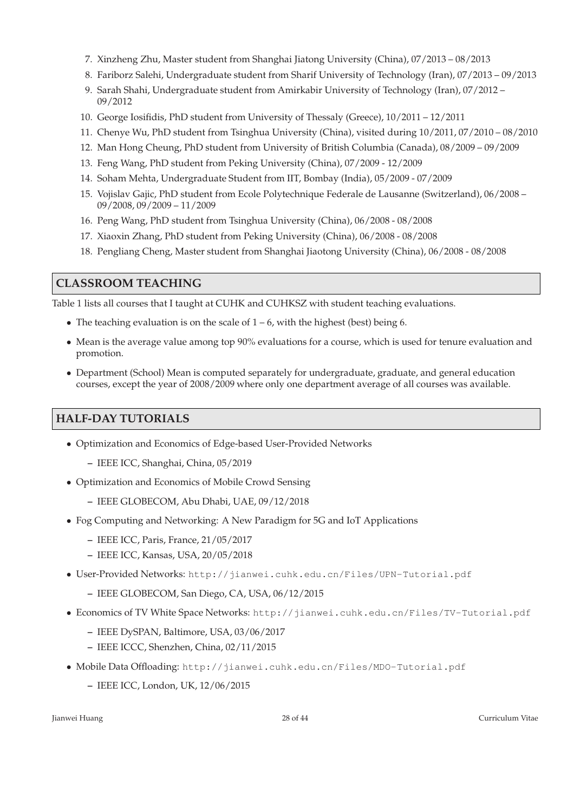- 7. Xinzheng Zhu, Master student from Shanghai Jiatong University (China), 07/2013 08/2013
- 8. Fariborz Salehi, Undergraduate student from Sharif University of Technology (Iran), 07/2013 09/2013
- 9. Sarah Shahi, Undergraduate student from Amirkabir University of Technology (Iran), 07/2012 09/2012
- 10. George Iosifidis, PhD student from University of Thessaly (Greece), 10/2011 12/2011
- 11. Chenye Wu, PhD student from Tsinghua University (China), visited during 10/2011, 07/2010 08/2010
- 12. Man Hong Cheung, PhD student from University of British Columbia (Canada), 08/2009 09/2009
- 13. Feng Wang, PhD student from Peking University (China), 07/2009 12/2009
- 14. Soham Mehta, Undergraduate Student from IIT, Bombay (India), 05/2009 07/2009
- 15. Vojislav Gajic, PhD student from Ecole Polytechnique Federale de Lausanne (Switzerland), 06/2008 09/2008, 09/2009 – 11/2009
- 16. Peng Wang, PhD student from Tsinghua University (China), 06/2008 08/2008
- 17. Xiaoxin Zhang, PhD student from Peking University (China), 06/2008 08/2008
- 18. Pengliang Cheng, Master student from Shanghai Jiaotong University (China), 06/2008 08/2008

### **CLASSROOM TEACHING**

Table 1 lists all courses that I taught at CUHK and CUHKSZ with student teaching evaluations.

- The teaching evaluation is on the scale of  $1 6$ , with the highest (best) being 6.
- Mean is the average value among top 90% evaluations for a course, which is used for tenure evaluation and promotion.
- Department (School) Mean is computed separately for undergraduate, graduate, and general education courses, except the year of 2008/2009 where only one department average of all courses was available.

## **HALF-DAY TUTORIALS**

- Optimization and Economics of Edge-based User-Provided Networks
	- **–** IEEE ICC, Shanghai, China, 05/2019
- Optimization and Economics of Mobile Crowd Sensing
	- **–** IEEE GLOBECOM, Abu Dhabi, UAE, 09/12/2018
- Fog Computing and Networking: A New Paradigm for 5G and IoT Applications
	- **–** IEEE ICC, Paris, France, 21/05/2017
	- **–** IEEE ICC, Kansas, USA, 20/05/2018
- User-Provided Networks: http://jianwei.cuhk.edu.cn/Files/UPN-Tutorial.pdf
	- **–** IEEE GLOBECOM, San Diego, CA, USA, 06/12/2015
- Economics of TV White Space Networks: http://jianwei.cuhk.edu.cn/Files/TV-Tutorial.pdf
	- **–** IEEE DySPAN, Baltimore, USA, 03/06/2017
	- **–** IEEE ICCC, Shenzhen, China, 02/11/2015
- Mobile Data Offloading: http://jianwei.cuhk.edu.cn/Files/MDO-Tutorial.pdf
	- **–** IEEE ICC, London, UK, 12/06/2015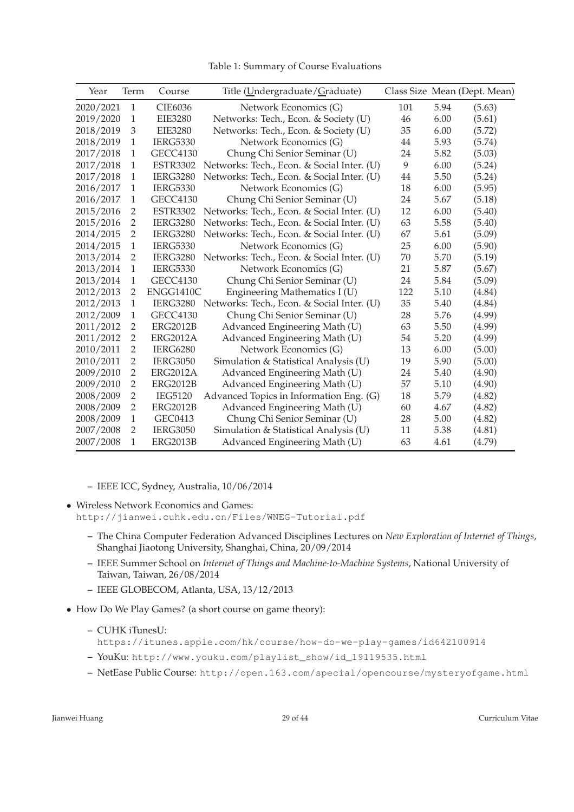| Table 1: Summary of Course Evaluations |  |  |
|----------------------------------------|--|--|
|----------------------------------------|--|--|

| Year      | Term           | Course          | Title (Undergraduate/Graduate)             |     |      | Class Size Mean (Dept. Mean) |
|-----------|----------------|-----------------|--------------------------------------------|-----|------|------------------------------|
| 2020/2021 | 1              | CIE6036         | Network Economics (G)                      | 101 | 5.94 | (5.63)                       |
| 2019/2020 | 1              | <b>EIE3280</b>  | Networks: Tech., Econ. & Society (U)       | 46  | 6.00 | (5.61)                       |
| 2018/2019 | 3              | <b>EIE3280</b>  | Networks: Tech., Econ. & Society (U)       | 35  | 6.00 | (5.72)                       |
| 2018/2019 | $\mathbf{1}$   | <b>IERG5330</b> | Network Economics (G)                      | 44  | 5.93 | (5.74)                       |
| 2017/2018 | 1              | <b>GECC4130</b> | Chung Chi Senior Seminar (U)               | 24  | 5.82 | (5.03)                       |
| 2017/2018 | $\mathbf{1}$   | <b>ESTR3302</b> | Networks: Tech., Econ. & Social Inter. (U) | 9   | 6.00 | (5.24)                       |
| 2017/2018 | $\mathbf{1}$   | <b>IERG3280</b> | Networks: Tech., Econ. & Social Inter. (U) | 44  | 5.50 | (5.24)                       |
| 2016/2017 | 1              | <b>IERG5330</b> | Network Economics (G)                      | 18  | 6.00 | (5.95)                       |
| 2016/2017 | 1              | <b>GECC4130</b> | Chung Chi Senior Seminar (U)               | 24  | 5.67 | (5.18)                       |
| 2015/2016 | $\overline{2}$ | <b>ESTR3302</b> | Networks: Tech., Econ. & Social Inter. (U) | 12  | 6.00 | (5.40)                       |
| 2015/2016 | $\overline{2}$ | <b>IERG3280</b> | Networks: Tech., Econ. & Social Inter. (U) | 63  | 5.58 | (5.40)                       |
| 2014/2015 | $\overline{2}$ | <b>IERG3280</b> | Networks: Tech., Econ. & Social Inter. (U) | 67  | 5.61 | (5.09)                       |
| 2014/2015 | $\mathbf{1}$   | <b>IERG5330</b> | Network Economics (G)                      | 25  | 6.00 | (5.90)                       |
| 2013/2014 | $\overline{2}$ | <b>IERG3280</b> | Networks: Tech., Econ. & Social Inter. (U) | 70  | 5.70 | (5.19)                       |
| 2013/2014 | $\mathbf{1}$   | <b>IERG5330</b> | Network Economics (G)                      | 21  | 5.87 | (5.67)                       |
| 2013/2014 | $\mathbf{1}$   | <b>GECC4130</b> | Chung Chi Senior Seminar (U)               | 24  | 5.84 | (5.09)                       |
| 2012/2013 | $\overline{2}$ | ENGG1410C       | Engineering Mathematics I (U)              | 122 | 5.10 | (4.84)                       |
| 2012/2013 | $\mathbf{1}$   | <b>IERG3280</b> | Networks: Tech., Econ. & Social Inter. (U) | 35  | 5.40 | (4.84)                       |
| 2012/2009 | $\mathbf{1}$   | <b>GECC4130</b> | Chung Chi Senior Seminar (U)               | 28  | 5.76 | (4.99)                       |
| 2011/2012 | $\overline{2}$ | <b>ERG2012B</b> | Advanced Engineering Math (U)              | 63  | 5.50 | (4.99)                       |
| 2011/2012 | $\overline{2}$ | ERG2012A        | Advanced Engineering Math (U)              | 54  | 5.20 | (4.99)                       |
| 2010/2011 | $\overline{2}$ | <b>IERG6280</b> | Network Economics (G)                      | 13  | 6.00 | (5.00)                       |
| 2010/2011 | $\overline{2}$ | <b>IERG3050</b> | Simulation & Statistical Analysis (U)      | 19  | 5.90 | (5.00)                       |
| 2009/2010 | 2              | <b>ERG2012A</b> | Advanced Engineering Math (U)              | 24  | 5.40 | (4.90)                       |
| 2009/2010 | $\overline{2}$ | <b>ERG2012B</b> | Advanced Engineering Math (U)              | 57  | 5.10 | (4.90)                       |
| 2008/2009 | $\overline{2}$ | <b>IEG5120</b>  | Advanced Topics in Information Eng. (G)    | 18  | 5.79 | (4.82)                       |
| 2008/2009 | 2              | <b>ERG2012B</b> | Advanced Engineering Math (U)              | 60  | 4.67 | (4.82)                       |
| 2008/2009 | 1              | GEC0413         | Chung Chi Senior Seminar (U)               | 28  | 5.00 | (4.82)                       |
| 2007/2008 | $\overline{2}$ | <b>IERG3050</b> | Simulation & Statistical Analysis (U)      | 11  | 5.38 | (4.81)                       |
| 2007/2008 | 1              | <b>ERG2013B</b> | Advanced Engineering Math (U)              | 63  | 4.61 | (4.79)                       |

- **–** IEEE ICC, Sydney, Australia, 10/06/2014
- Wireless Network Economics and Games: http://jianwei.cuhk.edu.cn/Files/WNEG-Tutorial.pdf
	- **–** The China Computer Federation Advanced Disciplines Lectures on *New Exploration of Internet of Things*, Shanghai Jiaotong University, Shanghai, China, 20/09/2014
	- **–** IEEE Summer School on *Internet of Things and Machine-to-Machine Systems*, National University of Taiwan, Taiwan, 26/08/2014
	- **–** IEEE GLOBECOM, Atlanta, USA, 13/12/2013
- How Do We Play Games? (a short course on game theory):
	- **–** CUHK iTunesU:
		- https://itunes.apple.com/hk/course/how-do-we-play-games/id642100914
	- **–** YouKu: http://www.youku.com/playlist\_show/id\_19119535.html
	- **–** NetEase Public Course: http://open.163.com/special/opencourse/mysteryofgame.html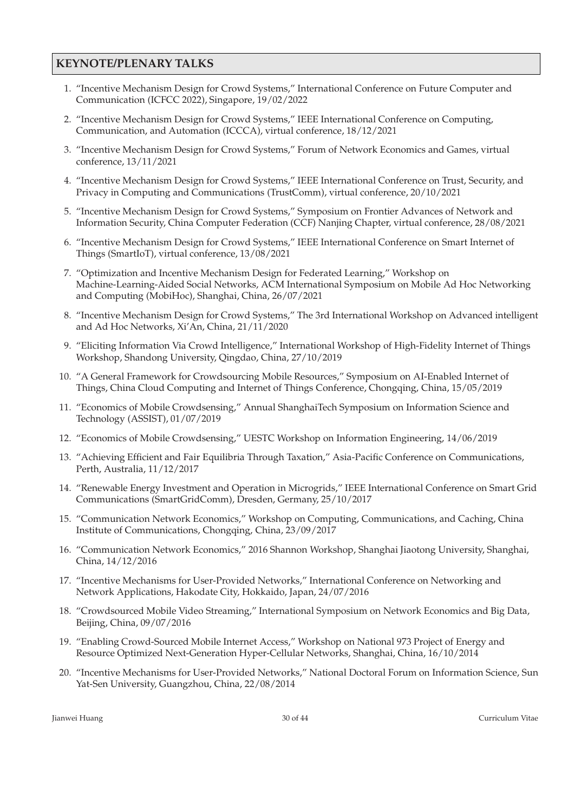### **KEYNOTE/PLENARY TALKS**

- 1. "Incentive Mechanism Design for Crowd Systems," International Conference on Future Computer and Communication (ICFCC 2022), Singapore, 19/02/2022
- 2. "Incentive Mechanism Design for Crowd Systems," IEEE International Conference on Computing, Communication, and Automation (ICCCA), virtual conference, 18/12/2021
- 3. "Incentive Mechanism Design for Crowd Systems," Forum of Network Economics and Games, virtual conference, 13/11/2021
- 4. "Incentive Mechanism Design for Crowd Systems," IEEE International Conference on Trust, Security, and Privacy in Computing and Communications (TrustComm), virtual conference, 20/10/2021
- 5. "Incentive Mechanism Design for Crowd Systems," Symposium on Frontier Advances of Network and Information Security, China Computer Federation (CCF) Nanjing Chapter, virtual conference, 28/08/2021
- 6. "Incentive Mechanism Design for Crowd Systems," IEEE International Conference on Smart Internet of Things (SmartIoT), virtual conference, 13/08/2021
- 7. "Optimization and Incentive Mechanism Design for Federated Learning," Workshop on Machine-Learning-Aided Social Networks, ACM International Symposium on Mobile Ad Hoc Networking and Computing (MobiHoc), Shanghai, China, 26/07/2021
- 8. "Incentive Mechanism Design for Crowd Systems," The 3rd International Workshop on Advanced intelligent and Ad Hoc Networks, Xi'An, China, 21/11/2020
- 9. "Eliciting Information Via Crowd Intelligence," International Workshop of High-Fidelity Internet of Things Workshop, Shandong University, Qingdao, China, 27/10/2019
- 10. "A General Framework for Crowdsourcing Mobile Resources," Symposium on AI-Enabled Internet of Things, China Cloud Computing and Internet of Things Conference, Chongqing, China, 15/05/2019
- 11. "Economics of Mobile Crowdsensing," Annual ShanghaiTech Symposium on Information Science and Technology (ASSIST), 01/07/2019
- 12. "Economics of Mobile Crowdsensing," UESTC Workshop on Information Engineering, 14/06/2019
- 13. "Achieving Efficient and Fair Equilibria Through Taxation," Asia-Pacific Conference on Communications, Perth, Australia, 11/12/2017
- 14. "Renewable Energy Investment and Operation in Microgrids," IEEE International Conference on Smart Grid Communications (SmartGridComm), Dresden, Germany, 25/10/2017
- 15. "Communication Network Economics," Workshop on Computing, Communications, and Caching, China Institute of Communications, Chongqing, China, 23/09/2017
- 16. "Communication Network Economics," 2016 Shannon Workshop, Shanghai Jiaotong University, Shanghai, China, 14/12/2016
- 17. "Incentive Mechanisms for User-Provided Networks," International Conference on Networking and Network Applications, Hakodate City, Hokkaido, Japan, 24/07/2016
- 18. "Crowdsourced Mobile Video Streaming," International Symposium on Network Economics and Big Data, Beijing, China, 09/07/2016
- 19. "Enabling Crowd-Sourced Mobile Internet Access," Workshop on National 973 Project of Energy and Resource Optimized Next-Generation Hyper-Cellular Networks, Shanghai, China, 16/10/2014
- 20. "Incentive Mechanisms for User-Provided Networks," National Doctoral Forum on Information Science, Sun Yat-Sen University, Guangzhou, China, 22/08/2014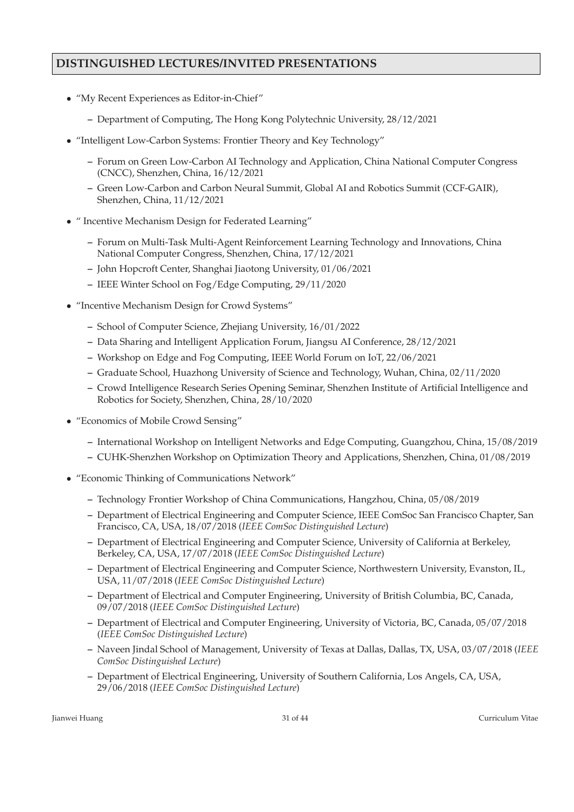## **DISTINGUISHED LECTURES/INVITED PRESENTATIONS**

- "My Recent Experiences as Editor-in-Chief"
	- **–** Department of Computing, The Hong Kong Polytechnic University, 28/12/2021
- "Intelligent Low-Carbon Systems: Frontier Theory and Key Technology"
	- **–** Forum on Green Low-Carbon AI Technology and Application, China National Computer Congress (CNCC), Shenzhen, China, 16/12/2021
	- **–** Green Low-Carbon and Carbon Neural Summit, Global AI and Robotics Summit (CCF-GAIR), Shenzhen, China, 11/12/2021
- " Incentive Mechanism Design for Federated Learning"
	- **–** Forum on Multi-Task Multi-Agent Reinforcement Learning Technology and Innovations, China National Computer Congress, Shenzhen, China, 17/12/2021
	- **–** John Hopcroft Center, Shanghai Jiaotong University, 01/06/2021
	- **–** IEEE Winter School on Fog/Edge Computing, 29/11/2020
- "Incentive Mechanism Design for Crowd Systems"
	- **–** School of Computer Science, Zhejiang University, 16/01/2022
	- **–** Data Sharing and Intelligent Application Forum, Jiangsu AI Conference, 28/12/2021
	- **–** Workshop on Edge and Fog Computing, IEEE World Forum on IoT, 22/06/2021
	- **–** Graduate School, Huazhong University of Science and Technology, Wuhan, China, 02/11/2020
	- **–** Crowd Intelligence Research Series Opening Seminar, Shenzhen Institute of Artificial Intelligence and Robotics for Society, Shenzhen, China, 28/10/2020
- "Economics of Mobile Crowd Sensing"
	- **–** International Workshop on Intelligent Networks and Edge Computing, Guangzhou, China, 15/08/2019
	- **–** CUHK-Shenzhen Workshop on Optimization Theory and Applications, Shenzhen, China, 01/08/2019
- "Economic Thinking of Communications Network"
	- **–** Technology Frontier Workshop of China Communications, Hangzhou, China, 05/08/2019
	- **–** Department of Electrical Engineering and Computer Science, IEEE ComSoc San Francisco Chapter, San Francisco, CA, USA, 18/07/2018 (*IEEE ComSoc Distinguished Lecture*)
	- **–** Department of Electrical Engineering and Computer Science, University of California at Berkeley, Berkeley, CA, USA, 17/07/2018 (*IEEE ComSoc Distinguished Lecture*)
	- **–** Department of Electrical Engineering and Computer Science, Northwestern University, Evanston, IL, USA, 11/07/2018 (*IEEE ComSoc Distinguished Lecture*)
	- **–** Department of Electrical and Computer Engineering, University of British Columbia, BC, Canada, 09/07/2018 (*IEEE ComSoc Distinguished Lecture*)
	- **–** Department of Electrical and Computer Engineering, University of Victoria, BC, Canada, 05/07/2018 (*IEEE ComSoc Distinguished Lecture*)
	- **–** Naveen Jindal School of Management, University of Texas at Dallas, Dallas, TX, USA, 03/07/2018 (*IEEE ComSoc Distinguished Lecture*)
	- **–** Department of Electrical Engineering, University of Southern California, Los Angels, CA, USA, 29/06/2018 (*IEEE ComSoc Distinguished Lecture*)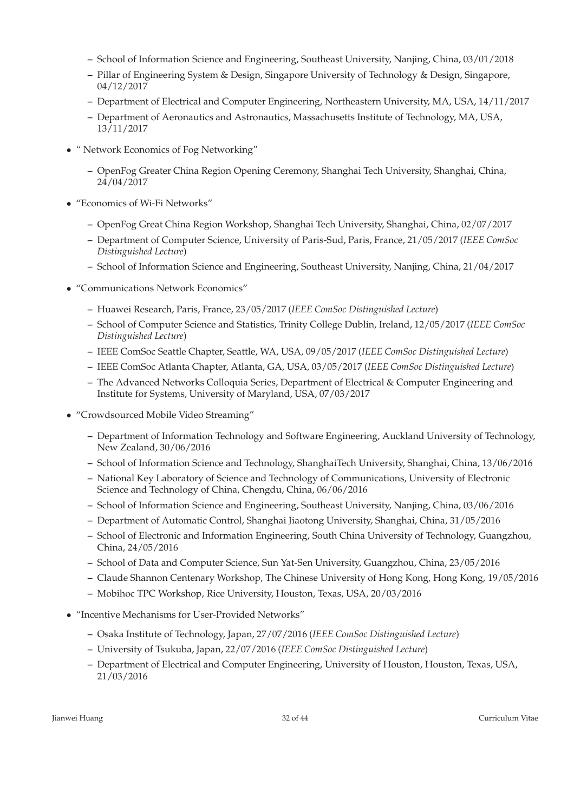- **–** School of Information Science and Engineering, Southeast University, Nanjing, China, 03/01/2018
- **–** Pillar of Engineering System & Design, Singapore University of Technology & Design, Singapore, 04/12/2017
- **–** Department of Electrical and Computer Engineering, Northeastern University, MA, USA, 14/11/2017
- **–** Department of Aeronautics and Astronautics, Massachusetts Institute of Technology, MA, USA, 13/11/2017
- " Network Economics of Fog Networking"
	- **–** OpenFog Greater China Region Opening Ceremony, Shanghai Tech University, Shanghai, China, 24/04/2017
- "Economics of Wi-Fi Networks"
	- **–** OpenFog Great China Region Workshop, Shanghai Tech University, Shanghai, China, 02/07/2017
	- **–** Department of Computer Science, University of Paris-Sud, Paris, France, 21/05/2017 (*IEEE ComSoc Distinguished Lecture*)
	- **–** School of Information Science and Engineering, Southeast University, Nanjing, China, 21/04/2017
- "Communications Network Economics"
	- **–** Huawei Research, Paris, France, 23/05/2017 (*IEEE ComSoc Distinguished Lecture*)
	- **–** School of Computer Science and Statistics, Trinity College Dublin, Ireland, 12/05/2017 (*IEEE ComSoc Distinguished Lecture*)
	- **–** IEEE ComSoc Seattle Chapter, Seattle, WA, USA, 09/05/2017 (*IEEE ComSoc Distinguished Lecture*)
	- **–** IEEE ComSoc Atlanta Chapter, Atlanta, GA, USA, 03/05/2017 (*IEEE ComSoc Distinguished Lecture*)
	- **–** The Advanced Networks Colloquia Series, Department of Electrical & Computer Engineering and Institute for Systems, University of Maryland, USA, 07/03/2017
- "Crowdsourced Mobile Video Streaming"
	- **–** Department of Information Technology and Software Engineering, Auckland University of Technology, New Zealand, 30/06/2016
	- **–** School of Information Science and Technology, ShanghaiTech University, Shanghai, China, 13/06/2016
	- **–** National Key Laboratory of Science and Technology of Communications, University of Electronic Science and Technology of China, Chengdu, China, 06/06/2016
	- **–** School of Information Science and Engineering, Southeast University, Nanjing, China, 03/06/2016
	- **–** Department of Automatic Control, Shanghai Jiaotong University, Shanghai, China, 31/05/2016
	- **–** School of Electronic and Information Engineering, South China University of Technology, Guangzhou, China, 24/05/2016
	- **–** School of Data and Computer Science, Sun Yat-Sen University, Guangzhou, China, 23/05/2016
	- **–** Claude Shannon Centenary Workshop, The Chinese University of Hong Kong, Hong Kong, 19/05/2016
	- **–** Mobihoc TPC Workshop, Rice University, Houston, Texas, USA, 20/03/2016
- "Incentive Mechanisms for User-Provided Networks"
	- **–** Osaka Institute of Technology, Japan, 27/07/2016 (*IEEE ComSoc Distinguished Lecture*)
	- **–** University of Tsukuba, Japan, 22/07/2016 (*IEEE ComSoc Distinguished Lecture*)
	- **–** Department of Electrical and Computer Engineering, University of Houston, Houston, Texas, USA, 21/03/2016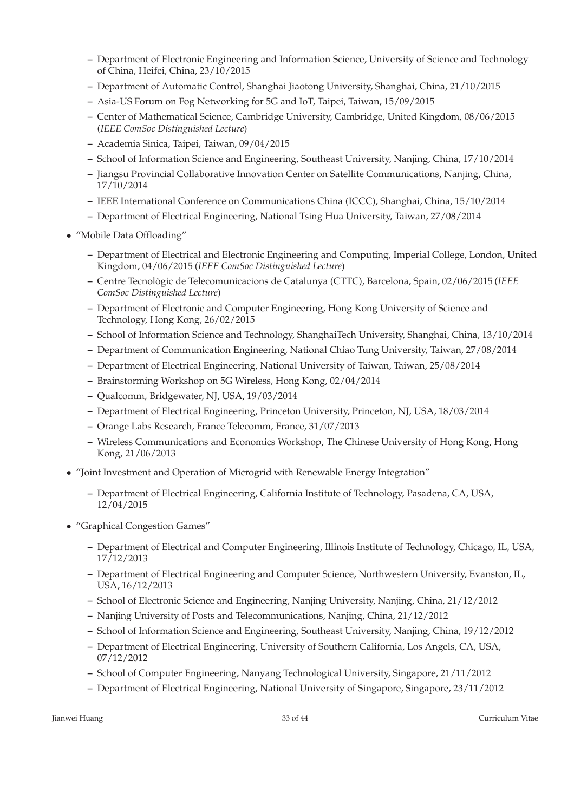- **–** Department of Electronic Engineering and Information Science, University of Science and Technology of China, Heifei, China, 23/10/2015
- **–** Department of Automatic Control, Shanghai Jiaotong University, Shanghai, China, 21/10/2015
- **–** Asia-US Forum on Fog Networking for 5G and IoT, Taipei, Taiwan, 15/09/2015
- **–** Center of Mathematical Science, Cambridge University, Cambridge, United Kingdom, 08/06/2015 (*IEEE ComSoc Distinguished Lecture*)
- **–** Academia Sinica, Taipei, Taiwan, 09/04/2015
- **–** School of Information Science and Engineering, Southeast University, Nanjing, China, 17/10/2014
- **–** Jiangsu Provincial Collaborative Innovation Center on Satellite Communications, Nanjing, China, 17/10/2014
- **–** IEEE International Conference on Communications China (ICCC), Shanghai, China, 15/10/2014
- **–** Department of Electrical Engineering, National Tsing Hua University, Taiwan, 27/08/2014
- "Mobile Data Offloading"
	- **–** Department of Electrical and Electronic Engineering and Computing, Imperial College, London, United Kingdom, 04/06/2015 (*IEEE ComSoc Distinguished Lecture*)
	- **–** Centre Tecnol `ogic de Telecomunicacions de Catalunya (CTTC), Barcelona, Spain, 02/06/2015 (*IEEE ComSoc Distinguished Lecture*)
	- **–** Department of Electronic and Computer Engineering, Hong Kong University of Science and Technology, Hong Kong, 26/02/2015
	- **–** School of Information Science and Technology, ShanghaiTech University, Shanghai, China, 13/10/2014
	- **–** Department of Communication Engineering, National Chiao Tung University, Taiwan, 27/08/2014
	- **–** Department of Electrical Engineering, National University of Taiwan, Taiwan, 25/08/2014
	- **–** Brainstorming Workshop on 5G Wireless, Hong Kong, 02/04/2014
	- **–** Qualcomm, Bridgewater, NJ, USA, 19/03/2014
	- **–** Department of Electrical Engineering, Princeton University, Princeton, NJ, USA, 18/03/2014
	- **–** Orange Labs Research, France Telecomm, France, 31/07/2013
	- **–** Wireless Communications and Economics Workshop, The Chinese University of Hong Kong, Hong Kong, 21/06/2013
- "Joint Investment and Operation of Microgrid with Renewable Energy Integration"
	- **–** Department of Electrical Engineering, California Institute of Technology, Pasadena, CA, USA, 12/04/2015
- "Graphical Congestion Games"
	- **–** Department of Electrical and Computer Engineering, Illinois Institute of Technology, Chicago, IL, USA, 17/12/2013
	- **–** Department of Electrical Engineering and Computer Science, Northwestern University, Evanston, IL, USA, 16/12/2013
	- **–** School of Electronic Science and Engineering, Nanjing University, Nanjing, China, 21/12/2012
	- **–** Nanjing University of Posts and Telecommunications, Nanjing, China, 21/12/2012
	- **–** School of Information Science and Engineering, Southeast University, Nanjing, China, 19/12/2012
	- **–** Department of Electrical Engineering, University of Southern California, Los Angels, CA, USA, 07/12/2012
	- **–** School of Computer Engineering, Nanyang Technological University, Singapore, 21/11/2012
	- **–** Department of Electrical Engineering, National University of Singapore, Singapore, 23/11/2012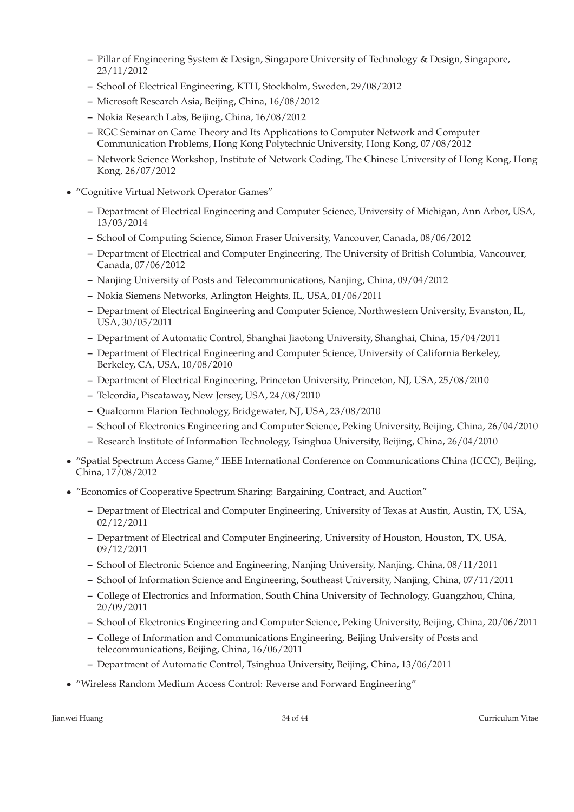- **–** Pillar of Engineering System & Design, Singapore University of Technology & Design, Singapore, 23/11/2012
- **–** School of Electrical Engineering, KTH, Stockholm, Sweden, 29/08/2012
- **–** Microsoft Research Asia, Beijing, China, 16/08/2012
- **–** Nokia Research Labs, Beijing, China, 16/08/2012
- **–** RGC Seminar on Game Theory and Its Applications to Computer Network and Computer Communication Problems, Hong Kong Polytechnic University, Hong Kong, 07/08/2012
- **–** Network Science Workshop, Institute of Network Coding, The Chinese University of Hong Kong, Hong Kong, 26/07/2012
- "Cognitive Virtual Network Operator Games"
	- **–** Department of Electrical Engineering and Computer Science, University of Michigan, Ann Arbor, USA, 13/03/2014
	- **–** School of Computing Science, Simon Fraser University, Vancouver, Canada, 08/06/2012
	- **–** Department of Electrical and Computer Engineering, The University of British Columbia, Vancouver, Canada, 07/06/2012
	- **–** Nanjing University of Posts and Telecommunications, Nanjing, China, 09/04/2012
	- **–** Nokia Siemens Networks, Arlington Heights, IL, USA, 01/06/2011
	- **–** Department of Electrical Engineering and Computer Science, Northwestern University, Evanston, IL, USA, 30/05/2011
	- **–** Department of Automatic Control, Shanghai Jiaotong University, Shanghai, China, 15/04/2011
	- **–** Department of Electrical Engineering and Computer Science, University of California Berkeley, Berkeley, CA, USA, 10/08/2010
	- **–** Department of Electrical Engineering, Princeton University, Princeton, NJ, USA, 25/08/2010
	- **–** Telcordia, Piscataway, New Jersey, USA, 24/08/2010
	- **–** Qualcomm Flarion Technology, Bridgewater, NJ, USA, 23/08/2010
	- **–** School of Electronics Engineering and Computer Science, Peking University, Beijing, China, 26/04/2010
	- **–** Research Institute of Information Technology, Tsinghua University, Beijing, China, 26/04/2010
- "Spatial Spectrum Access Game," IEEE International Conference on Communications China (ICCC), Beijing, China, 17/08/2012
- "Economics of Cooperative Spectrum Sharing: Bargaining, Contract, and Auction"
	- **–** Department of Electrical and Computer Engineering, University of Texas at Austin, Austin, TX, USA, 02/12/2011
	- **–** Department of Electrical and Computer Engineering, University of Houston, Houston, TX, USA, 09/12/2011
	- **–** School of Electronic Science and Engineering, Nanjing University, Nanjing, China, 08/11/2011
	- **–** School of Information Science and Engineering, Southeast University, Nanjing, China, 07/11/2011
	- **–** College of Electronics and Information, South China University of Technology, Guangzhou, China, 20/09/2011
	- **–** School of Electronics Engineering and Computer Science, Peking University, Beijing, China, 20/06/2011
	- **–** College of Information and Communications Engineering, Beijing University of Posts and telecommunications, Beijing, China, 16/06/2011
	- **–** Department of Automatic Control, Tsinghua University, Beijing, China, 13/06/2011
- "Wireless Random Medium Access Control: Reverse and Forward Engineering"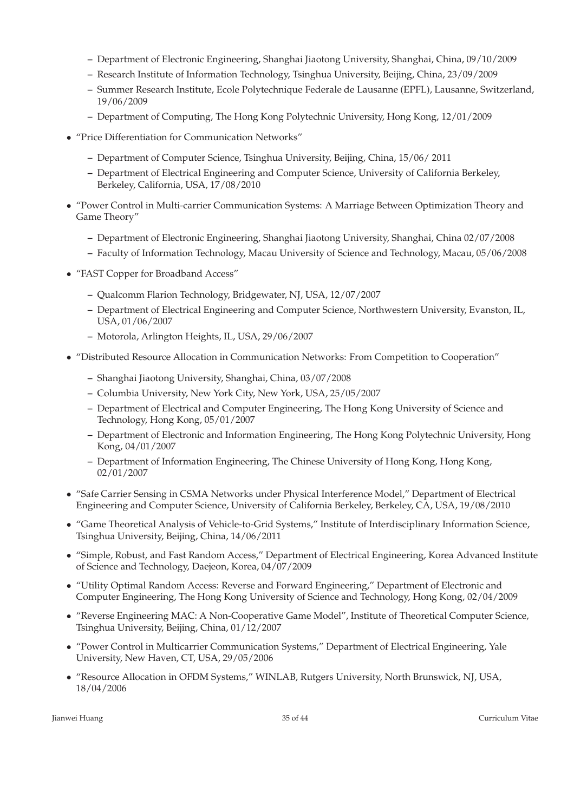- **–** Department of Electronic Engineering, Shanghai Jiaotong University, Shanghai, China, 09/10/2009
- **–** Research Institute of Information Technology, Tsinghua University, Beijing, China, 23/09/2009
- **–** Summer Research Institute, Ecole Polytechnique Federale de Lausanne (EPFL), Lausanne, Switzerland, 19/06/2009
- **–** Department of Computing, The Hong Kong Polytechnic University, Hong Kong, 12/01/2009
- "Price Differentiation for Communication Networks"
	- **–** Department of Computer Science, Tsinghua University, Beijing, China, 15/06/ 2011
	- **–** Department of Electrical Engineering and Computer Science, University of California Berkeley, Berkeley, California, USA, 17/08/2010
- "Power Control in Multi-carrier Communication Systems: A Marriage Between Optimization Theory and Game Theory"
	- **–** Department of Electronic Engineering, Shanghai Jiaotong University, Shanghai, China 02/07/2008
	- **–** Faculty of Information Technology, Macau University of Science and Technology, Macau, 05/06/2008
- "FAST Copper for Broadband Access"
	- **–** Qualcomm Flarion Technology, Bridgewater, NJ, USA, 12/07/2007
	- **–** Department of Electrical Engineering and Computer Science, Northwestern University, Evanston, IL, USA, 01/06/2007
	- **–** Motorola, Arlington Heights, IL, USA, 29/06/2007
- "Distributed Resource Allocation in Communication Networks: From Competition to Cooperation"
	- **–** Shanghai Jiaotong University, Shanghai, China, 03/07/2008
	- **–** Columbia University, New York City, New York, USA, 25/05/2007
	- **–** Department of Electrical and Computer Engineering, The Hong Kong University of Science and Technology, Hong Kong, 05/01/2007
	- **–** Department of Electronic and Information Engineering, The Hong Kong Polytechnic University, Hong Kong, 04/01/2007
	- **–** Department of Information Engineering, The Chinese University of Hong Kong, Hong Kong, 02/01/2007
- "Safe Carrier Sensing in CSMA Networks under Physical Interference Model," Department of Electrical Engineering and Computer Science, University of California Berkeley, Berkeley, CA, USA, 19/08/2010
- "Game Theoretical Analysis of Vehicle-to-Grid Systems," Institute of Interdisciplinary Information Science, Tsinghua University, Beijing, China, 14/06/2011
- "Simple, Robust, and Fast Random Access," Department of Electrical Engineering, Korea Advanced Institute of Science and Technology, Daejeon, Korea, 04/07/2009
- "Utility Optimal Random Access: Reverse and Forward Engineering," Department of Electronic and Computer Engineering, The Hong Kong University of Science and Technology, Hong Kong, 02/04/2009
- "Reverse Engineering MAC: A Non-Cooperative Game Model", Institute of Theoretical Computer Science, Tsinghua University, Beijing, China, 01/12/2007
- "Power Control in Multicarrier Communication Systems," Department of Electrical Engineering, Yale University, New Haven, CT, USA, 29/05/2006
- "Resource Allocation in OFDM Systems," WINLAB, Rutgers University, North Brunswick, NJ, USA, 18/04/2006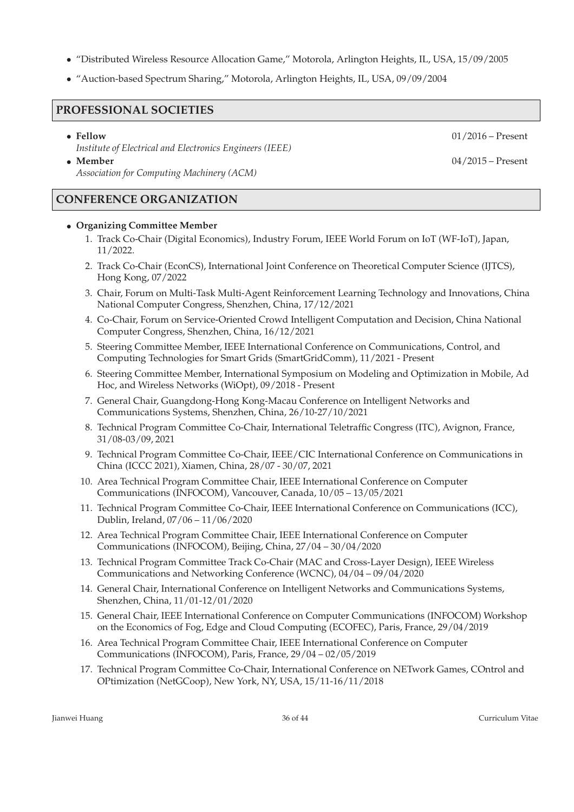- "Distributed Wireless Resource Allocation Game," Motorola, Arlington Heights, IL, USA, 15/09/2005
- "Auction-based Spectrum Sharing," Motorola, Arlington Heights, IL, USA, 09/09/2004

### **PROFESSIONAL SOCIETIES**

• **Fellow** 01/2016 – Present *Institute of Electrical and Electronics Engineers (IEEE)*

• **Member** 04/2015 – Present *Association for Computing Machinery (ACM)*

## **CONFERENCE ORGANIZATION**

### • **Organizing Committee Member**

- 1. Track Co-Chair (Digital Economics), Industry Forum, IEEE World Forum on IoT (WF-IoT), Japan, 11/2022.
- 2. Track Co-Chair (EconCS), International Joint Conference on Theoretical Computer Science (IJTCS), Hong Kong, 07/2022
- 3. Chair, Forum on Multi-Task Multi-Agent Reinforcement Learning Technology and Innovations, China National Computer Congress, Shenzhen, China, 17/12/2021
- 4. Co-Chair, Forum on Service-Oriented Crowd Intelligent Computation and Decision, China National Computer Congress, Shenzhen, China, 16/12/2021
- 5. Steering Committee Member, IEEE International Conference on Communications, Control, and Computing Technologies for Smart Grids (SmartGridComm), 11/2021 - Present
- 6. Steering Committee Member, International Symposium on Modeling and Optimization in Mobile, Ad Hoc, and Wireless Networks (WiOpt), 09/2018 - Present
- 7. General Chair, Guangdong-Hong Kong-Macau Conference on Intelligent Networks and Communications Systems, Shenzhen, China, 26/10-27/10/2021
- 8. Technical Program Committee Co-Chair, International Teletraffic Congress (ITC), Avignon, France, 31/08-03/09, 2021
- 9. Technical Program Committee Co-Chair, IEEE/CIC International Conference on Communications in China (ICCC 2021), Xiamen, China, 28/07 - 30/07, 2021
- 10. Area Technical Program Committee Chair, IEEE International Conference on Computer Communications (INFOCOM), Vancouver, Canada, 10/05 – 13/05/2021
- 11. Technical Program Committee Co-Chair, IEEE International Conference on Communications (ICC), Dublin, Ireland, 07/06 – 11/06/2020
- 12. Area Technical Program Committee Chair, IEEE International Conference on Computer Communications (INFOCOM), Beijing, China, 27/04 – 30/04/2020
- 13. Technical Program Committee Track Co-Chair (MAC and Cross-Layer Design), IEEE Wireless Communications and Networking Conference (WCNC), 04/04 – 09/04/2020
- 14. General Chair, International Conference on Intelligent Networks and Communications Systems, Shenzhen, China, 11/01-12/01/2020
- 15. General Chair, IEEE International Conference on Computer Communications (INFOCOM) Workshop on the Economics of Fog, Edge and Cloud Computing (ECOFEC), Paris, France, 29/04/2019
- 16. Area Technical Program Committee Chair, IEEE International Conference on Computer Communications (INFOCOM), Paris, France, 29/04 – 02/05/2019
- 17. Technical Program Committee Co-Chair, International Conference on NETwork Games, COntrol and OPtimization (NetGCoop), New York, NY, USA, 15/11-16/11/2018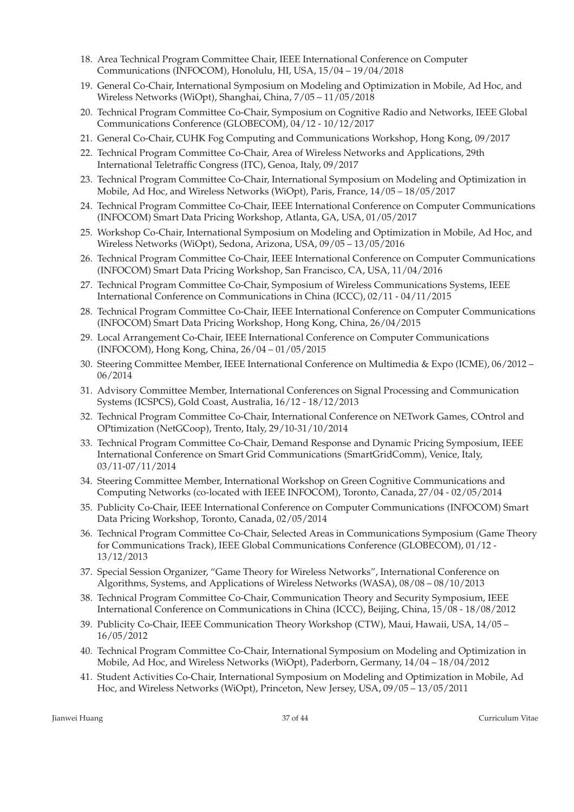- 18. Area Technical Program Committee Chair, IEEE International Conference on Computer Communications (INFOCOM), Honolulu, HI, USA, 15/04 – 19/04/2018
- 19. General Co-Chair, International Symposium on Modeling and Optimization in Mobile, Ad Hoc, and Wireless Networks (WiOpt), Shanghai, China, 7/05 – 11/05/2018
- 20. Technical Program Committee Co-Chair, Symposium on Cognitive Radio and Networks, IEEE Global Communications Conference (GLOBECOM), 04/12 - 10/12/2017
- 21. General Co-Chair, CUHK Fog Computing and Communications Workshop, Hong Kong, 09/2017
- 22. Technical Program Committee Co-Chair, Area of Wireless Networks and Applications, 29th International Teletraffic Congress (ITC), Genoa, Italy, 09/2017
- 23. Technical Program Committee Co-Chair, International Symposium on Modeling and Optimization in Mobile, Ad Hoc, and Wireless Networks (WiOpt), Paris, France, 14/05 – 18/05/2017
- 24. Technical Program Committee Co-Chair, IEEE International Conference on Computer Communications (INFOCOM) Smart Data Pricing Workshop, Atlanta, GA, USA, 01/05/2017
- 25. Workshop Co-Chair, International Symposium on Modeling and Optimization in Mobile, Ad Hoc, and Wireless Networks (WiOpt), Sedona, Arizona, USA, 09/05 – 13/05/2016
- 26. Technical Program Committee Co-Chair, IEEE International Conference on Computer Communications (INFOCOM) Smart Data Pricing Workshop, San Francisco, CA, USA, 11/04/2016
- 27. Technical Program Committee Co-Chair, Symposium of Wireless Communications Systems, IEEE International Conference on Communications in China (ICCC), 02/11 - 04/11/2015
- 28. Technical Program Committee Co-Chair, IEEE International Conference on Computer Communications (INFOCOM) Smart Data Pricing Workshop, Hong Kong, China, 26/04/2015
- 29. Local Arrangement Co-Chair, IEEE International Conference on Computer Communications (INFOCOM), Hong Kong, China, 26/04 – 01/05/2015
- 30. Steering Committee Member, IEEE International Conference on Multimedia & Expo (ICME), 06/2012 06/2014
- 31. Advisory Committee Member, International Conferences on Signal Processing and Communication Systems (ICSPCS), Gold Coast, Australia, 16/12 - 18/12/2013
- 32. Technical Program Committee Co-Chair, International Conference on NETwork Games, COntrol and OPtimization (NetGCoop), Trento, Italy, 29/10-31/10/2014
- 33. Technical Program Committee Co-Chair, Demand Response and Dynamic Pricing Symposium, IEEE International Conference on Smart Grid Communications (SmartGridComm), Venice, Italy, 03/11-07/11/2014
- 34. Steering Committee Member, International Workshop on Green Cognitive Communications and Computing Networks (co-located with IEEE INFOCOM), Toronto, Canada, 27/04 - 02/05/2014
- 35. Publicity Co-Chair, IEEE International Conference on Computer Communications (INFOCOM) Smart Data Pricing Workshop, Toronto, Canada, 02/05/2014
- 36. Technical Program Committee Co-Chair, Selected Areas in Communications Symposium (Game Theory for Communications Track), IEEE Global Communications Conference (GLOBECOM), 01/12 - 13/12/2013
- 37. Special Session Organizer, "Game Theory for Wireless Networks", International Conference on Algorithms, Systems, and Applications of Wireless Networks (WASA), 08/08 – 08/10/2013
- 38. Technical Program Committee Co-Chair, Communication Theory and Security Symposium, IEEE International Conference on Communications in China (ICCC), Beijing, China, 15/08 - 18/08/2012
- 39. Publicity Co-Chair, IEEE Communication Theory Workshop (CTW), Maui, Hawaii, USA, 14/05 16/05/2012
- 40. Technical Program Committee Co-Chair, International Symposium on Modeling and Optimization in Mobile, Ad Hoc, and Wireless Networks (WiOpt), Paderborn, Germany, 14/04 – 18/04/2012
- 41. Student Activities Co-Chair, International Symposium on Modeling and Optimization in Mobile, Ad Hoc, and Wireless Networks (WiOpt), Princeton, New Jersey, USA, 09/05 – 13/05/2011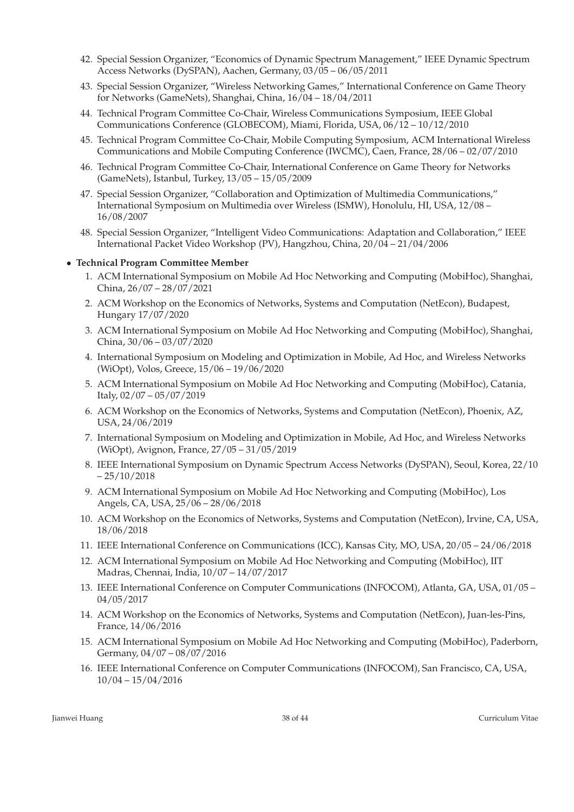- 42. Special Session Organizer, "Economics of Dynamic Spectrum Management," IEEE Dynamic Spectrum Access Networks (DySPAN), Aachen, Germany, 03/05 – 06/05/2011
- 43. Special Session Organizer, "Wireless Networking Games," International Conference on Game Theory for Networks (GameNets), Shanghai, China, 16/04 – 18/04/2011
- 44. Technical Program Committee Co-Chair, Wireless Communications Symposium, IEEE Global Communications Conference (GLOBECOM), Miami, Florida, USA, 06/12 – 10/12/2010
- 45. Technical Program Committee Co-Chair, Mobile Computing Symposium, ACM International Wireless Communications and Mobile Computing Conference (IWCMC), Caen, France, 28/06 – 02/07/2010
- 46. Technical Program Committee Co-Chair, International Conference on Game Theory for Networks (GameNets), Istanbul, Turkey, 13/05 – 15/05/2009
- 47. Special Session Organizer, "Collaboration and Optimization of Multimedia Communications," International Symposium on Multimedia over Wireless (ISMW), Honolulu, HI, USA, 12/08 – 16/08/2007
- 48. Special Session Organizer, "Intelligent Video Communications: Adaptation and Collaboration," IEEE International Packet Video Workshop (PV), Hangzhou, China, 20/04 – 21/04/2006

### • **Technical Program Committee Member**

- 1. ACM International Symposium on Mobile Ad Hoc Networking and Computing (MobiHoc), Shanghai, China, 26/07 – 28/07/2021
- 2. ACM Workshop on the Economics of Networks, Systems and Computation (NetEcon), Budapest, Hungary 17/07/2020
- 3. ACM International Symposium on Mobile Ad Hoc Networking and Computing (MobiHoc), Shanghai, China, 30/06 – 03/07/2020
- 4. International Symposium on Modeling and Optimization in Mobile, Ad Hoc, and Wireless Networks (WiOpt), Volos, Greece, 15/06 – 19/06/2020
- 5. ACM International Symposium on Mobile Ad Hoc Networking and Computing (MobiHoc), Catania, Italy, 02/07 – 05/07/2019
- 6. ACM Workshop on the Economics of Networks, Systems and Computation (NetEcon), Phoenix, AZ, USA, 24/06/2019
- 7. International Symposium on Modeling and Optimization in Mobile, Ad Hoc, and Wireless Networks (WiOpt), Avignon, France, 27/05 – 31/05/2019
- 8. IEEE International Symposium on Dynamic Spectrum Access Networks (DySPAN), Seoul, Korea, 22/10  $-25/10/2018$
- 9. ACM International Symposium on Mobile Ad Hoc Networking and Computing (MobiHoc), Los Angels, CA, USA, 25/06 – 28/06/2018
- 10. ACM Workshop on the Economics of Networks, Systems and Computation (NetEcon), Irvine, CA, USA, 18/06/2018
- 11. IEEE International Conference on Communications (ICC), Kansas City, MO, USA, 20/05 24/06/2018
- 12. ACM International Symposium on Mobile Ad Hoc Networking and Computing (MobiHoc), IIT Madras, Chennai, India, 10/07 – 14/07/2017
- 13. IEEE International Conference on Computer Communications (INFOCOM), Atlanta, GA, USA, 01/05 04/05/2017
- 14. ACM Workshop on the Economics of Networks, Systems and Computation (NetEcon), Juan-les-Pins, France, 14/06/2016
- 15. ACM International Symposium on Mobile Ad Hoc Networking and Computing (MobiHoc), Paderborn, Germany, 04/07 – 08/07/2016
- 16. IEEE International Conference on Computer Communications (INFOCOM), San Francisco, CA, USA, 10/04 – 15/04/2016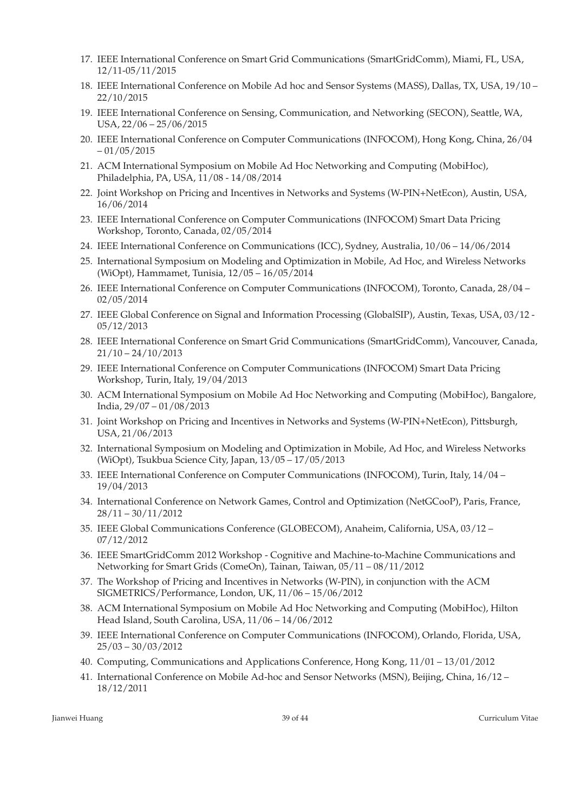- 17. IEEE International Conference on Smart Grid Communications (SmartGridComm), Miami, FL, USA, 12/11-05/11/2015
- 18. IEEE International Conference on Mobile Ad hoc and Sensor Systems (MASS), Dallas, TX, USA, 19/10 22/10/2015
- 19. IEEE International Conference on Sensing, Communication, and Networking (SECON), Seattle, WA, USA, 22/06 – 25/06/2015
- 20. IEEE International Conference on Computer Communications (INFOCOM), Hong Kong, China, 26/04  $-01/05/2015$
- 21. ACM International Symposium on Mobile Ad Hoc Networking and Computing (MobiHoc), Philadelphia, PA, USA, 11/08 - 14/08/2014
- 22. Joint Workshop on Pricing and Incentives in Networks and Systems (W-PIN+NetEcon), Austin, USA, 16/06/2014
- 23. IEEE International Conference on Computer Communications (INFOCOM) Smart Data Pricing Workshop, Toronto, Canada, 02/05/2014
- 24. IEEE International Conference on Communications (ICC), Sydney, Australia, 10/06 14/06/2014
- 25. International Symposium on Modeling and Optimization in Mobile, Ad Hoc, and Wireless Networks (WiOpt), Hammamet, Tunisia, 12/05 – 16/05/2014
- 26. IEEE International Conference on Computer Communications (INFOCOM), Toronto, Canada, 28/04 02/05/2014
- 27. IEEE Global Conference on Signal and Information Processing (GlobalSIP), Austin, Texas, USA, 03/12 05/12/2013
- 28. IEEE International Conference on Smart Grid Communications (SmartGridComm), Vancouver, Canada, 21/10 – 24/10/2013
- 29. IEEE International Conference on Computer Communications (INFOCOM) Smart Data Pricing Workshop, Turin, Italy, 19/04/2013
- 30. ACM International Symposium on Mobile Ad Hoc Networking and Computing (MobiHoc), Bangalore, India, 29/07 – 01/08/2013
- 31. Joint Workshop on Pricing and Incentives in Networks and Systems (W-PIN+NetEcon), Pittsburgh, USA, 21/06/2013
- 32. International Symposium on Modeling and Optimization in Mobile, Ad Hoc, and Wireless Networks (WiOpt), Tsukbua Science City, Japan, 13/05 – 17/05/2013
- 33. IEEE International Conference on Computer Communications (INFOCOM), Turin, Italy, 14/04 19/04/2013
- 34. International Conference on Network Games, Control and Optimization (NetGCooP), Paris, France, 28/11 – 30/11/2012
- 35. IEEE Global Communications Conference (GLOBECOM), Anaheim, California, USA, 03/12 07/12/2012
- 36. IEEE SmartGridComm 2012 Workshop Cognitive and Machine-to-Machine Communications and Networking for Smart Grids (ComeOn), Tainan, Taiwan, 05/11 – 08/11/2012
- 37. The Workshop of Pricing and Incentives in Networks (W-PIN), in conjunction with the ACM SIGMETRICS/Performance, London, UK, 11/06 – 15/06/2012
- 38. ACM International Symposium on Mobile Ad Hoc Networking and Computing (MobiHoc), Hilton Head Island, South Carolina, USA, 11/06 – 14/06/2012
- 39. IEEE International Conference on Computer Communications (INFOCOM), Orlando, Florida, USA, 25/03 – 30/03/2012
- 40. Computing, Communications and Applications Conference, Hong Kong, 11/01 13/01/2012
- 41. International Conference on Mobile Ad-hoc and Sensor Networks (MSN), Beijing, China, 16/12 18/12/2011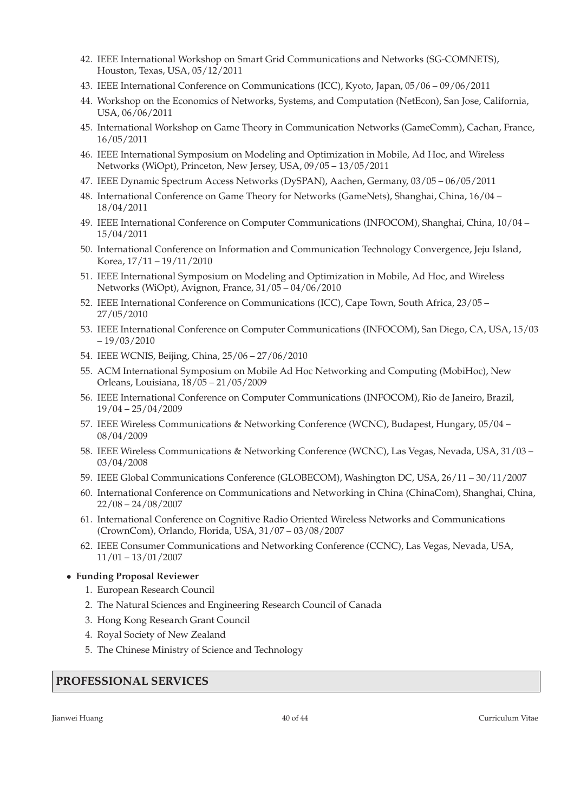- 42. IEEE International Workshop on Smart Grid Communications and Networks (SG-COMNETS), Houston, Texas, USA, 05/12/2011
- 43. IEEE International Conference on Communications (ICC), Kyoto, Japan, 05/06 09/06/2011
- 44. Workshop on the Economics of Networks, Systems, and Computation (NetEcon), San Jose, California, USA, 06/06/2011
- 45. International Workshop on Game Theory in Communication Networks (GameComm), Cachan, France, 16/05/2011
- 46. IEEE International Symposium on Modeling and Optimization in Mobile, Ad Hoc, and Wireless Networks (WiOpt), Princeton, New Jersey, USA, 09/05 – 13/05/2011
- 47. IEEE Dynamic Spectrum Access Networks (DySPAN), Aachen, Germany, 03/05 06/05/2011
- 48. International Conference on Game Theory for Networks (GameNets), Shanghai, China, 16/04 18/04/2011
- 49. IEEE International Conference on Computer Communications (INFOCOM), Shanghai, China, 10/04 15/04/2011
- 50. International Conference on Information and Communication Technology Convergence, Jeju Island, Korea, 17/11 – 19/11/2010
- 51. IEEE International Symposium on Modeling and Optimization in Mobile, Ad Hoc, and Wireless Networks (WiOpt), Avignon, France, 31/05 – 04/06/2010
- 52. IEEE International Conference on Communications (ICC), Cape Town, South Africa, 23/05 27/05/2010
- 53. IEEE International Conference on Computer Communications (INFOCOM), San Diego, CA, USA, 15/03 – 19/03/2010
- 54. IEEE WCNIS, Beijing, China, 25/06 27/06/2010
- 55. ACM International Symposium on Mobile Ad Hoc Networking and Computing (MobiHoc), New Orleans, Louisiana, 18/05 – 21/05/2009
- 56. IEEE International Conference on Computer Communications (INFOCOM), Rio de Janeiro, Brazil, 19/04 – 25/04/2009
- 57. IEEE Wireless Communications & Networking Conference (WCNC), Budapest, Hungary, 05/04 08/04/2009
- 58. IEEE Wireless Communications & Networking Conference (WCNC), Las Vegas, Nevada, USA, 31/03 03/04/2008
- 59. IEEE Global Communications Conference (GLOBECOM), Washington DC, USA, 26/11 30/11/2007
- 60. International Conference on Communications and Networking in China (ChinaCom), Shanghai, China, 22/08 – 24/08/2007
- 61. International Conference on Cognitive Radio Oriented Wireless Networks and Communications (CrownCom), Orlando, Florida, USA, 31/07 – 03/08/2007
- 62. IEEE Consumer Communications and Networking Conference (CCNC), Las Vegas, Nevada, USA, 11/01 – 13/01/2007

#### • **Funding Proposal Reviewer**

- 1. European Research Council
- 2. The Natural Sciences and Engineering Research Council of Canada
- 3. Hong Kong Research Grant Council
- 4. Royal Society of New Zealand
- 5. The Chinese Ministry of Science and Technology

### **PROFESSIONAL SERVICES**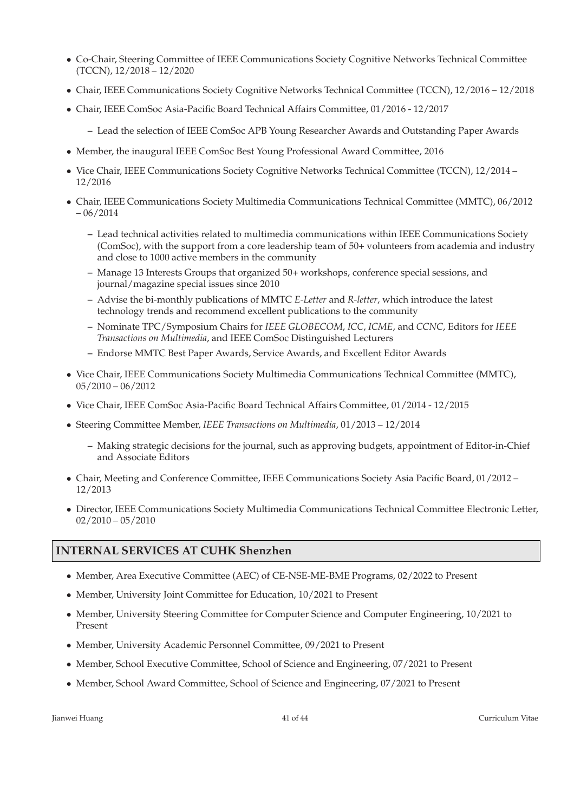- Co-Chair, Steering Committee of IEEE Communications Society Cognitive Networks Technical Committee (TCCN), 12/2018 – 12/2020
- Chair, IEEE Communications Society Cognitive Networks Technical Committee (TCCN), 12/2016 12/2018
- Chair, IEEE ComSoc Asia-Pacific Board Technical Affairs Committee, 01/2016 12/2017
	- **–** Lead the selection of IEEE ComSoc APB Young Researcher Awards and Outstanding Paper Awards
- Member, the inaugural IEEE ComSoc Best Young Professional Award Committee, 2016
- Vice Chair, IEEE Communications Society Cognitive Networks Technical Committee (TCCN), 12/2014 12/2016
- Chair, IEEE Communications Society Multimedia Communications Technical Committee (MMTC), 06/2012  $-06/2014$ 
	- **–** Lead technical activities related to multimedia communications within IEEE Communications Society (ComSoc), with the support from a core leadership team of 50+ volunteers from academia and industry and close to 1000 active members in the community
	- **–** Manage 13 Interests Groups that organized 50+ workshops, conference special sessions, and journal/magazine special issues since 2010
	- **–** Advise the bi-monthly publications of MMTC *E-Letter* and *R-letter*, which introduce the latest technology trends and recommend excellent publications to the community
	- **–** Nominate TPC/Symposium Chairs for *IEEE GLOBECOM*, *ICC*, *ICME*, and *CCNC*, Editors for *IEEE Transactions on Multimedia*, and IEEE ComSoc Distinguished Lecturers
	- **–** Endorse MMTC Best Paper Awards, Service Awards, and Excellent Editor Awards
- Vice Chair, IEEE Communications Society Multimedia Communications Technical Committee (MMTC), 05/2010 – 06/2012
- Vice Chair, IEEE ComSoc Asia-Pacific Board Technical Affairs Committee, 01/2014 12/2015
- Steering Committee Member, *IEEE Transactions on Multimedia*, 01/2013 12/2014
	- **–** Making strategic decisions for the journal, such as approving budgets, appointment of Editor-in-Chief and Associate Editors
- Chair, Meeting and Conference Committee, IEEE Communications Society Asia Pacific Board, 01/2012 12/2013
- Director, IEEE Communications Society Multimedia Communications Technical Committee Electronic Letter,  $02/2010 - 05/2010$

### **INTERNAL SERVICES AT CUHK Shenzhen**

- Member, Area Executive Committee (AEC) of CE-NSE-ME-BME Programs, 02/2022 to Present
- Member, University Joint Committee for Education, 10/2021 to Present
- Member, University Steering Committee for Computer Science and Computer Engineering, 10/2021 to Present
- Member, University Academic Personnel Committee, 09/2021 to Present
- Member, School Executive Committee, School of Science and Engineering, 07/2021 to Present
- Member, School Award Committee, School of Science and Engineering, 07/2021 to Present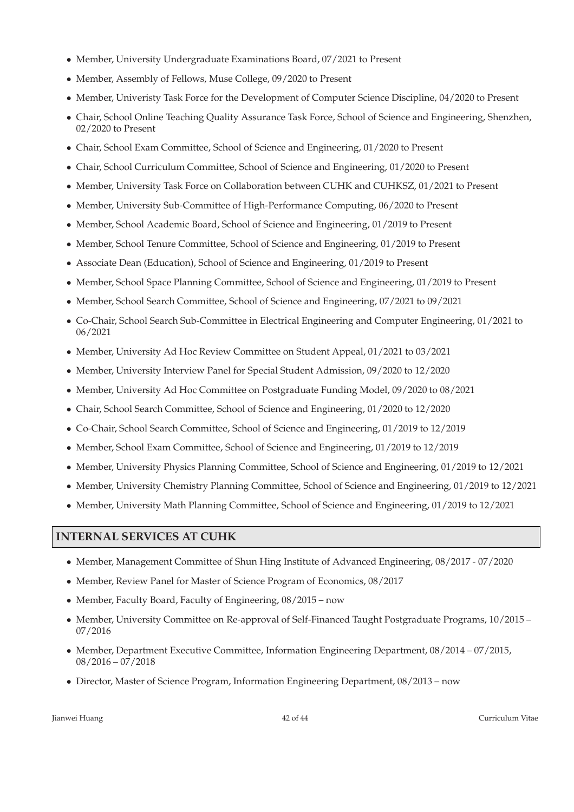- Member, University Undergraduate Examinations Board, 07/2021 to Present
- Member, Assembly of Fellows, Muse College, 09/2020 to Present
- Member, Univeristy Task Force for the Development of Computer Science Discipline, 04/2020 to Present
- Chair, School Online Teaching Quality Assurance Task Force, School of Science and Engineering, Shenzhen, 02/2020 to Present
- Chair, School Exam Committee, School of Science and Engineering, 01/2020 to Present
- Chair, School Curriculum Committee, School of Science and Engineering, 01/2020 to Present
- Member, University Task Force on Collaboration between CUHK and CUHKSZ, 01/2021 to Present
- Member, University Sub-Committee of High-Performance Computing, 06/2020 to Present
- Member, School Academic Board, School of Science and Engineering, 01/2019 to Present
- Member, School Tenure Committee, School of Science and Engineering, 01/2019 to Present
- Associate Dean (Education), School of Science and Engineering, 01/2019 to Present
- Member, School Space Planning Committee, School of Science and Engineering, 01/2019 to Present
- Member, School Search Committee, School of Science and Engineering, 07/2021 to 09/2021
- Co-Chair, School Search Sub-Committee in Electrical Engineering and Computer Engineering, 01/2021 to 06/2021
- Member, University Ad Hoc Review Committee on Student Appeal, 01/2021 to 03/2021
- Member, University Interview Panel for Special Student Admission, 09/2020 to 12/2020
- Member, University Ad Hoc Committee on Postgraduate Funding Model, 09/2020 to 08/2021
- Chair, School Search Committee, School of Science and Engineering, 01/2020 to 12/2020
- Co-Chair, School Search Committee, School of Science and Engineering, 01/2019 to 12/2019
- Member, School Exam Committee, School of Science and Engineering, 01/2019 to 12/2019
- Member, University Physics Planning Committee, School of Science and Engineering, 01/2019 to 12/2021
- Member, University Chemistry Planning Committee, School of Science and Engineering, 01/2019 to 12/2021
- Member, University Math Planning Committee, School of Science and Engineering, 01/2019 to 12/2021

## **INTERNAL SERVICES AT CUHK**

- Member, Management Committee of Shun Hing Institute of Advanced Engineering, 08/2017 07/2020
- Member, Review Panel for Master of Science Program of Economics, 08/2017
- Member, Faculty Board, Faculty of Engineering, 08/2015 now
- Member, University Committee on Re-approval of Self-Financed Taught Postgraduate Programs, 10/2015 07/2016
- Member, Department Executive Committee, Information Engineering Department, 08/2014 07/2015, 08/2016 – 07/2018
- Director, Master of Science Program, Information Engineering Department, 08/2013 now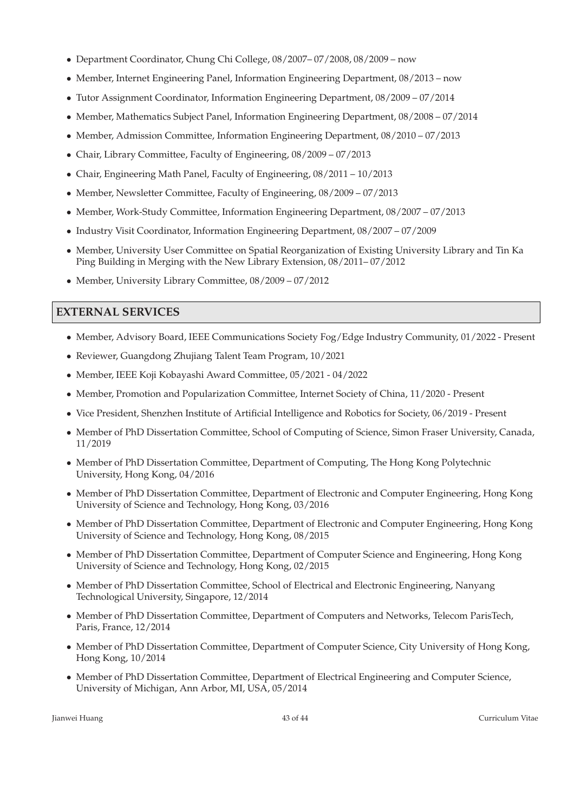- Department Coordinator, Chung Chi College, 08/2007– 07/2008, 08/2009 now
- Member, Internet Engineering Panel, Information Engineering Department, 08/2013 now
- Tutor Assignment Coordinator, Information Engineering Department, 08/2009 07/2014
- Member, Mathematics Subject Panel, Information Engineering Department, 08/2008 07/2014
- Member, Admission Committee, Information Engineering Department, 08/2010 07/2013
- Chair, Library Committee, Faculty of Engineering, 08/2009 07/2013
- Chair, Engineering Math Panel, Faculty of Engineering, 08/2011 10/2013
- Member, Newsletter Committee, Faculty of Engineering, 08/2009 07/2013
- Member, Work-Study Committee, Information Engineering Department, 08/2007 07/2013
- Industry Visit Coordinator, Information Engineering Department, 08/2007 07/2009
- Member, University User Committee on Spatial Reorganization of Existing University Library and Tin Ka Ping Building in Merging with the New Library Extension, 08/2011– 07/2012
- Member, University Library Committee, 08/2009 07/2012

### **EXTERNAL SERVICES**

- Member, Advisory Board, IEEE Communications Society Fog/Edge Industry Community, 01/2022 Present
- Reviewer, Guangdong Zhujiang Talent Team Program, 10/2021
- Member, IEEE Koji Kobayashi Award Committee, 05/2021 04/2022
- Member, Promotion and Popularization Committee, Internet Society of China, 11/2020 Present
- Vice President, Shenzhen Institute of Artificial Intelligence and Robotics for Society, 06/2019 Present
- Member of PhD Dissertation Committee, School of Computing of Science, Simon Fraser University, Canada, 11/2019
- Member of PhD Dissertation Committee, Department of Computing, The Hong Kong Polytechnic University, Hong Kong, 04/2016
- Member of PhD Dissertation Committee, Department of Electronic and Computer Engineering, Hong Kong University of Science and Technology, Hong Kong, 03/2016
- Member of PhD Dissertation Committee, Department of Electronic and Computer Engineering, Hong Kong University of Science and Technology, Hong Kong, 08/2015
- Member of PhD Dissertation Committee, Department of Computer Science and Engineering, Hong Kong University of Science and Technology, Hong Kong, 02/2015
- Member of PhD Dissertation Committee, School of Electrical and Electronic Engineering, Nanyang Technological University, Singapore, 12/2014
- Member of PhD Dissertation Committee, Department of Computers and Networks, Telecom ParisTech, Paris, France, 12/2014
- Member of PhD Dissertation Committee, Department of Computer Science, City University of Hong Kong, Hong Kong, 10/2014
- Member of PhD Dissertation Committee, Department of Electrical Engineering and Computer Science, University of Michigan, Ann Arbor, MI, USA, 05/2014